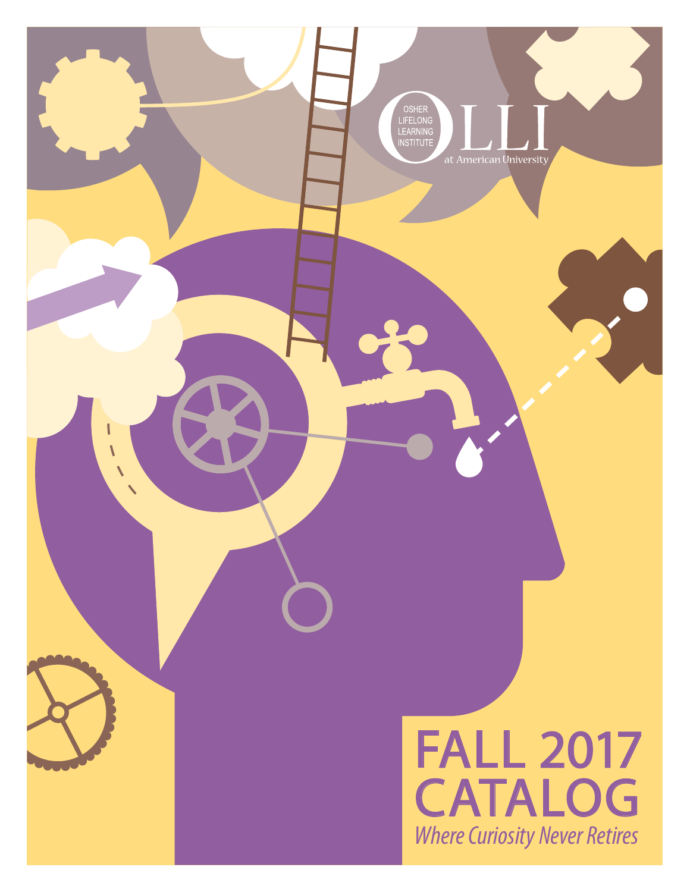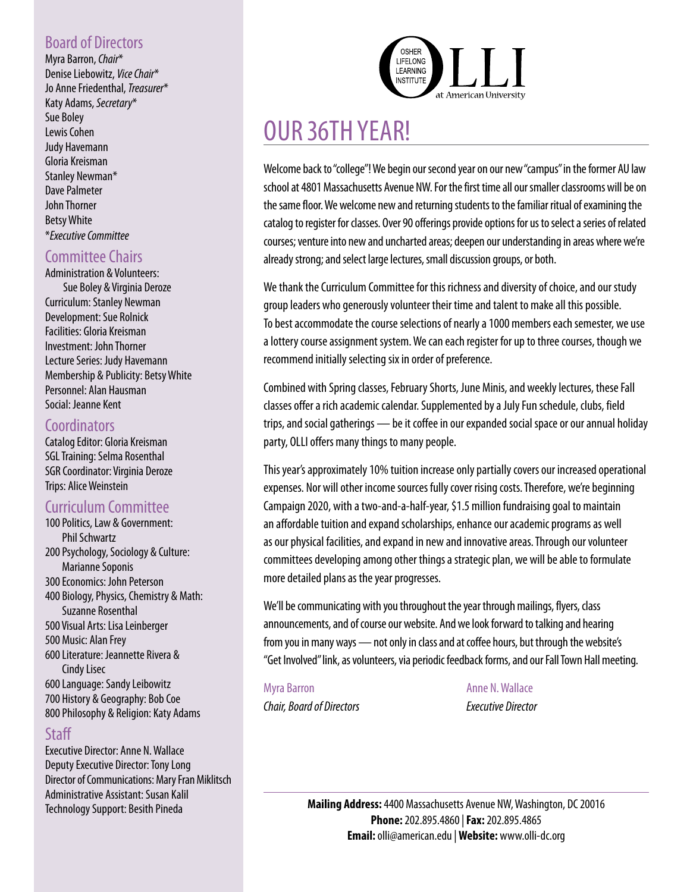### Board of Directors

Myra Barron, *Chair*\* Denise Liebowitz, *Vice Chair*\* Jo Anne Friedenthal, *Treasurer*\* Katy Adams, *Secretary*\* Sue Boley Lewis Cohen Judy Havemann Gloria Kreisman Stanley Newman\* Dave Palmeter John Thorner Betsy White \**Executive Committee*

### Committee Chairs

#### Administration & Volunteers: Sue Boley & Virginia Deroze

Curriculum: Stanley Newman Development: Sue Rolnick Facilities: Gloria Kreisman Investment: John Thorner Lecture Series: Judy Havemann Membership & Publicity: Betsy White Personnel: Alan Hausman Social: Jeanne Kent

### **Coordinators**

Catalog Editor: Gloria Kreisman SGL Training: Selma Rosenthal SGR Coordinator: Virginia Deroze Trips: Alice Weinstein

### Curriculum Committee

- 100 Politics, Law & Government: Phil Schwartz 200 Psychology, Sociology & Culture: Marianne Soponis 300 Economics: John Peterson 400 Biology, Physics, Chemistry & Math: Suzanne Rosenthal 500 Visual Arts: Lisa Leinberger 500 Music: Alan Frey 600 Literature: Jeannette Rivera & Cindy Lisec 600 Language: Sandy Leibowitz
- 700 History & Geography: Bob Coe 800 Philosophy & Religion: Katy Adams

### **Staff**

Executive Director: Anne N. Wallace Deputy Executive Director: Tony Long Director of Communications: Mary Fran Miklitsch Administrative Assistant: Susan Kalil Technology Support: Besith Pineda



# OUR 36TH YEAR!

Welcome back to "college"! We begin our second year on our new "campus" in the former AU law school at 4801 Massachusetts Avenue NW. For the first time all our smaller classrooms will be on the same floor. We welcome new and returning students to the familiar ritual of examining the catalog to register for classes. Over 90 offerings provide options for us to select a series of related courses; venture into new and uncharted areas; deepen our understanding in areas where we're already strong; and select large lectures, small discussion groups, or both.

We thank the Curriculum Committee for this richness and diversity of choice, and our study group leaders who generously volunteer their time and talent to make all this possible. To best accommodate the course selections of nearly a 1000 members each semester, we use a lottery course assignment system. We can each register for up to three courses, though we recommend initially selecting six in order of preference.

Combined with Spring classes, February Shorts, June Minis, and weekly lectures, these Fall classes offer a rich academic calendar. Supplemented by a July Fun schedule, clubs, field trips, and social gatherings — be it coffee in our expanded social space or our annual holiday party, OLLI offers many things to many people.

This year's approximately 10% tuition increase only partially covers our increased operational expenses. Nor will other income sources fully cover rising costs. Therefore, we're beginning Campaign 2020, with a two-and-a-half-year, \$1.5 million fundraising goal to maintain an affordable tuition and expand scholarships, enhance our academic programs as well as our physical facilities, and expand in new and innovative areas. Through our volunteer committees developing among other things a strategic plan, we will be able to formulate more detailed plans as the year progresses.

We'll be communicating with you throughout the year through mailings, flyers, class announcements, and of course our website. And we look forward to talking and hearing from you in many ways — not only in class and at coffee hours, but through the website's "Get Involved" link, as volunteers, via periodic feedback forms, and our Fall Town Hall meeting.

Myra Barron **Anne N. Wallace** *Chair, Board of Directors Executive Director*

**Mailing Address:** 4400 Massachusetts Avenue NW, Washington, DC 20016 **Phone:** 202.895.4860 | **Fax:** 202.895.4865 **Email:** olli@american.edu | **Website:** www.olli-dc.org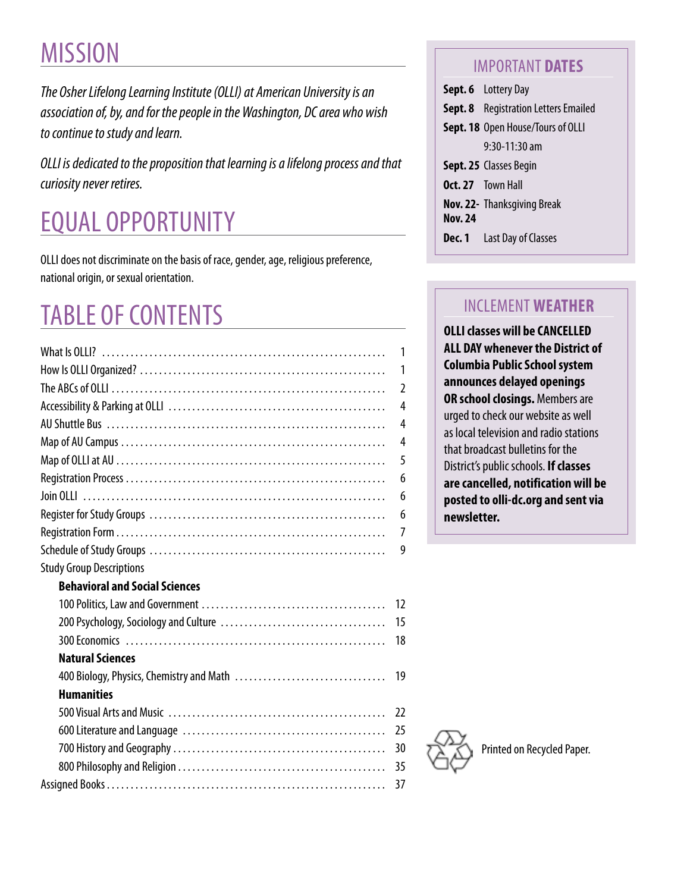# **MISSION**

*The Osher Lifelong Learning Institute (OLLI) at American University is an association of, by, and for the people in the Washington, DC area who wish to continue to study and learn.*

*OLLI is dedicated to the proposition that learning is a lifelong process and that curiosity never retires.*

# EQUAL OPPORTUNITY

OLLI does not discriminate on the basis of race, gender, age, religious preference, national origin, or sexual orientation.

# TABLE OF CONTENTS

|                                          | 1              |
|------------------------------------------|----------------|
|                                          | 1              |
|                                          | $\mathfrak{I}$ |
|                                          | $\overline{4}$ |
|                                          | 4              |
|                                          | 4              |
|                                          | 5              |
|                                          | 6              |
|                                          | 6              |
|                                          | 6              |
|                                          | 7              |
|                                          | 9              |
| <b>Study Group Descriptions</b>          |                |
| <b>Behavioral and Social Sciences</b>    |                |
|                                          | 12             |
|                                          | 15             |
|                                          | 18             |
| <b>Natural Sciences</b>                  |                |
| 400 Biology, Physics, Chemistry and Math | 19             |
| <b>Humanities</b>                        |                |
|                                          | 22             |
|                                          | 25             |
|                                          | 30             |
|                                          | 35             |
|                                          | 37             |

### IMPORTANT **DATES**

**Sept. 6** Lottery Day **Sept. 8** Registration Letters Emailed **Sept. 18** Open House/Tours of OLLI 9:30-11:30 am **Sept. 25** Classes Begin **Oct. 27** Town Hall **Nov. 22-** Thanksgiving Break **Nov. 24 Dec. 1** Last Day of Classes

# INCLEMENT **WEATHER**

**OLLI classes will be CANCELLED ALL DAY whenever the District of Columbia Public School system announces delayed openings OR school closings.** Members are urged to check our website as well as local television and radio stations that broadcast bulletins for the District's public schools. **If classes are cancelled, notification will be posted to olli-dc.org and sent via newsletter.**

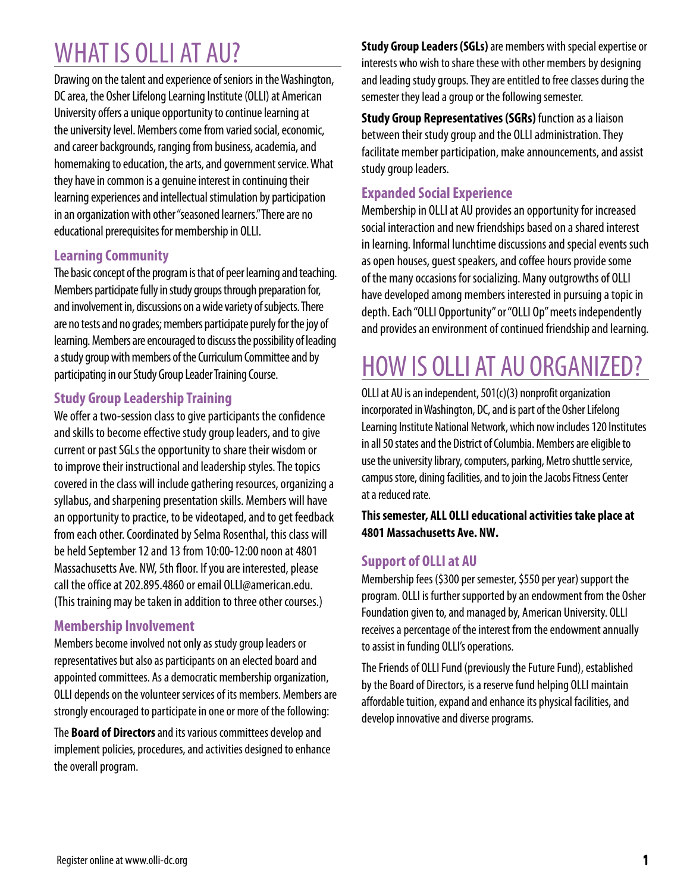# WHAT IS OLLI AT AU?

Drawing on the talent and experience of seniors in the Washington, DC area, the Osher Lifelong Learning Institute (OLLI) at American University offers a unique opportunity to continue learning at the university level. Members come from varied social, economic, and career backgrounds, ranging from business, academia, and homemaking to education, the arts, and government service. What they have in common is a genuine interest in continuing their learning experiences and intellectual stimulation by participation in an organization with other "seasoned learners." There are no educational prerequisites for membership in OLLI.

### **Learning Community**

The basic concept of the program is that of peer learning and teaching. Members participate fully in study groups through preparation for, and involvement in, discussions on a wide variety of subjects. There are no tests and no grades; members participate purely for the joy of learning. Members are encouraged to discuss the possibility of leading a study group with members of the Curriculum Committee and by participating in our Study Group Leader Training Course.

### **Study Group Leadership Training**

We offer a two-session class to give participants the confidence and skills to become effective study group leaders, and to give current or past SGLs the opportunity to share their wisdom or to improve their instructional and leadership styles. The topics covered in the class will include gathering resources, organizing a syllabus, and sharpening presentation skills. Members will have an opportunity to practice, to be videotaped, and to get feedback from each other. Coordinated by Selma Rosenthal, this class will be held September 12 and 13 from 10:00-12:00 noon at 4801 Massachusetts Ave. NW, 5th floor. If you are interested, please call the office at 202.895.4860 or email OLLI@american.edu. (This training may be taken in addition to three other courses.)

### **Membership Involvement**

Members become involved not only as study group leaders or representatives but also as participants on an elected board and appointed committees. As a democratic membership organization, OLLI depends on the volunteer services of its members. Members are strongly encouraged to participate in one or more of the following:

The **Board of Directors** and its various committees develop and implement policies, procedures, and activities designed to enhance the overall program.

**Study Group Leaders (SGLs)** are members with special expertise or interests who wish to share these with other members by designing and leading study groups. They are entitled to free classes during the semester they lead a group or the following semester.

**Study Group Representatives (SGRs)** function as a liaison between their study group and the OLLI administration. They facilitate member participation, make announcements, and assist study group leaders.

### **Expanded Social Experience**

Membership in OLLI at AU provides an opportunity for increased social interaction and new friendships based on a shared interest in learning. Informal lunchtime discussions and special events such as open houses, guest speakers, and coffee hours provide some of the many occasions for socializing. Many outgrowths of OLLI have developed among members interested in pursuing a topic in depth. Each "OLLI Opportunity" or "OLLI Op" meets independently and provides an environment of continued friendship and learning.

# HOW IS OLLI AT AU ORGANIZED?

OLLI at AU is an independent, 501(c)(3) nonprofit organization incorporated in Washington, DC, and is part of the Osher Lifelong Learning Institute National Network, which now includes 120 Institutes in all 50 states and the District of Columbia. Members are eligible to use the university library, computers, parking, Metro shuttle service, campus store, dining facilities, and to join the Jacobs Fitness Center at a reduced rate.

**This semester, ALL OLLI educational activities take place at 4801 Massachusetts Ave. NW.**

### **Support of OLLI at AU**

Membership fees (\$300 per semester, \$550 per year) support the program. OLLI is further supported by an endowment from the Osher Foundation given to, and managed by, American University. OLLI receives a percentage of the interest from the endowment annually to assist in funding OLLI's operations.

The Friends of OLLI Fund (previously the Future Fund), established by the Board of Directors, is a reserve fund helping OLLI maintain affordable tuition, expand and enhance its physical facilities, and develop innovative and diverse programs.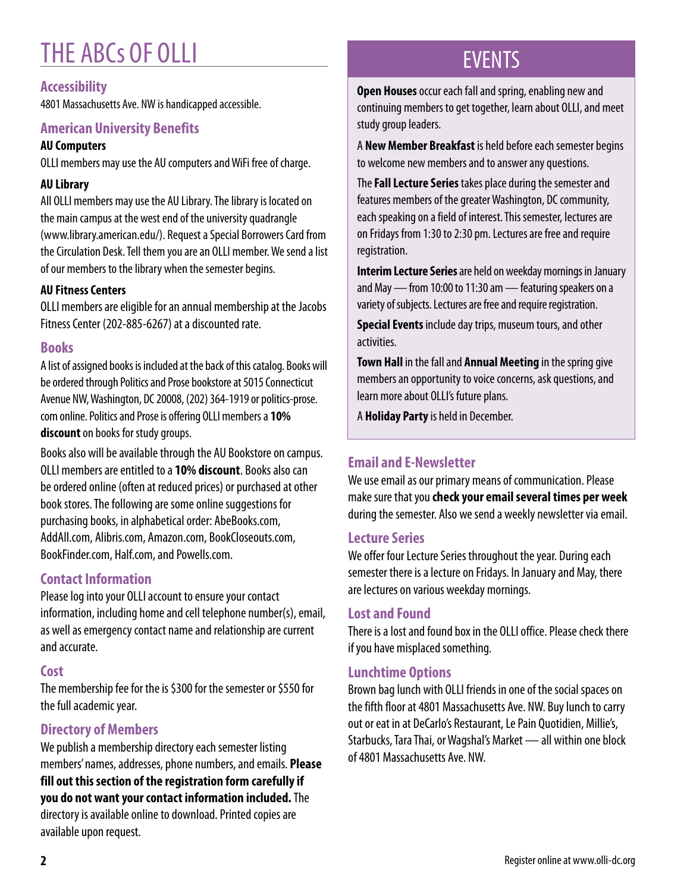# THE ABCs OF OLLI

### **Accessibility**

4801 Massachusetts Ave. NW is handicapped accessible.

### **American University Benefits**

### **AU Computers**

OLLI members may use the AU computers and WiFi free of charge.

### **AU Library**

All OLLI members may use the AU Library. The library is located on the main campus at the west end of the university quadrangle (www.library.american.edu/). Request a Special Borrowers Card from the Circulation Desk. Tell them you are an OLLI member. We send a list of our members to the library when the semester begins.

### **AU Fitness Centers**

OLLI members are eligible for an annual membership at the Jacobs Fitness Center (202-885-6267) at a discounted rate.

### **Books**

A list of assigned books is included at the back of this catalog. Books will be ordered through Politics and Prose bookstore at 5015 Connecticut Avenue NW, Washington, DC 20008, (202) 364-1919 or politics-prose. com online. Politics and Prose is offering OLLI members a **10% discount** on books for study groups.

Books also will be available through the AU Bookstore on campus. OLLI members are entitled to a **10% discount**. Books also can be ordered online (often at reduced prices) or purchased at other book stores. The following are some online suggestions for purchasing books, in alphabetical order: AbeBooks.com, AddAll.com, Alibris.com, Amazon.com, BookCloseouts.com, BookFinder.com, Half.com, and Powells.com.

### **Contact Information**

Please log into your OLLI account to ensure your contact information, including home and cell telephone number(s), email, as well as emergency contact name and relationship are current and accurate.

### **Cost**

The membership fee for the is \$300 for the semester or \$550 for the full academic year.

### **Directory of Members**

We publish a membership directory each semester listing members' names, addresses, phone numbers, and emails. **Please fill out this section of the registration form carefully if you do not want your contact information included.** The directory is available online to download. Printed copies are available upon request.

# EVENTS

**Open Houses** occur each fall and spring, enabling new and continuing members to get together, learn about OLLI, and meet study group leaders.

A **New Member Breakfast** is held before each semester begins to welcome new members and to answer any questions.

The **Fall Lecture Series** takes place during the semester and features members of the greater Washington, DC community, each speaking on a field of interest. This semester, lectures are on Fridays from 1:30 to 2:30 pm. Lectures are free and require registration.

**Interim Lecture Series** are held on weekday mornings in January and May — from 10:00 to 11:30 am — featuring speakers on a variety of subjects. Lectures are free and require registration.

**Special Events** include day trips, museum tours, and other activities.

**Town Hall** in the fall and **Annual Meeting** in the spring give members an opportunity to voice concerns, ask questions, and learn more about OLLI's future plans.

A **Holiday Party** is held in December.

### **Email and E-Newsletter**

We use email as our primary means of communication. Please make sure that you **check your email several times per week** during the semester. Also we send a weekly newsletter via email.

### **Lecture Series**

We offer four Lecture Series throughout the year. During each semester there is a lecture on Fridays. In January and May, there are lectures on various weekday mornings.

### **Lost and Found**

There is a lost and found box in the OLLI office. Please check there if you have misplaced something.

### **Lunchtime Options**

Brown bag lunch with OLLI friends in one of the social spaces on the fifth floor at 4801 Massachusetts Ave. NW. Buy lunch to carry out or eat in at DeCarlo's Restaurant, Le Pain Quotidien, Millie's, Starbucks, Tara Thai, or Wagshal's Market — all within one block of 4801 Massachusetts Ave. NW.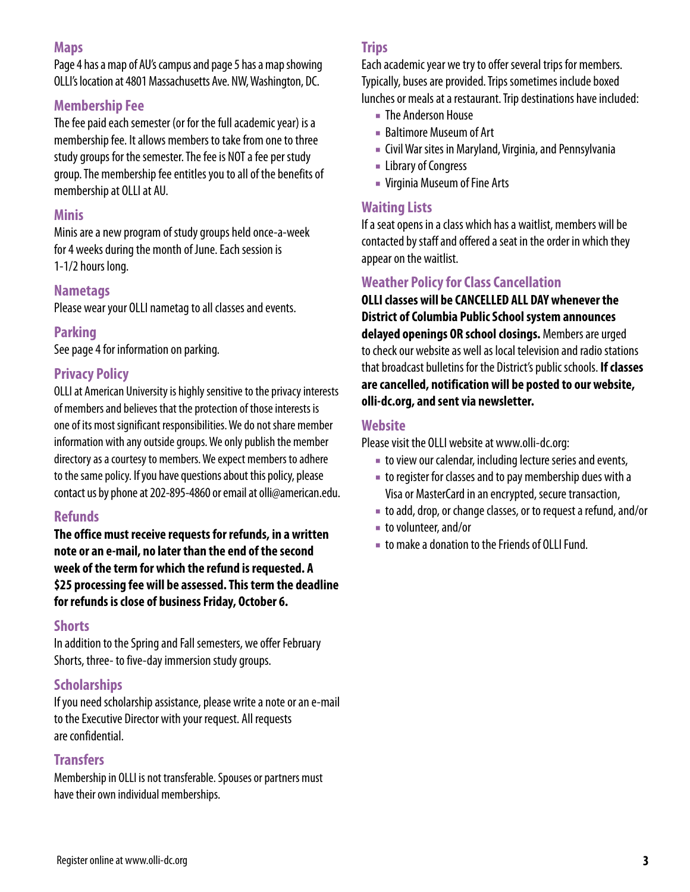### **Maps**

Page 4 has a map of AU's campus and page 5 has a map showing OLLI's location at 4801 Massachusetts Ave. NW, Washington, DC.

### **Membership Fee**

The fee paid each semester (or for the full academic year) is a membership fee. It allows members to take from one to three study groups for the semester. The fee is NOT a fee per study group. The membership fee entitles you to all of the benefits of membership at OLLI at AU.

### **Minis**

Minis are a new program of study groups held once-a-week for 4 weeks during the month of June. Each session is 1-1/2 hours long.

### **Nametags**

Please wear your OLLI nametag to all classes and events.

### **Parking**

See page 4 for information on parking.

### **Privacy Policy**

OLLI at American University is highly sensitive to the privacy interests of members and believes that the protection of those interests is one of its most significant responsibilities. We do not share member information with any outside groups. We only publish the member directory as a courtesy to members. We expect members to adhere to the same policy. If you have questions about this policy, please contact us by phone at 202-895-4860 or email at olli@american.edu.

### **Refunds**

**The office must receive requests for refunds, in a written note or an e-mail, no later than the end of the second week of the term for which the refund is requested. A \$25 processing fee will be assessed. This term the deadline for refunds is close of business Friday, October 6.**

#### **Shorts**

In addition to the Spring and Fall semesters, we offer February Shorts, three- to five-day immersion study groups.

### **Scholarships**

If you need scholarship assistance, please write a note or an e-mail to the Executive Director with your request. All requests are confidential.

### **Transfers**

Membership in OLLI is not transferable. Spouses or partners must have their own individual memberships.

### **Trips**

Each academic year we try to offer several trips for members. Typically, buses are provided. Trips sometimes include boxed lunches or meals at a restaurant. Trip destinations have included:

- The Anderson House
- Baltimore Museum of Art
- Civil War sites in Maryland, Virginia, and Pennsylvania
- Library of Congress
- Virginia Museum of Fine Arts

### **Waiting Lists**

If a seat opens in a class which has a waitlist, members will be contacted by staff and offered a seat in the order in which they appear on the waitlist.

### **Weather Policy for Class Cancellation**

**OLLI classes will be CANCELLED ALL DAY whenever the District of Columbia Public School system announces delayed openings OR school closings.** Members are urged to check our website as well as local television and radio stations that broadcast bulletins for the District's public schools. **If classes are cancelled, notification will be posted to our website, olli-dc.org, and sent via newsletter.**

### **Website**

Please visit the OLLI website at www.olli-dc.org:

- to view our calendar, including lecture series and events,
- to register for classes and to pay membership dues with a Visa or MasterCard in an encrypted, secure transaction,
- to add, drop, or change classes, or to request a refund, and/or
- to volunteer, and/or
- to make a donation to the Friends of OLLI Fund.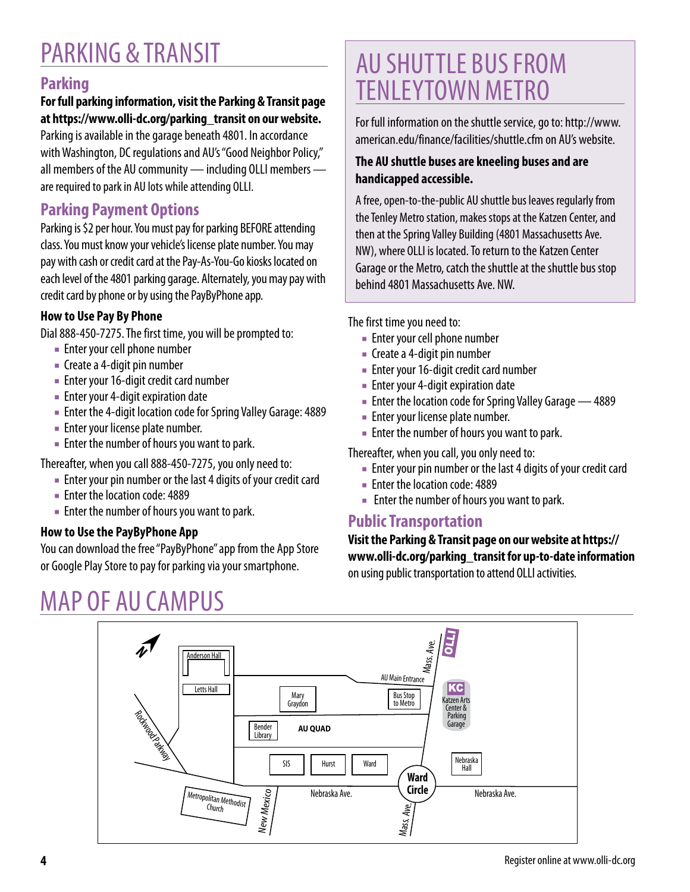# PARKING & TRANSIT

### **Parking**

### **For full parking information, visit the Parking & Transit page at https://www.olli-dc.org/parking\_transit on our website.**

Parking is available in the garage beneath 4801. In accordance with Washington, DC regulations and AU's "Good Neighbor Policy," all members of the AU community — including OLLI members are required to park in AU lots while attending OLLI.

### **Parking Payment Options**

Parking is \$2 per hour. You must pay for parking BEFORE attending class. You must know your vehicle's license plate number. You may pay with cash or credit card at the Pay-As-You-Go kiosks located on each level of the 4801 parking garage. Alternately, you may pay with credit card by phone or by using the PayByPhone app.

### **How to Use Pay By Phone**

Dial 888-450-7275. The first time, you will be prompted to:

- Enter your cell phone number
- Create a 4-digit pin number
- Enter your 16-digit credit card number
- Enter your 4-digit expiration date
- Enter the 4-digit location code for Spring Valley Garage: 4889
- Enter your license plate number.
- Enter the number of hours you want to park.

Thereafter, when you call 888-450-7275, you only need to:

- Enter your pin number or the last 4 digits of your credit card
- Enter the location code: 4889
- Enter the number of hours you want to park.

### **How to Use the PayByPhone App**

You can download the free "PayByPhone" app from the App Store or Google Play Store to pay for parking via your smartphone.

# MAP OF AU CAMPUS

# AU SHUTTLE BUS FROM TENLEYTOWN METRO

For full information on the shuttle service, go to: http://www. american.edu/finance/facilities/shuttle.cfm on AU's website.

### **The AU shuttle buses are kneeling buses and are handicapped accessible.**

A free, open-to-the-public AU shuttle bus leaves regularly from the Tenley Metro station, makes stops at the Katzen Center, and then at the Spring Valley Building (4801 Massachusetts Ave. NW), where OLLI is located. To return to the Katzen Center Garage or the Metro, catch the shuttle at the shuttle bus stop behind 4801 Massachusetts Ave. NW.

The first time you need to:

- Enter your cell phone number
- Create a 4-digit pin number
- Enter your 16-digit credit card number
- Enter your 4-digit expiration date
- Enter the location code for Spring Valley Garage 4889
- Enter your license plate number.
- Enter the number of hours you want to park.

Thereafter, when you call, you only need to:

- Enter your pin number or the last 4 digits of your credit card
- Enter the location code: 4889
- Enter the number of hours you want to park.

### **Public Transportation**

**Visit the Parking & Transit page on our website at https:// www.olli-dc.org/parking\_transit for up-to-date information**  on using public transportation to attend OLLI activities.

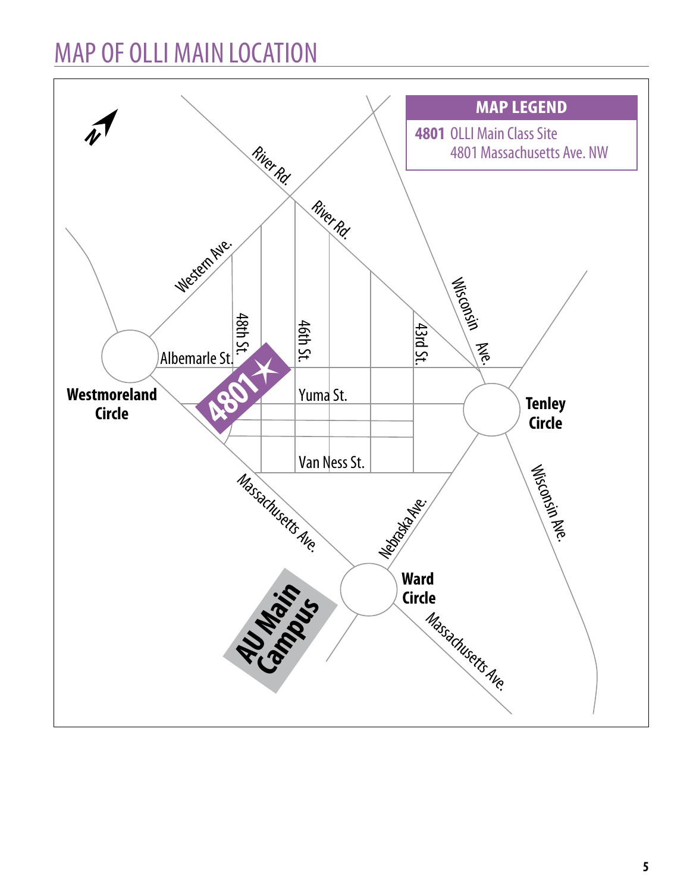# MAP OF OLLI MAIN LOCATION

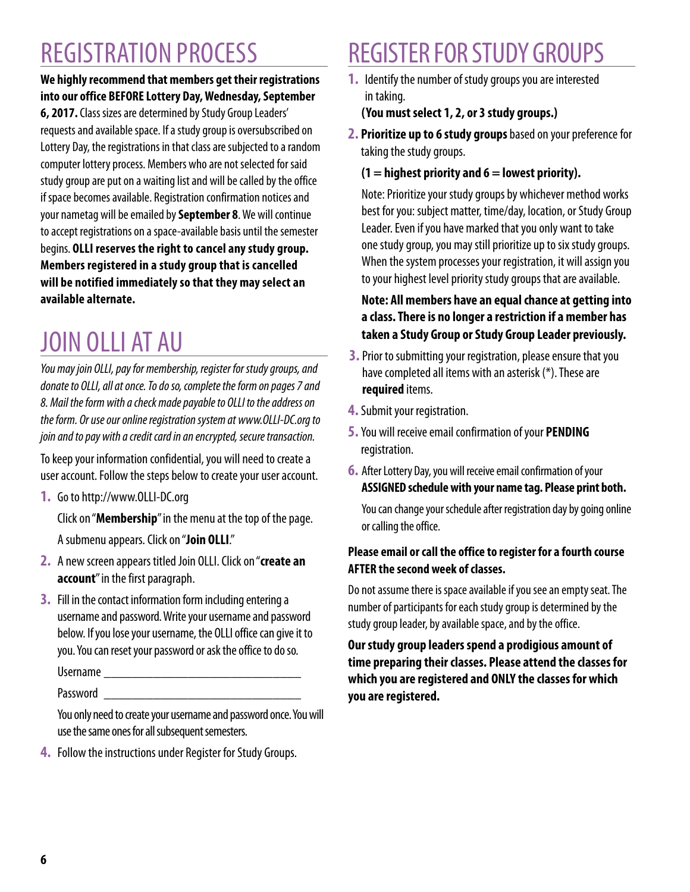# REGISTRATION PROCESS

### **We highly recommend that members get their registrations into our office BEFORE Lottery Day, Wednesday, September 6, 2017.** Class sizes are determined by Study Group Leaders'

requests and available space. If a study group is oversubscribed on Lottery Day, the registrations in that class are subjected to a random computer lottery process. Members who are not selected for said study group are put on a waiting list and will be called by the office if space becomes available. Registration confirmation notices and your nametag will be emailed by **September 8**. We will continue to accept registrations on a space-available basis until the semester begins. **OLLI reserves the right to cancel any study group. Members registered in a study group that is cancelled will be notified immediately so that they may select an available alternate.**

# JOIN OLLI AT AU

*You may join OLLI, pay for membership, register for study groups, and donate to OLLI, all at once. To do so, complete the form on pages 7 and 8. Mail the form with a check made payable to OLLI to the address on the form. Or use our online registration system at www.OLLI-DC.org to join and to pay with a credit card in an encrypted, secure transaction.*

To keep your information confidential, you will need to create a user account. Follow the steps below to create your user account.

**1.** Go to http://www.OLLI-DC.org

Click on "**Membership**" in the menu at the top of the page. A submenu appears. Click on "**Join OLLI**."

- **2.** A new screen appears titled Join OLLI. Click on "**create an account**" in the first paragraph.
- **3.** Fill in the contact information form including entering a username and password. Write your username and password below. If you lose your username, the OLLI office can give it to you. You can reset your password or ask the office to do so.

Username \_\_\_\_\_\_\_\_\_\_\_\_\_\_\_\_\_\_\_\_\_\_\_\_\_\_\_\_

Password **and** 

You only need to create your username and password once. You will use the same ones for all subsequent semesters.

**4.** Follow the instructions under Register for Study Groups.

# REGISTER FOR STUDY GROUPS

**1.** Identify the number of study groups you are interested in taking.

### **(You must select 1, 2, or 3 study groups.)**

**2. Prioritize up to 6 study groups** based on your preference for taking the study groups.

### **(1 = highest priority and 6 = lowest priority).**

Note: Prioritize your study groups by whichever method works best for you: subject matter, time/day, location, or Study Group Leader. Even if you have marked that you only want to take one study group, you may still prioritize up to six study groups. When the system processes your registration, it will assign you to your highest level priority study groups that are available.

### **Note: All members have an equal chance at getting into a class. There is no longer a restriction if a member has taken a Study Group or Study Group Leader previously.**

- **3.** Prior to submitting your registration, please ensure that you have completed all items with an asterisk (\*). These are **required** items.
- **4.** Submit your registration.
- **5.** You will receive email confirmation of your **PENDING** registration.
- **6.** After Lottery Day, you will receive email confirmation of your **ASSIGNED schedule with your name tag. Please print both.**

You can change your schedule after registration day by going online or calling the office.

### **Please email or call the office to register for a fourth course AFTER the second week of classes.**

Do not assume there is space available if you see an empty seat. The number of participants for each study group is determined by the study group leader, by available space, and by the office.

**Our study group leaders spend a prodigious amount of time preparing their classes. Please attend the classes for which you are registered and ONLY the classes for which you are registered.**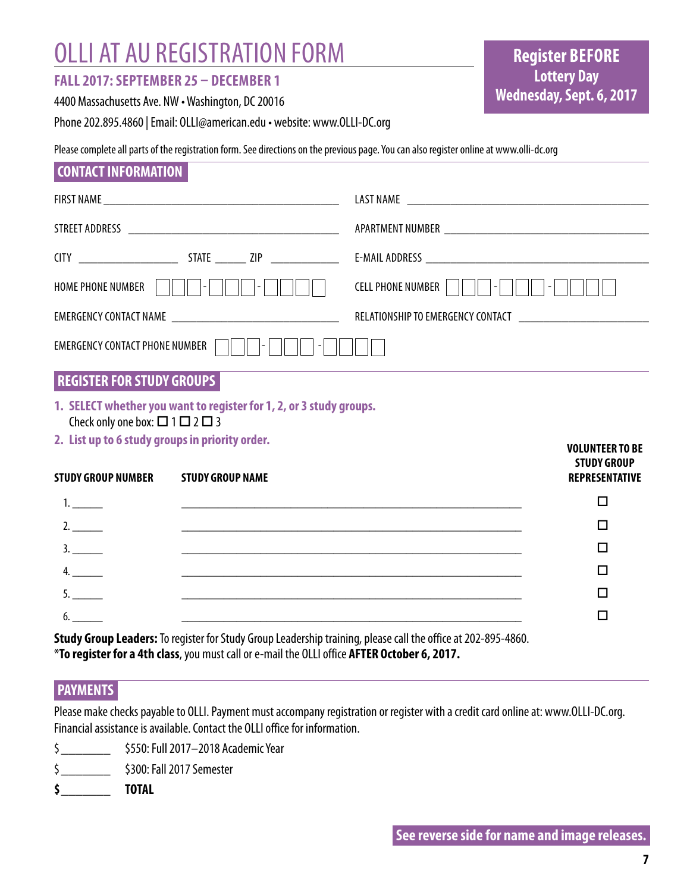# OLLI AT AU REGISTRATION FORM

### **FALL 2017: SEPTEMBER 25 – DECEMBER 1**

4400 Massachusetts Ave. NW • Washington, DC 20016

Phone 202.895.4860 | Email: OLLI@american.edu • website: www.OLLI-DC.org

Please complete all parts of the registration form. See directions on the previous page. You can also register online at www.olli-dc.org

### **CONTACT INFORMATION**

| HOME PHONE NUMBER                                                                                 | $\vert$ -                                                           | <b>CELL PHONE NUMBER</b>                                              |
|---------------------------------------------------------------------------------------------------|---------------------------------------------------------------------|-----------------------------------------------------------------------|
|                                                                                                   |                                                                     |                                                                       |
| <b>EMERGENCY CONTACT PHONE NUMBER</b>                                                             |                                                                     |                                                                       |
| <b>REGISTER FOR STUDY GROUPS</b>                                                                  |                                                                     |                                                                       |
|                                                                                                   | 1. SELECT whether you want to register for 1, 2, or 3 study groups. |                                                                       |
| Check only one box: $\Box$ 1 $\Box$ 2 $\Box$ 3<br>2. List up to 6 study groups in priority order. |                                                                     |                                                                       |
| <b>STUDY GROUP NUMBER</b>                                                                         | <b>STUDY GROUP NAME</b>                                             | <b>VOLUNTEER TO BE</b><br><b>STUDY GROUP</b><br><b>REPRESENTATIVE</b> |
| 1.                                                                                                |                                                                     | П                                                                     |
| 2.                                                                                                |                                                                     | П                                                                     |
| 3.                                                                                                |                                                                     | П                                                                     |
| $4. \quad \qquad \qquad$                                                                          |                                                                     | П                                                                     |

6. \_\_\_\_\_ \_\_\_\_\_\_\_\_\_\_\_\_\_\_\_\_\_\_\_\_\_\_\_\_\_\_\_\_\_\_\_\_\_\_\_\_\_\_\_\_\_\_\_\_\_\_\_\_\_\_\_\_\_\_\_\_ o **Study Group Leaders:** To register for Study Group Leadership training, please call the office at 202-895-4860. \***To register for a 4th class**, you must call or e-mail the OLLI office **AFTER October 6, 2017.**

### **PAYMENTS**

Please make checks payable to OLLI. Payment must accompany registration or register with a credit card online at: www.OLLI-DC.org. Financial assistance is available. Contact the OLLI office for information.

5. \_\_\_\_\_ \_\_\_\_\_\_\_\_\_\_\_\_\_\_\_\_\_\_\_\_\_\_\_\_\_\_\_\_\_\_\_\_\_\_\_\_\_\_\_\_\_\_\_\_\_\_\_\_\_\_\_\_\_\_\_\_ o

- \$\_\_\_\_\_\_\_ \$550: Full 2017–2018 Academic Year
- \$\_\_\_\_\_\_\_ \$300: Fall 2017 Semester
- **\$\_\_\_\_\_\_\_ TOTAL**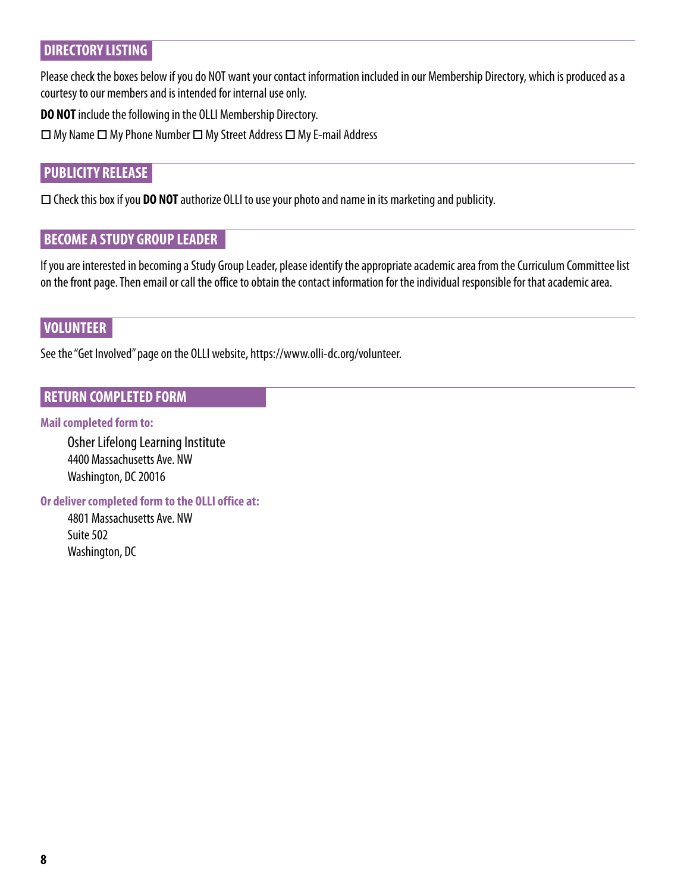### **DIRECTORY LISTING**

Please check the boxes below if you do NOT want your contact information included in our Membership Directory, which is produced as a courtesy to our members and is intended for internal use only.

**DO NOT** include the following in the OLLI Membership Directory.

 $\Box$  My Name  $\Box$  My Phone Number  $\Box$  My Street Address  $\Box$  My E-mail Address

### **PUBLICITY RELEASE**

□ Check this box if you **DO NOT** authorize OLLI to use your photo and name in its marketing and publicity.

### **BECOME A STUDY GROUP LEADER**

If you are interested in becoming a Study Group Leader, please identify the appropriate academic area from the Curriculum Committee list on the front page. Then email or call the office to obtain the contact information for the individual responsible for that academic area.

### **VOLUNTEER**

See the "Get Involved" page on the OLLI website, https://www.olli-dc.org/volunteer.

### **RETURN COMPLETED FORM**

#### **Mail completed form to:**

Osher Lifelong Learning Institute 4400 Massachusetts Ave. NW Washington, DC 20016

**Or deliver completed form to the OLLI office at:**

4801 Massachusetts Ave. NW Suite 502 Washington, DC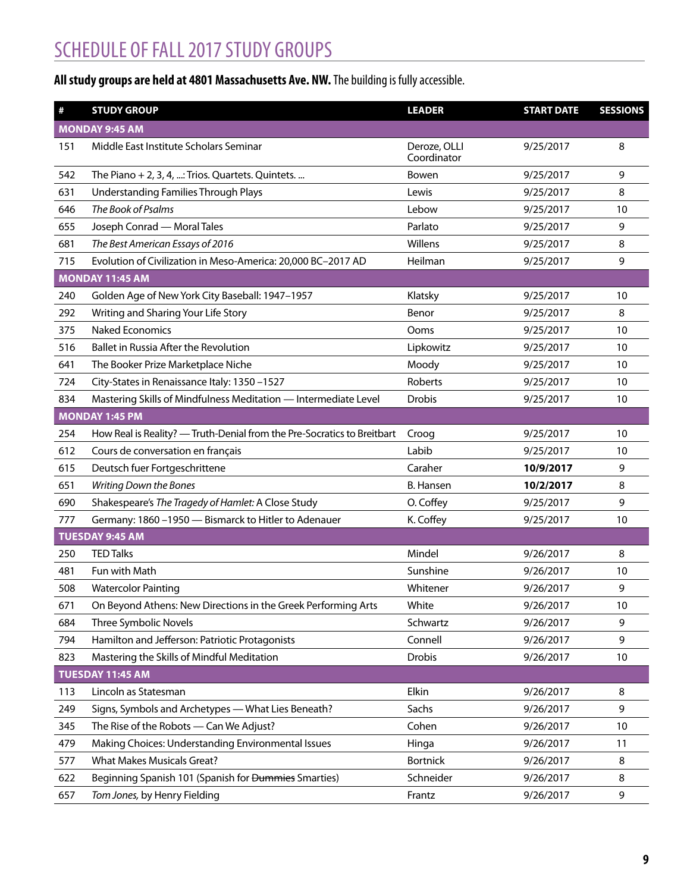# SCHEDULE OF FALL 2017 STUDY GROUPS

### **All study groups are held at 4801 Massachusetts Ave. NW.**The building is fully accessible.

| $\#$ | <b>STUDY GROUP</b>                                                      | <b>LEADER</b>               | <b>START DATE</b> | <b>SESSIONS</b> |
|------|-------------------------------------------------------------------------|-----------------------------|-------------------|-----------------|
|      | <b>MONDAY 9:45 AM</b>                                                   |                             |                   |                 |
| 151  | Middle East Institute Scholars Seminar                                  | Deroze, OLLI<br>Coordinator | 9/25/2017         | 8               |
| 542  | The Piano $+ 2$ , 3, 4, : Trios. Quartets. Quintets.                    | Bowen                       | 9/25/2017         | 9               |
| 631  | Understanding Families Through Plays                                    | Lewis                       | 9/25/2017         | 8               |
| 646  | The Book of Psalms                                                      | Lebow                       | 9/25/2017         | 10              |
| 655  | Joseph Conrad - Moral Tales                                             | Parlato                     | 9/25/2017         | 9               |
| 681  | The Best American Essays of 2016                                        | Willens                     | 9/25/2017         | 8               |
| 715  | Evolution of Civilization in Meso-America: 20,000 BC-2017 AD            | Heilman                     | 9/25/2017         | 9               |
|      | <b>MONDAY 11:45 AM</b>                                                  |                             |                   |                 |
| 240  | Golden Age of New York City Baseball: 1947-1957                         | Klatsky                     | 9/25/2017         | 10              |
| 292  | Writing and Sharing Your Life Story                                     | Benor                       | 9/25/2017         | 8               |
| 375  | <b>Naked Economics</b>                                                  | Ooms                        | 9/25/2017         | 10              |
| 516  | Ballet in Russia After the Revolution                                   | Lipkowitz                   | 9/25/2017         | 10              |
| 641  | The Booker Prize Marketplace Niche                                      | Moody                       | 9/25/2017         | 10              |
| 724  | City-States in Renaissance Italy: 1350-1527                             | Roberts                     | 9/25/2017         | 10              |
| 834  | Mastering Skills of Mindfulness Meditation - Intermediate Level         | Drobis                      | 9/25/2017         | 10              |
|      | <b>MONDAY 1:45 PM</b>                                                   |                             |                   |                 |
| 254  | How Real is Reality? - Truth-Denial from the Pre-Socratics to Breitbart | Croog                       | 9/25/2017         | 10              |
| 612  | Cours de conversation en français                                       | Labib                       | 9/25/2017         | 10              |
| 615  | Deutsch fuer Fortgeschrittene                                           | Caraher                     | 10/9/2017         | 9               |
| 651  | Writing Down the Bones                                                  | <b>B.</b> Hansen            | 10/2/2017         | 8               |
| 690  | Shakespeare's The Tragedy of Hamlet: A Close Study                      | O. Coffey                   | 9/25/2017         | 9               |
| 777  | Germany: 1860 -1950 - Bismarck to Hitler to Adenauer                    | K. Coffey                   | 9/25/2017         | 10              |
|      | <b>TUESDAY 9:45 AM</b>                                                  |                             |                   |                 |
| 250  | <b>TED Talks</b>                                                        | Mindel                      | 9/26/2017         | 8               |
| 481  | Fun with Math                                                           | Sunshine                    | 9/26/2017         | 10              |
| 508  | <b>Watercolor Painting</b>                                              | Whitener                    | 9/26/2017         | 9               |
| 671  | On Beyond Athens: New Directions in the Greek Performing Arts           | White                       | 9/26/2017         | 10              |
| 684  | Three Symbolic Novels                                                   | Schwartz                    | 9/26/2017         | 9               |
| 794  | Hamilton and Jefferson: Patriotic Protagonists                          | Connell                     | 9/26/2017         | 9               |
| 823  | Mastering the Skills of Mindful Meditation                              | <b>Drobis</b>               | 9/26/2017         | 10              |
|      | TUESDAY 11:45 AM                                                        |                             |                   |                 |
| 113  | Lincoln as Statesman                                                    | Elkin                       | 9/26/2017         | 8               |
| 249  | Signs, Symbols and Archetypes - What Lies Beneath?                      | Sachs                       | 9/26/2017         | 9               |
| 345  | The Rise of the Robots - Can We Adjust?                                 | Cohen                       | 9/26/2017         | 10              |
| 479  | Making Choices: Understanding Environmental Issues                      | Hinga                       | 9/26/2017         | 11              |
| 577  | <b>What Makes Musicals Great?</b>                                       | <b>Bortnick</b>             | 9/26/2017         | 8               |
| 622  | Beginning Spanish 101 (Spanish for Dummies Smarties)                    | Schneider                   | 9/26/2017         | 8               |
| 657  | Tom Jones, by Henry Fielding                                            | Frantz                      | 9/26/2017         | 9               |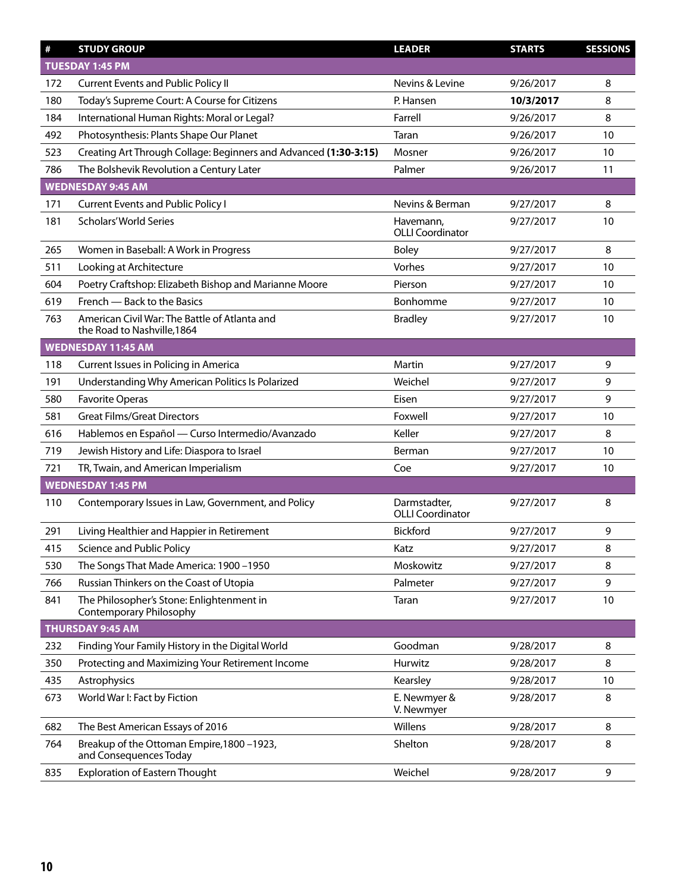| #   | <b>STUDY GROUP</b>                                                           | <b>LEADER</b>                           | <b>STARTS</b> | <b>SESSIONS</b> |
|-----|------------------------------------------------------------------------------|-----------------------------------------|---------------|-----------------|
|     | TUESDAY 1:45 PM                                                              |                                         |               |                 |
| 172 | <b>Current Events and Public Policy II</b>                                   | Nevins & Levine                         | 9/26/2017     | 8               |
| 180 | Today's Supreme Court: A Course for Citizens                                 | P. Hansen                               | 10/3/2017     | 8               |
| 184 | International Human Rights: Moral or Legal?                                  | Farrell                                 | 9/26/2017     | 8               |
| 492 | Photosynthesis: Plants Shape Our Planet                                      | Taran                                   | 9/26/2017     | 10              |
| 523 | Creating Art Through Collage: Beginners and Advanced (1:30-3:15)             | Mosner                                  | 9/26/2017     | 10              |
| 786 | The Bolshevik Revolution a Century Later                                     | Palmer                                  | 9/26/2017     | 11              |
|     | <b>WEDNESDAY 9:45 AM</b>                                                     |                                         |               |                 |
| 171 | <b>Current Events and Public Policy I</b>                                    | Nevins & Berman                         | 9/27/2017     | 8               |
| 181 | <b>Scholars' World Series</b>                                                | Havemann,<br><b>OLLI Coordinator</b>    | 9/27/2017     | 10              |
| 265 | Women in Baseball: A Work in Progress                                        | <b>Boley</b>                            | 9/27/2017     | 8               |
| 511 | Looking at Architecture                                                      | Vorhes                                  | 9/27/2017     | 10              |
| 604 | Poetry Craftshop: Elizabeth Bishop and Marianne Moore                        | Pierson                                 | 9/27/2017     | 10              |
| 619 | French - Back to the Basics                                                  | Bonhomme                                | 9/27/2017     | 10              |
| 763 | American Civil War: The Battle of Atlanta and<br>the Road to Nashville, 1864 | <b>Bradley</b>                          | 9/27/2017     | 10              |
|     | <b>WEDNESDAY 11:45 AM</b>                                                    |                                         |               |                 |
| 118 | Current Issues in Policing in America                                        | Martin                                  | 9/27/2017     | 9               |
| 191 | Understanding Why American Politics Is Polarized                             | Weichel                                 | 9/27/2017     | 9               |
| 580 | <b>Favorite Operas</b>                                                       | Eisen                                   | 9/27/2017     | 9               |
| 581 | <b>Great Films/Great Directors</b>                                           | Foxwell                                 | 9/27/2017     | 10              |
| 616 | Hablemos en Español - Curso Intermedio/Avanzado                              | Keller                                  | 9/27/2017     | 8               |
| 719 | Jewish History and Life: Diaspora to Israel                                  | Berman                                  | 9/27/2017     | 10              |
| 721 | TR, Twain, and American Imperialism                                          | Coe                                     | 9/27/2017     | 10              |
|     | <b>WEDNESDAY 1:45 PM</b>                                                     |                                         |               |                 |
| 110 | Contemporary Issues in Law, Government, and Policy                           | Darmstadter,<br><b>OLLI Coordinator</b> | 9/27/2017     | 8               |
| 291 | Living Healthier and Happier in Retirement                                   | Bickford                                | 9/27/2017     | 9               |
| 415 | Science and Public Policy                                                    | Katz                                    | 9/27/2017     | 8               |
| 530 | The Songs That Made America: 1900 -1950                                      | Moskowitz                               | 9/27/2017     | 8               |
| 766 | Russian Thinkers on the Coast of Utopia                                      | Palmeter                                | 9/27/2017     | 9               |
| 841 | The Philosopher's Stone: Enlightenment in<br><b>Contemporary Philosophy</b>  | Taran                                   | 9/27/2017     | 10              |
|     | <b>THURSDAY 9:45 AM</b>                                                      |                                         |               |                 |
| 232 | Finding Your Family History in the Digital World                             | Goodman                                 | 9/28/2017     | 8               |
| 350 | Protecting and Maximizing Your Retirement Income                             | Hurwitz                                 | 9/28/2017     | 8               |
| 435 | Astrophysics                                                                 | Kearsley                                | 9/28/2017     | 10              |
| 673 | World War I: Fact by Fiction                                                 | E. Newmyer &<br>V. Newmyer              | 9/28/2017     | 8               |
| 682 | The Best American Essays of 2016                                             | Willens                                 | 9/28/2017     | 8               |
| 764 | Breakup of the Ottoman Empire, 1800 - 1923,<br>and Consequences Today        | Shelton                                 | 9/28/2017     | 8               |
| 835 | <b>Exploration of Eastern Thought</b>                                        | Weichel                                 | 9/28/2017     | 9               |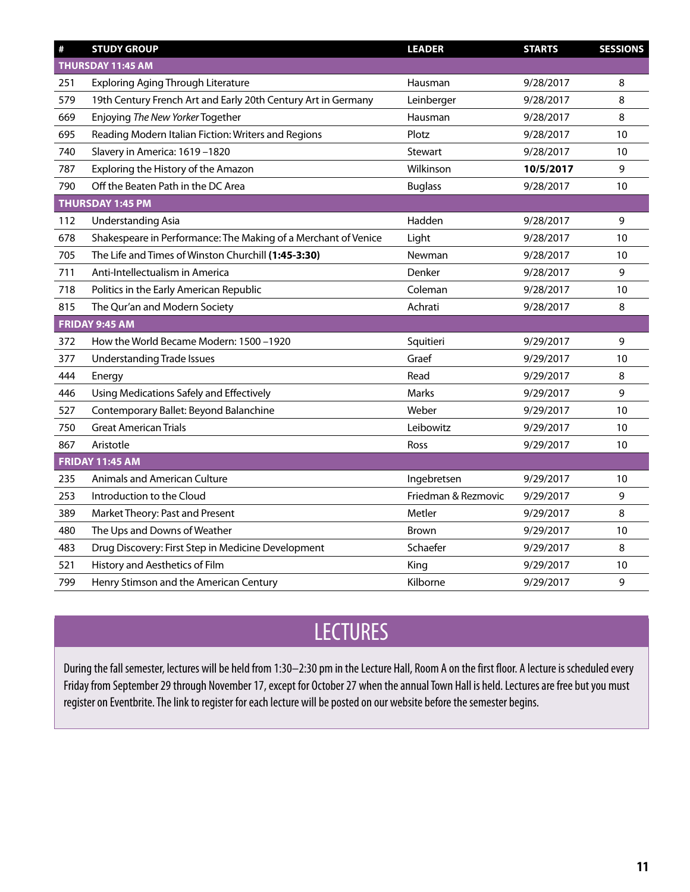| $\#$ | <b>STUDY GROUP</b>                                             | <b>LEADER</b>       | <b>STARTS</b> | <b>SESSIONS</b> |
|------|----------------------------------------------------------------|---------------------|---------------|-----------------|
|      | THURSDAY 11:45 AM                                              |                     |               |                 |
| 251  | <b>Exploring Aging Through Literature</b>                      | Hausman             | 9/28/2017     | 8               |
| 579  | 19th Century French Art and Early 20th Century Art in Germany  | Leinberger          | 9/28/2017     | 8               |
| 669  | Enjoying The New Yorker Together                               | Hausman             | 9/28/2017     | 8               |
| 695  | Reading Modern Italian Fiction: Writers and Regions            | Plotz               | 9/28/2017     | 10              |
| 740  | Slavery in America: 1619-1820                                  | <b>Stewart</b>      | 9/28/2017     | 10              |
| 787  | Exploring the History of the Amazon                            | Wilkinson           | 10/5/2017     | 9               |
| 790  | Off the Beaten Path in the DC Area                             | <b>Buglass</b>      | 9/28/2017     | 10              |
|      | THURSDAY 1:45 PM                                               |                     |               |                 |
| 112  | <b>Understanding Asia</b>                                      | Hadden              | 9/28/2017     | 9               |
| 678  | Shakespeare in Performance: The Making of a Merchant of Venice | Light               | 9/28/2017     | 10              |
| 705  | The Life and Times of Winston Churchill (1:45-3:30)            | Newman              | 9/28/2017     | 10              |
| 711  | Anti-Intellectualism in America                                | Denker              | 9/28/2017     | 9               |
| 718  | Politics in the Early American Republic                        | Coleman             | 9/28/2017     | 10              |
| 815  | The Qur'an and Modern Society                                  | Achrati             | 9/28/2017     | 8               |
|      | FRIDAY 9:45 AM                                                 |                     |               |                 |
| 372  | How the World Became Modern: 1500 -1920                        | Squitieri           | 9/29/2017     | 9               |
| 377  | <b>Understanding Trade Issues</b>                              | Graef               | 9/29/2017     | 10              |
| 444  | Energy                                                         | Read                | 9/29/2017     | 8               |
| 446  | Using Medications Safely and Effectively                       | Marks               | 9/29/2017     | 9               |
| 527  | Contemporary Ballet: Beyond Balanchine                         | Weber               | 9/29/2017     | 10              |
| 750  | <b>Great American Trials</b>                                   | Leibowitz           | 9/29/2017     | 10              |
| 867  | Aristotle                                                      | Ross                | 9/29/2017     | 10              |
|      | <b>FRIDAY 11:45 AM</b>                                         |                     |               |                 |
| 235  | Animals and American Culture                                   | Ingebretsen         | 9/29/2017     | 10              |
| 253  | Introduction to the Cloud                                      | Friedman & Rezmovic | 9/29/2017     | 9               |
| 389  | Market Theory: Past and Present                                | Metler              | 9/29/2017     | 8               |
| 480  | The Ups and Downs of Weather                                   | <b>Brown</b>        | 9/29/2017     | 10              |
| 483  | Drug Discovery: First Step in Medicine Development             | Schaefer            | 9/29/2017     | 8               |
| 521  | History and Aesthetics of Film                                 | King                | 9/29/2017     | 10              |
| 799  | Henry Stimson and the American Century                         | Kilborne            | 9/29/2017     | 9               |

# LECTURES

During the fall semester, lectures will be held from 1:30–2:30 pm in the Lecture Hall, Room A on the first floor. A lecture is scheduled every Friday from September 29 through November 17, except for October 27 when the annual Town Hall is held. Lectures are free but you must register on Eventbrite. The link to register for each lecture will be posted on our website before the semester begins.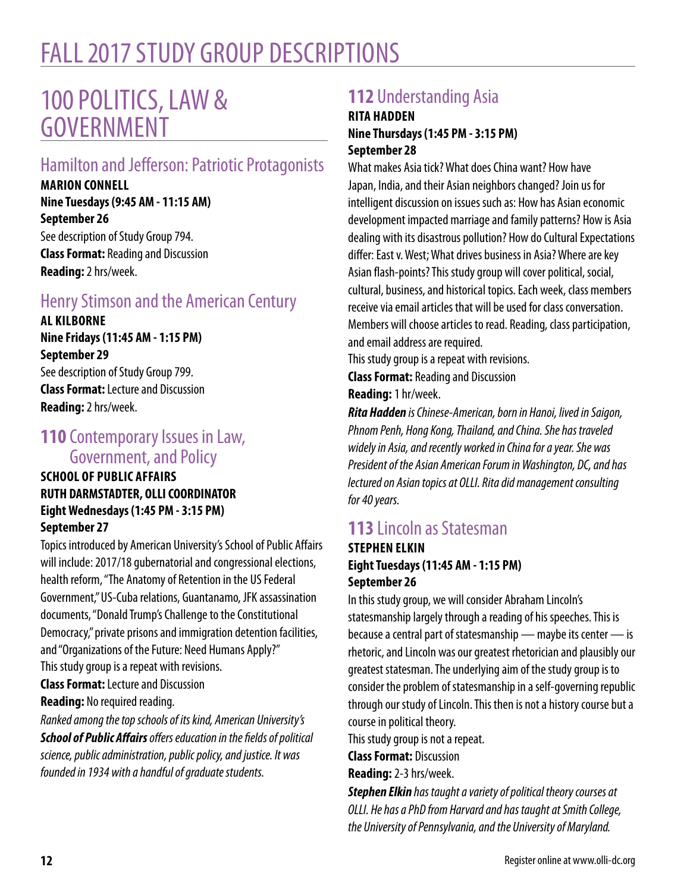# FALL 2017 STUDY GROUP DESCRIPTIONS

# 100 POLITICS, LAW & GOVERNMENT

# Hamilton and Jefferson: Patriotic Protagonists

**MARION CONNELL Nine Tuesdays (9:45 AM - 11:15 AM) September 26** See description of Study Group 794. **Class Format:** Reading and Discussion **Reading:** 2 hrs/week.

# Henry Stimson and the American Century

**AL KILBORNE Nine Fridays (11:45 AM - 1:15 PM) September 29**

See description of Study Group 799. **Class Format:** Lecture and Discussion **Reading:** 2 hrs/week.

### **110** Contemporary Issues in Law, Government, and Policy

### **SCHOOL OF PUBLIC AFFAIRS RUTH DARMSTADTER, OLLI COORDINATOR Eight Wednesdays (1:45 PM - 3:15 PM) September 27**

Topics introduced by American University's School of Public Affairs will include: 2017/18 gubernatorial and congressional elections, health reform, "The Anatomy of Retention in the US Federal Government," US-Cuba relations, Guantanamo, JFK assassination documents, "Donald Trump's Challenge to the Constitutional Democracy," private prisons and immigration detention facilities, and "Organizations of the Future: Need Humans Apply?" This study group is a repeat with revisions. **Class Format:** Lecture and Discussion **Reading:** No required reading.

*Ranked among the top schools of its kind, American University's School of Public Affairs offers education in the fields of political science, public administration, public policy, and justice. It was founded in 1934 with a handful of graduate students.*

# **112** Understanding Asia

### **RITA HADDEN Nine Thursdays (1:45 PM - 3:15 PM) September 28**

What makes Asia tick? What does China want? How have Japan, India, and their Asian neighbors changed? Join us for intelligent discussion on issues such as: How has Asian economic development impacted marriage and family patterns? How is Asia dealing with its disastrous pollution? How do Cultural Expectations differ: East v. West; What drives business in Asia? Where are key Asian flash-points? This study group will cover political, social, cultural, business, and historical topics. Each week, class members receive via email articles that will be used for class conversation. Members will choose articles to read. Reading, class participation, and email address are required.

This study group is a repeat with revisions. **Class Format:** Reading and Discussion **Reading:** 1 hr/week.

*Rita Hadden is Chinese-American, born in Hanoi, lived in Saigon, Phnom Penh, Hong Kong, Thailand, and China. She has traveled widely in Asia, and recently worked in China for a year. She was President of the Asian American Forum in Washington, DC, and has lectured on Asian topics at OLLI. Rita did management consulting for 40 years.*

# **113** Lincoln as Statesman

### **STEPHEN ELKIN Eight Tuesdays (11:45 AM - 1:15 PM) September 26**

In this study group, we will consider Abraham Lincoln's statesmanship largely through a reading of his speeches. This is because a central part of statesmanship — maybe its center — is rhetoric, and Lincoln was our greatest rhetorician and plausibly our greatest statesman. The underlying aim of the study group is to consider the problem of statesmanship in a self-governing republic through our study of Lincoln. This then is not a history course but a course in political theory.

This study group is not a repeat.

**Class Format:** Discussion

**Reading:** 2-3 hrs/week.

*Stephen Elkin has taught a variety of political theory courses at OLLI. He has a PhD from Harvard and has taught at Smith College, the University of Pennsylvania, and the University of Maryland.*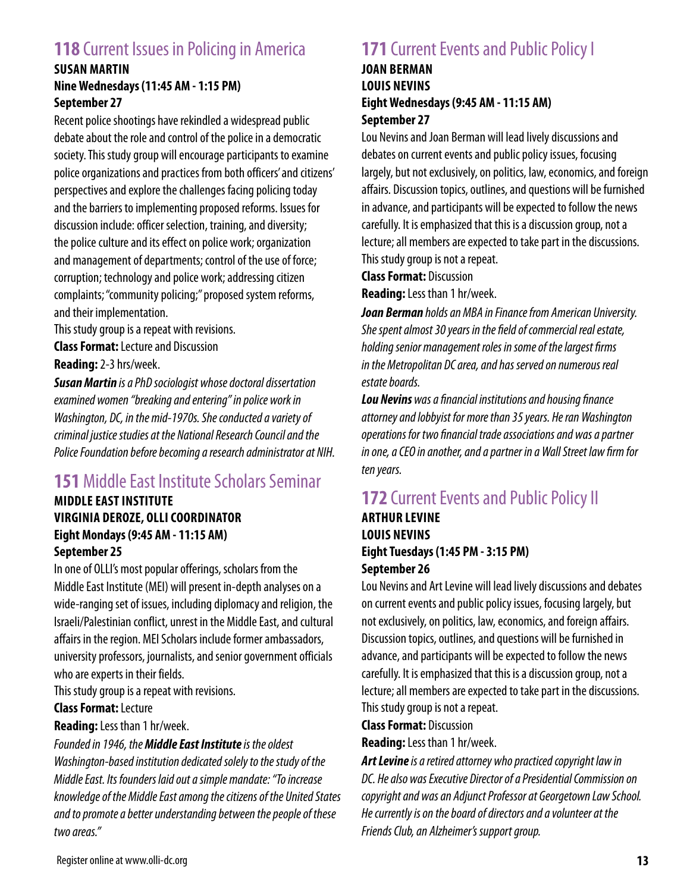# **118** Current Issues in Policing in America

### **SUSAN MARTIN Nine Wednesdays (11:45 AM - 1:15 PM) September 27**

Recent police shootings have rekindled a widespread public debate about the role and control of the police in a democratic society. This study group will encourage participants to examine police organizations and practices from both officers' and citizens' perspectives and explore the challenges facing policing today and the barriers to implementing proposed reforms. Issues for discussion include: officer selection, training, and diversity; the police culture and its effect on police work; organization and management of departments; control of the use of force; corruption; technology and police work; addressing citizen complaints; "community policing;" proposed system reforms, and their implementation.

This study group is a repeat with revisions.

**Class Format:** Lecture and Discussion **Reading:** 2-3 hrs/week.

*Susan Martin is a PhD sociologist whose doctoral dissertation examined women "breaking and entering" in police work in Washington, DC, in the mid-1970s. She conducted a variety of criminal justice studies at the National Research Council and the Police Foundation before becoming a research administrator at NIH.*

# **151** Middle East Institute Scholars Seminar

### **MIDDLE EAST INSTITUTE VIRGINIA DEROZE, OLLI COORDINATOR Eight Mondays (9:45 AM - 11:15 AM) September 25**

In one of OLLI's most popular offerings, scholars from the Middle East Institute (MEI) will present in-depth analyses on a wide-ranging set of issues, including diplomacy and religion, the Israeli/Palestinian conflict, unrest in the Middle East, and cultural affairs in the region. MEI Scholars include former ambassadors, university professors, journalists, and senior government officials who are experts in their fields.

This study group is a repeat with revisions.

### **Class Format:** Lecture

**Reading:** Less than 1 hr/week.

#### *Founded in 1946, the Middle East Institute is the oldest*

*Washington-based institution dedicated solely to the study of the Middle East. Its founders laid out a simple mandate: "To increase knowledge of the Middle East among the citizens of the United States and to promote a better understanding between the people of these two areas."*

# **171** Current Events and Public Policy I

### **JOAN BERMAN LOUIS NEVINS Eight Wednesdays (9:45 AM - 11:15 AM) September 27**

Lou Nevins and Joan Berman will lead lively discussions and debates on current events and public policy issues, focusing largely, but not exclusively, on politics, law, economics, and foreign affairs. Discussion topics, outlines, and questions will be furnished in advance, and participants will be expected to follow the news carefully. It is emphasized that this is a discussion group, not a lecture; all members are expected to take part in the discussions. This study group is not a repeat.

**Class Format:** Discussion

**Reading:** Less than 1 hr/week.

*Joan Berman holds an MBA in Finance from American University. She spent almost 30 years in the field of commercial real estate, holding senior management roles in some of the largest firms in the Metropolitan DC area, and has served on numerous real estate boards.*

*Lou Nevins was a financial institutions and housing finance attorney and lobbyist for more than 35 years. He ran Washington operations for two financial trade associations and was a partner in one, a CEO in another, and a partner in a Wall Street law firm for ten years.*

# **172 Current Events and Public Policy II**

### **ARTHUR LEVINE LOUIS NEVINS Eight Tuesdays (1:45 PM - 3:15 PM) September 26**

Lou Nevins and Art Levine will lead lively discussions and debates on current events and public policy issues, focusing largely, but not exclusively, on politics, law, economics, and foreign affairs. Discussion topics, outlines, and questions will be furnished in advance, and participants will be expected to follow the news carefully. It is emphasized that this is a discussion group, not a lecture; all members are expected to take part in the discussions. This study group is not a repeat.

**Class Format:** Discussion

**Reading:** Less than 1 hr/week.

*Art Levine is a retired attorney who practiced copyright law in DC. He also was Executive Director of a Presidential Commission on copyright and was an Adjunct Professor at Georgetown Law School. He currently is on the board of directors and a volunteer at the Friends Club, an Alzheimer's support group.*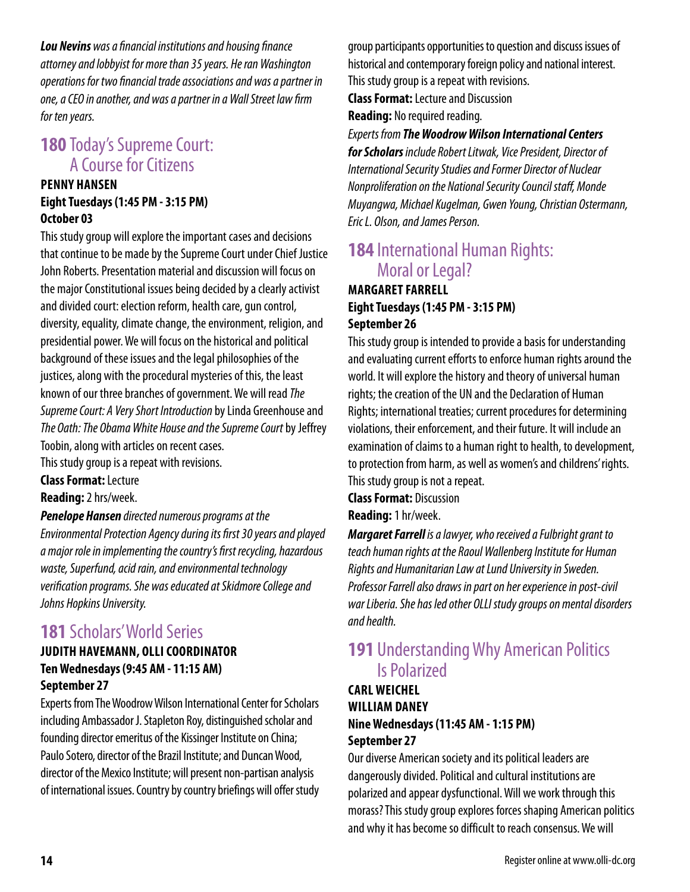*Lou Nevins was a financial institutions and housing finance attorney and lobbyist for more than 35 years. He ran Washington operations for two financial trade associations and was a partner in one, a CEO in another, and was a partner in a Wall Street law firm for ten years.*

## **180** Today's Supreme Court: A Course for Citizens

### **PENNY HANSEN Eight Tuesdays (1:45 PM - 3:15 PM) October 03**

This study group will explore the important cases and decisions that continue to be made by the Supreme Court under Chief Justice John Roberts. Presentation material and discussion will focus on the major Constitutional issues being decided by a clearly activist and divided court: election reform, health care, gun control, diversity, equality, climate change, the environment, religion, and presidential power. We will focus on the historical and political background of these issues and the legal philosophies of the justices, along with the procedural mysteries of this, the least known of our three branches of government. We will read *The Supreme Court: A Very Short Introduction* by Linda Greenhouse and *The Oath: The Obama White House and the Supreme Court* by Jeffrey Toobin, along with articles on recent cases.

This study group is a repeat with revisions.

**Class Format:** Lecture

**Reading:** 2 hrs/week.

#### *Penelope Hansen directed numerous programs at the*

*Environmental Protection Agency during its first 30 years and played a major role in implementing the country's first recycling, hazardous waste, Superfund, acid rain, and environmental technology verification programs. She was educated at Skidmore College and Johns Hopkins University.*

### **181** Scholars' World Series

### **JUDITH HAVEMANN, OLLI COORDINATOR Ten Wednesdays (9:45 AM - 11:15 AM) September 27**

Experts from The Woodrow Wilson International Center for Scholars including Ambassador J. Stapleton Roy, distinguished scholar and founding director emeritus of the Kissinger Institute on China; Paulo Sotero, director of the Brazil Institute; and Duncan Wood, director of the Mexico Institute; will present non-partisan analysis of international issues. Country by country briefings will offer study group participants opportunities to question and discuss issues of historical and contemporary foreign policy and national interest. This study group is a repeat with revisions.

**Class Format:** Lecture and Discussion **Reading:** No required reading.

### *Experts from The Woodrow Wilson International Centers for Scholars include Robert Litwak, Vice President, Director of International Security Studies and Former Director of Nuclear Nonproliferation on the National Security Council staff, Monde Muyangwa, Michael Kugelman, Gwen Young, Christian Ostermann, Eric L. Olson, and James Person.*

### **184** International Human Rights: Moral or Legal?

### **MARGARET FARRELL Eight Tuesdays (1:45 PM - 3:15 PM) September 26**

This study group is intended to provide a basis for understanding and evaluating current efforts to enforce human rights around the world. It will explore the history and theory of universal human rights; the creation of the UN and the Declaration of Human Rights; international treaties; current procedures for determining violations, their enforcement, and their future. It will include an examination of claims to a human right to health, to development, to protection from harm, as well as women's and childrens' rights. This study group is not a repeat.

**Class Format:** Discussion

**Reading:** 1 hr/week.

*Margaret Farrell is a lawyer, who received a Fulbright grant to teach human rights at the Raoul Wallenberg Institute for Human Rights and Humanitarian Law at Lund University in Sweden. Professor Farrell also draws in part on her experience in post-civil war Liberia. She has led other OLLI study groups on mental disorders and health.*

### **191** Understanding Why American Politics Is Polarized

### **CARL WEICHEL WILLIAM DANEY Nine Wednesdays (11:45 AM - 1:15 PM) September 27**

Our diverse American society and its political leaders are dangerously divided. Political and cultural institutions are polarized and appear dysfunctional. Will we work through this morass? This study group explores forces shaping American politics and why it has become so difficult to reach consensus. We will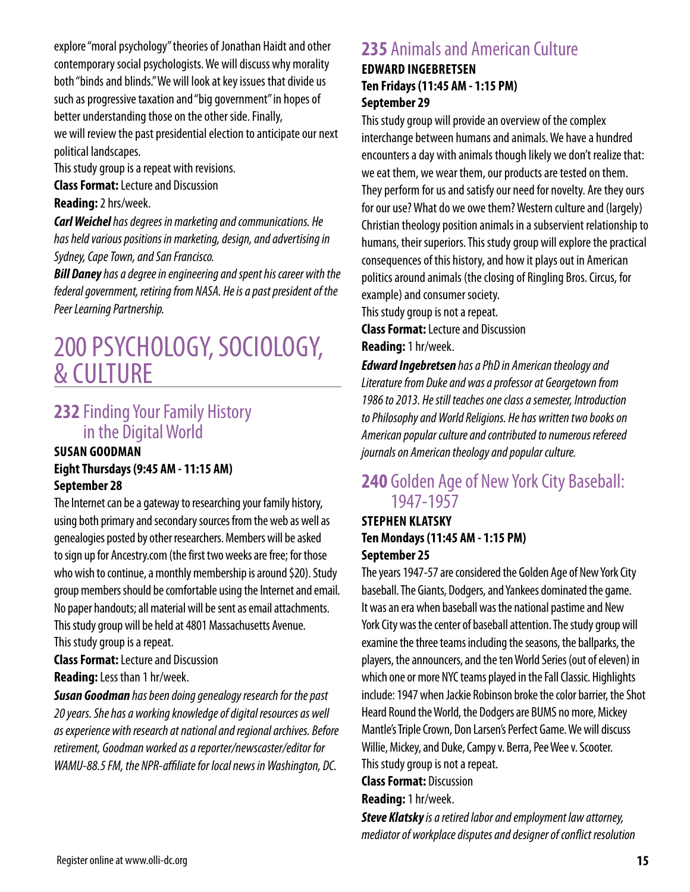explore "moral psychology" theories of Jonathan Haidt and other contemporary social psychologists. We will discuss why morality both "binds and blinds." We will look at key issues that divide us such as progressive taxation and "big government" in hopes of better understanding those on the other side. Finally, we will review the past presidential election to anticipate our next

political landscapes.

This study group is a repeat with revisions.

**Class Format:** Lecture and Discussion

**Reading:** 2 hrs/week.

*Carl Weichel has degrees in marketing and communications. He has held various positions in marketing, design, and advertising in Sydney, Cape Town, and San Francisco.*

*Bill Daney has a degree in engineering and spent his career with the federal government, retiring from NASA. He is a past president of the Peer Learning Partnership.*

# 200 PSYCHOLOGY, SOCIOLOGY, & CULTURE

## **232** Finding Your Family History in the Digital World

### **SUSAN GOODMAN Eight Thursdays (9:45 AM - 11:15 AM) September 28**

The Internet can be a gateway to researching your family history, using both primary and secondary sources from the web as well as genealogies posted by other researchers. Members will be asked to sign up for Ancestry.com (the first two weeks are free; for those who wish to continue, a monthly membership is around \$20). Study group members should be comfortable using the Internet and email. No paper handouts; all material will be sent as email attachments. This study group will be held at 4801 Massachusetts Avenue. This study group is a repeat.

**Class Format:** Lecture and Discussion **Reading:** Less than 1 hr/week.

*Susan Goodman has been doing genealogy research for the past 20 years. She has a working knowledge of digital resources as well as experience with research at national and regional archives. Before retirement, Goodman worked as a reporter/newscaster/editor for WAMU-88.5 FM, the NPR-affiliate for local news in Washington, DC.*

## **235** Animals and American Culture

### **EDWARD INGEBRETSEN Ten Fridays (11:45 AM - 1:15 PM) September 29**

This study group will provide an overview of the complex interchange between humans and animals. We have a hundred encounters a day with animals though likely we don't realize that: we eat them, we wear them, our products are tested on them. They perform for us and satisfy our need for novelty. Are they ours for our use? What do we owe them? Western culture and (largely) Christian theology position animals in a subservient relationship to humans, their superiors. This study group will explore the practical consequences of this history, and how it plays out in American politics around animals (the closing of Ringling Bros. Circus, for example) and consumer society.

This study group is not a repeat.

**Class Format:** Lecture and Discussion **Reading:** 1 hr/week.

*Edward Ingebretsen has a PhD in American theology and* 

*Literature from Duke and was a professor at Georgetown from 1986 to 2013. He still teaches one class a semester, Introduction to Philosophy and World Religions. He has written two books on American popular culture and contributed to numerous refereed journals on American theology and popular culture.*

### **240** Golden Age of New York City Baseball: 1947-1957

### **STEPHEN KLATSKY Ten Mondays (11:45 AM - 1:15 PM) September 25**

The years 1947-57 are considered the Golden Age of New York City baseball. The Giants, Dodgers, and Yankees dominated the game. It was an era when baseball was the national pastime and New York City was the center of baseball attention. The study group will examine the three teams including the seasons, the ballparks, the players, the announcers, and the ten World Series (out of eleven) in which one or more NYC teams played in the Fall Classic. Highlights include: 1947 when Jackie Robinson broke the color barrier, the Shot Heard Round the World, the Dodgers are BUMS no more, Mickey Mantle's Triple Crown, Don Larsen's Perfect Game. We will discuss Willie, Mickey, and Duke, Campy v. Berra, Pee Wee v. Scooter. This study group is not a repeat.

**Class Format:** Discussion

**Reading:** 1 hr/week.

*Steve Klatsky is a retired labor and employment law attorney, mediator of workplace disputes and designer of conflict resolution*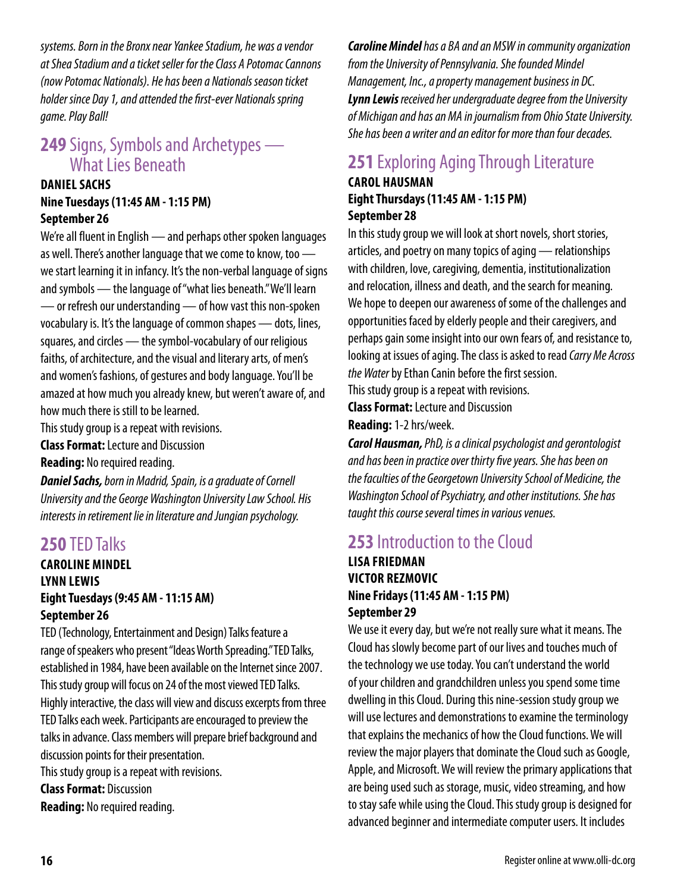*systems. Born in the Bronx near Yankee Stadium, he was a vendor at Shea Stadium and a ticket seller for the Class A Potomac Cannons (now Potomac Nationals). He has been a Nationals season ticket holder since Day 1, and attended the first-ever Nationals spring game. Play Ball!*

## **249** Signs, Symbols and Archetypes — What Lies Beneath

### **DANIEL SACHS Nine Tuesdays (11:45 AM - 1:15 PM) September 26**

We're all fluent in English — and perhaps other spoken languages as well. There's another language that we come to know, too we start learning it in infancy. It's the non-verbal language of signs and symbols — the language of "what lies beneath." We'll learn — or refresh our understanding — of how vast this non-spoken vocabulary is. It's the language of common shapes — dots, lines, squares, and circles — the symbol-vocabulary of our religious faiths, of architecture, and the visual and literary arts, of men's and women's fashions, of gestures and body language. You'll be amazed at how much you already knew, but weren't aware of, and how much there is still to be learned.

This study group is a repeat with revisions.

**Class Format:** Lecture and Discussion

**Reading:** No required reading.

*Daniel Sachs, born in Madrid, Spain, is a graduate of Cornell University and the George Washington University Law School. His interests in retirement lie in literature and Jungian psychology.*

## **250** TED Talks

**CAROLINE MINDEL LYNN LEWIS Eight Tuesdays (9:45 AM - 11:15 AM) September 26**

TED (Technology, Entertainment and Design) Talks feature a range of speakers who present "Ideas Worth Spreading." TED Talks, established in 1984, have been available on the Internet since 2007. This study group will focus on 24 of the most viewed TED Talks. Highly interactive, the class will view and discuss excerpts from three TED Talks each week. Participants are encouraged to preview the talks in advance. Class members will prepare brief background and discussion points for their presentation.

This study group is a repeat with revisions.

**Class Format:** Discussion

**Reading:** No required reading.

*Caroline Mindel has a BA and an MSW in community organization from the University of Pennsylvania. She founded Mindel Management, Inc., a property management business in DC. Lynn Lewis received her undergraduate degree from the University of Michigan and has an MA in journalism from Ohio State University. She has been a writer and an editor for more than four decades.*

# **251** Exploring Aging Through Literature

### **CAROL HAUSMAN Eight Thursdays (11:45 AM - 1:15 PM) September 28**

In this study group we will look at short novels, short stories, articles, and poetry on many topics of aging — relationships with children, love, caregiving, dementia, institutionalization and relocation, illness and death, and the search for meaning. We hope to deepen our awareness of some of the challenges and opportunities faced by elderly people and their caregivers, and perhaps gain some insight into our own fears of, and resistance to, looking at issues of aging. The class is asked to read *Carry Me Across the Water* by Ethan Canin before the first session.

This study group is a repeat with revisions.

**Class Format:** Lecture and Discussion

**Reading:** 1-2 hrs/week.

*Carol Hausman, PhD, is a clinical psychologist and gerontologist and has been in practice over thirty five years. She has been on the faculties of the Georgetown University School of Medicine, the Washington School of Psychiatry, and other institutions. She has taught this course several times in various venues.*

### **253** Introduction to the Cloud

### **LISA FRIEDMAN VICTOR REZMOVIC Nine Fridays (11:45 AM - 1:15 PM) September 29**

We use it every day, but we're not really sure what it means. The Cloud has slowly become part of our lives and touches much of the technology we use today. You can't understand the world of your children and grandchildren unless you spend some time dwelling in this Cloud. During this nine-session study group we will use lectures and demonstrations to examine the terminology that explains the mechanics of how the Cloud functions. We will review the major players that dominate the Cloud such as Google, Apple, and Microsoft. We will review the primary applications that are being used such as storage, music, video streaming, and how to stay safe while using the Cloud. This study group is designed for advanced beginner and intermediate computer users. It includes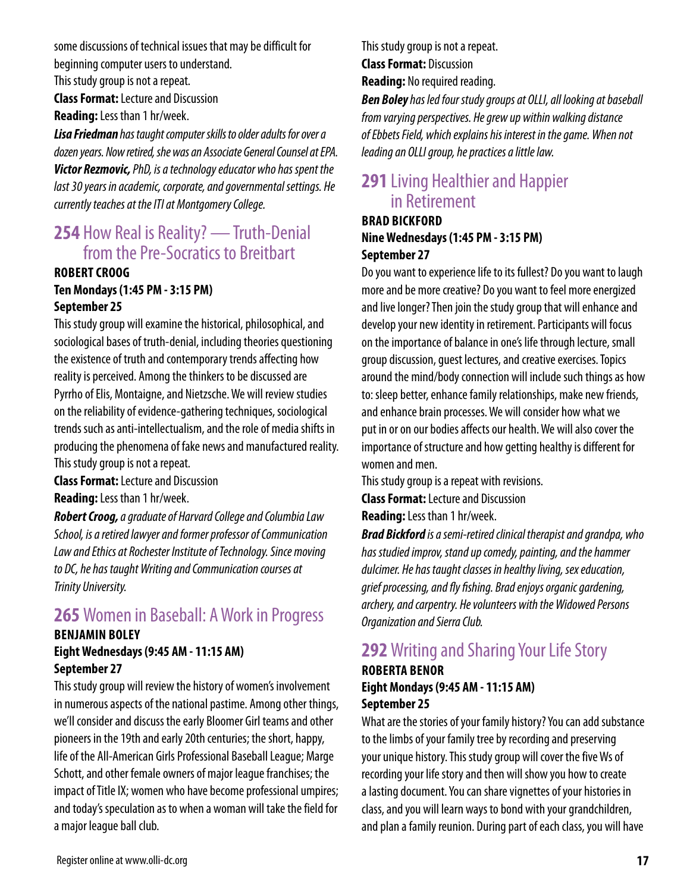some discussions of technical issues that may be difficult for beginning computer users to understand.

This study group is not a repeat.

**Class Format:** Lecture and Discussion **Reading:** Less than 1 hr/week.

*Lisa Friedman has taught computer skills to older adults for over a dozen years. Now retired, she was an Associate General Counsel at EPA. Victor Rezmovic, PhD, is a technology educator who has spent the last 30 years in academic, corporate, and governmental settings. He currently teaches at the ITI at Montgomery College.*

### **254** How Real is Reality? — Truth-Denial from the Pre-Socratics to Breitbart

### **ROBERT CROOG Ten Mondays (1:45 PM - 3:15 PM) September 25**

This study group will examine the historical, philosophical, and sociological bases of truth-denial, including theories questioning the existence of truth and contemporary trends affecting how reality is perceived. Among the thinkers to be discussed are Pyrrho of Elis, Montaigne, and Nietzsche. We will review studies on the reliability of evidence-gathering techniques, sociological trends such as anti-intellectualism, and the role of media shifts in producing the phenomena of fake news and manufactured reality. This study group is not a repeat.

**Class Format:** Lecture and Discussion

**Reading:** Less than 1 hr/week.

*Robert Croog, a graduate of Harvard College and Columbia Law School, is a retired lawyer and former professor of Communication Law and Ethics at Rochester Institute of Technology. Since moving to DC, he has taught Writing and Communication courses at Trinity University.*

# **265** Women in Baseball: A Work in Progress

### **BENJAMIN BOLEY Eight Wednesdays (9:45 AM - 11:15 AM) September 27**

This study group will review the history of women's involvement in numerous aspects of the national pastime. Among other things, we'll consider and discuss the early Bloomer Girl teams and other pioneers in the 19th and early 20th centuries; the short, happy, life of the All-American Girls Professional Baseball League; Marge Schott, and other female owners of major league franchises; the impact of Title IX; women who have become professional umpires; and today's speculation as to when a woman will take the field for a major league ball club.

This study group is not a repeat. **Class Format:** Discussion

**Reading:** No required reading.

*Ben Boley has led four study groups at OLLI, all looking at baseball from varying perspectives. He grew up within walking distance of Ebbets Field, which explains his interest in the game. When not leading an OLLI group, he practices a little law.*

## **291** Living Healthier and Happier in Retirement

### **BRAD BICKFORD Nine Wednesdays (1:45 PM - 3:15 PM) September 27**

Do you want to experience life to its fullest? Do you want to laugh more and be more creative? Do you want to feel more energized and live longer? Then join the study group that will enhance and develop your new identity in retirement. Participants will focus on the importance of balance in one's life through lecture, small group discussion, guest lectures, and creative exercises. Topics around the mind/body connection will include such things as how to: sleep better, enhance family relationships, make new friends, and enhance brain processes. We will consider how what we put in or on our bodies affects our health. We will also cover the importance of structure and how getting healthy is different for women and men.

This study group is a repeat with revisions.

**Class Format:** Lecture and Discussion

**Reading:** Less than 1 hr/week.

*Brad Bickford is a semi-retired clinical therapist and grandpa, who has studied improv, stand up comedy, painting, and the hammer dulcimer. He has taught classes in healthy living, sex education, grief processing, and fly fishing. Brad enjoys organic gardening, archery, and carpentry. He volunteers with the Widowed Persons Organization and Sierra Club.*

# **292** Writing and Sharing Your Life Story

### **ROBERTA BENOR Eight Mondays (9:45 AM - 11:15 AM) September 25**

What are the stories of your family history? You can add substance to the limbs of your family tree by recording and preserving your unique history. This study group will cover the five Ws of recording your life story and then will show you how to create a lasting document. You can share vignettes of your histories in class, and you will learn ways to bond with your grandchildren, and plan a family reunion. During part of each class, you will have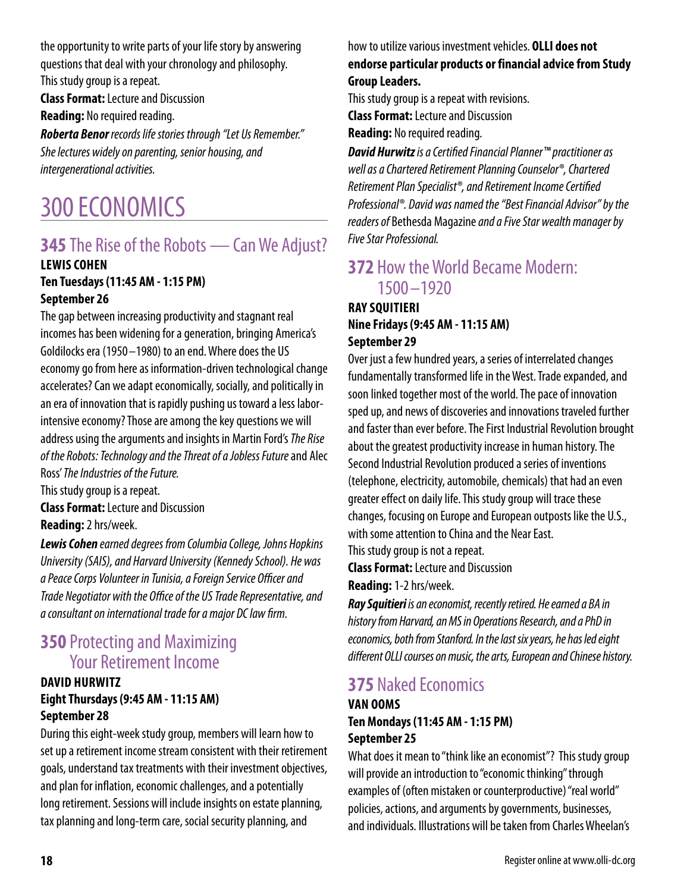the opportunity to write parts of your life story by answering questions that deal with your chronology and philosophy. This study group is a repeat.

**Class Format:** Lecture and Discussion **Reading:** No required reading.

*Roberta Benor records life stories through "Let Us Remember." She lectures widely on parenting, senior housing, and intergenerational activities.*

# 300 ECONOMICS

# **345** The Rise of the Robots — Can We Adjust?

#### **LEWIS COHEN Ten Tuesdays (11:45 AM - 1:15 PM) September 26**

The gap between increasing productivity and stagnant real incomes has been widening for a generation, bringing America's Goldilocks era (1950 –1980) to an end. Where does the US economy go from here as information-driven technological change accelerates? Can we adapt economically, socially, and politically in an era of innovation that is rapidly pushing us toward a less laborintensive economy? Those are among the key questions we will address using the arguments and insights in Martin Ford's *The Rise of the Robots: Technology and the Threat of a Jobless Future* and Alec Ross' *The Industries of the Future.*

This study group is a repeat. **Class Format:** Lecture and Discussion **Reading:** 2 hrs/week.

*Lewis Cohen earned degrees from Columbia College, Johns Hopkins University (SAIS), and Harvard University (Kennedy School). He was a Peace Corps Volunteer in Tunisia, a Foreign Service Officer and Trade Negotiator with the Office of the US Trade Representative, and a consultant on international trade for a major DC law firm.*

## **350** Protecting and Maximizing Your Retirement Income

### **DAVID HURWITZ Eight Thursdays (9:45 AM - 11:15 AM) September 28**

During this eight-week study group, members will learn how to set up a retirement income stream consistent with their retirement goals, understand tax treatments with their investment objectives, and plan for inflation, economic challenges, and a potentially long retirement. Sessions will include insights on estate planning, tax planning and long-term care, social security planning, and

how to utilize various investment vehicles. **OLLI does not endorse particular products or financial advice from Study Group Leaders.**

This study group is a repeat with revisions.

**Class Format:** Lecture and Discussion

**Reading:** No required reading.

*David Hurwitz is a Certified Financial Planner™ practitioner as well as a Chartered Retirement Planning Counselor®, Chartered Retirement Plan Specialist®, and Retirement Income Certified Professional®. David was named the "Best Financial Advisor" by the readers of* Bethesda Magazine *and a Five Star wealth manager by Five Star Professional.*

## **372** How the World Became Modern: 1500 –1920

### **RAY SQUITIERI Nine Fridays (9:45 AM - 11:15 AM) September 29**

Over just a few hundred years, a series of interrelated changes fundamentally transformed life in the West. Trade expanded, and soon linked together most of the world. The pace of innovation sped up, and news of discoveries and innovations traveled further and faster than ever before. The First Industrial Revolution brought about the greatest productivity increase in human history. The Second Industrial Revolution produced a series of inventions (telephone, electricity, automobile, chemicals) that had an even greater effect on daily life. This study group will trace these changes, focusing on Europe and European outposts like the U.S., with some attention to China and the Near East.

This study group is not a repeat.

**Class Format:** Lecture and Discussion

**Reading:** 1-2 hrs/week.

*Ray Squitieri is an economist, recently retired. He earned a BA in history from Harvard, an MS in Operations Research, and a PhD in economics, both from Stanford. In the last six years, he has led eight different OLLI courses on music, the arts, European and Chinese history.*

# **375** Naked Economics

### **VAN OOMS Ten Mondays (11:45 AM - 1:15 PM) September 25**

What does it mean to "think like an economist"? This study group will provide an introduction to "economic thinking" through examples of (often mistaken or counterproductive) "real world" policies, actions, and arguments by governments, businesses, and individuals. Illustrations will be taken from Charles Wheelan's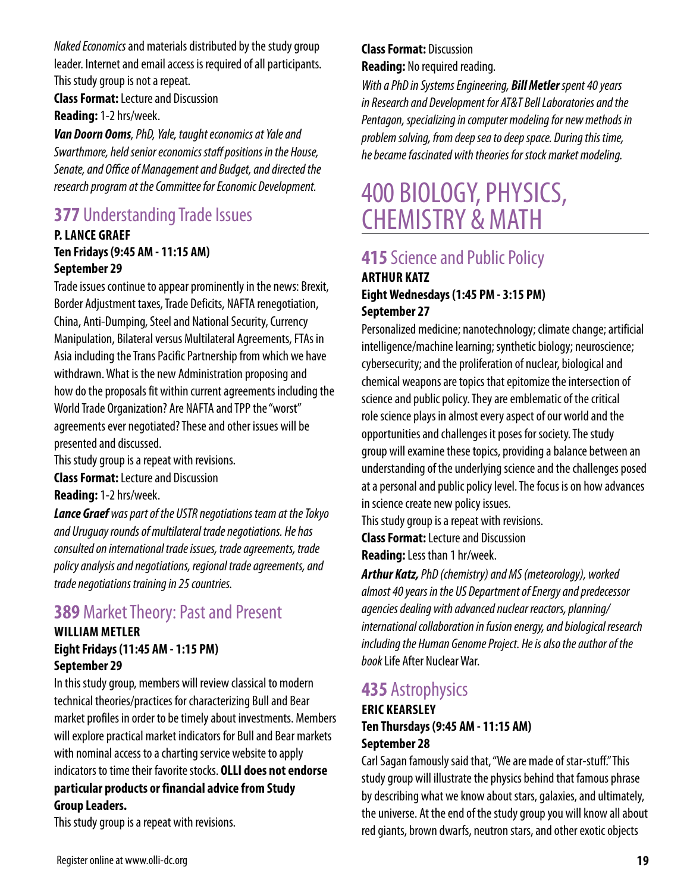*Naked Economics* and materials distributed by the study group leader. Internet and email access is required of all participants. This study group is not a repeat.

**Class Format:** Lecture and Discussion **Reading:** 1-2 hrs/week.

*Van Doorn Ooms, PhD, Yale, taught economics at Yale and Swarthmore, held senior economics staff positions in the House, Senate, and Office of Management and Budget, and directed the research program at the Committee for Economic Development.*

# **377** Understanding Trade Issues

### **P. LANCE GRAEF Ten Fridays (9:45 AM - 11:15 AM) September 29**

Trade issues continue to appear prominently in the news: Brexit, Border Adjustment taxes, Trade Deficits, NAFTA renegotiation, China, Anti-Dumping, Steel and National Security, Currency Manipulation, Bilateral versus Multilateral Agreements, FTAs in Asia including the Trans Pacific Partnership from which we have withdrawn. What is the new Administration proposing and how do the proposals fit within current agreements including the World Trade Organization? Are NAFTA and TPP the "worst" agreements ever negotiated? These and other issues will be presented and discussed.

This study group is a repeat with revisions.

**Class Format:** Lecture and Discussion

**Reading:** 1-2 hrs/week.

*Lance Graef was part of the USTR negotiations team at the Tokyo and Uruguay rounds of multilateral trade negotiations. He has consulted on international trade issues, trade agreements, trade policy analysis and negotiations, regional trade agreements, and trade negotiations training in 25 countries.*

# **389** Market Theory: Past and Present

### **WILLIAM METLER Eight Fridays (11:45 AM - 1:15 PM) September 29**

In this study group, members will review classical to modern technical theories/practices for characterizing Bull and Bear market profiles in order to be timely about investments. Members will explore practical market indicators for Bull and Bear markets with nominal access to a charting service website to apply indicators to time their favorite stocks. **OLLI does not endorse particular products or financial advice from Study Group Leaders.**

This study group is a repeat with revisions.

### **Class Format:** Discussion **Reading:** No required reading.

*With a PhD in Systems Engineering, Bill Metler spent 40 years in Research and Development for AT&T Bell Laboratories and the Pentagon, specializing in computer modeling for new methods in problem solving, from deep sea to deep space. During this time, he became fascinated with theories for stock market modeling.*

# 400 BIOLOGY, PHYSICS, CHEMISTRY & MATH

# **415** Science and Public Policy

#### **ARTHUR KATZ Eight Wednesdays (1:45 PM - 3:15 PM) September 27**

Personalized medicine; nanotechnology; climate change; artificial intelligence/machine learning; synthetic biology; neuroscience; cybersecurity; and the proliferation of nuclear, biological and chemical weapons are topics that epitomize the intersection of science and public policy. They are emblematic of the critical role science plays in almost every aspect of our world and the opportunities and challenges it poses for society. The study group will examine these topics, providing a balance between an understanding of the underlying science and the challenges posed at a personal and public policy level. The focus is on how advances in science create new policy issues.

This study group is a repeat with revisions.

**Class Format:** Lecture and Discussion

**Reading:** Less than 1 hr/week.

*Arthur Katz, PhD (chemistry) and MS (meteorology), worked almost 40 years in the US Department of Energy and predecessor agencies dealing with advanced nuclear reactors, planning/ international collaboration in fusion energy, and biological research including the Human Genome Project. He is also the author of the book* Life After Nuclear War.

### **435** Astrophysics

### **ERIC KEARSLEY Ten Thursdays (9:45 AM - 11:15 AM) September 28**

Carl Sagan famously said that, "We are made of star-stuff." This study group will illustrate the physics behind that famous phrase by describing what we know about stars, galaxies, and ultimately, the universe. At the end of the study group you will know all about red giants, brown dwarfs, neutron stars, and other exotic objects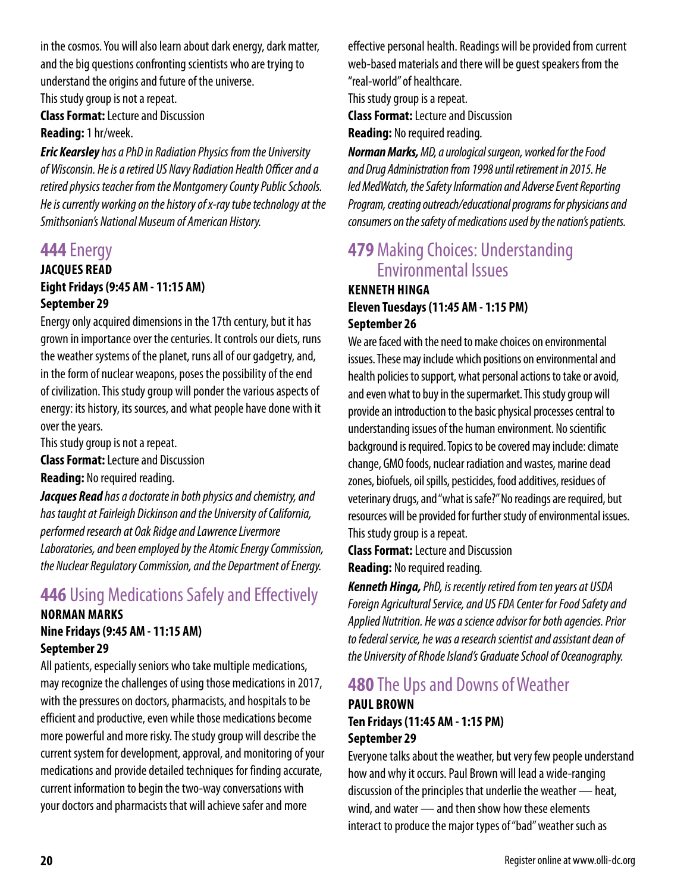in the cosmos. You will also learn about dark energy, dark matter, and the big questions confronting scientists who are trying to understand the origins and future of the universe.

This study group is not a repeat.

**Class Format:** Lecture and Discussion **Reading:** 1 hr/week.

*Eric Kearsley has a PhD in Radiation Physics from the University of Wisconsin. He is a retired US Navy Radiation Health Officer and a retired physics teacher from the Montgomery County Public Schools. He is currently working on the history of x-ray tube technology at the Smithsonian's National Museum of American History.*

### **444** Energy

### **JACQUES READ Eight Fridays (9:45 AM - 11:15 AM) September 29**

Energy only acquired dimensions in the 17th century, but it has grown in importance over the centuries. It controls our diets, runs the weather systems of the planet, runs all of our gadgetry, and, in the form of nuclear weapons, poses the possibility of the end of civilization. This study group will ponder the various aspects of energy: its history, its sources, and what people have done with it over the years.

This study group is not a repeat.

**Class Format:** Lecture and Discussion

**Reading:** No required reading.

*Jacques Read has a doctorate in both physics and chemistry, and has taught at Fairleigh Dickinson and the University of California, performed research at Oak Ridge and Lawrence Livermore Laboratories, and been employed by the Atomic Energy Commission, the Nuclear Regulatory Commission, and the Department of Energy.*

# **446** Using Medications Safely and Effectively

#### **NORMAN MARKS Nine Fridays (9:45 AM - 11:15 AM) September 29**

All patients, especially seniors who take multiple medications, may recognize the challenges of using those medications in 2017, with the pressures on doctors, pharmacists, and hospitals to be efficient and productive, even while those medications become more powerful and more risky. The study group will describe the current system for development, approval, and monitoring of your medications and provide detailed techniques for finding accurate, current information to begin the two-way conversations with your doctors and pharmacists that will achieve safer and more

effective personal health. Readings will be provided from current web-based materials and there will be guest speakers from the "real-world" of healthcare.

This study group is a repeat.

**Class Format:** Lecture and Discussion

**Reading:** No required reading.

*Norman Marks, MD, a urological surgeon, worked for the Food and Drug Administration from 1998 until retirement in 2015. He led MedWatch, the Safety Information and Adverse Event Reporting Program, creating outreach/educational programs for physicians and consumers on the safety of medications used by the nation's patients.* 

# **479** Making Choices: Understanding Environmental Issues

### **KENNETH HINGA Eleven Tuesdays (11:45 AM - 1:15 PM) September 26**

We are faced with the need to make choices on environmental issues. These may include which positions on environmental and health policies to support, what personal actions to take or avoid, and even what to buy in the supermarket. This study group will provide an introduction to the basic physical processes central to understanding issues of the human environment. No scientific background is required. Topics to be covered may include: climate change, GMO foods, nuclear radiation and wastes, marine dead zones, biofuels, oil spills, pesticides, food additives, residues of veterinary drugs, and "what is safe?" No readings are required, but resources will be provided for further study of environmental issues. This study group is a repeat.

**Class Format:** Lecture and Discussion **Reading:** No required reading.

*Kenneth Hinga, PhD, is recently retired from ten years at USDA Foreign Agricultural Service, and US FDA Center for Food Safety and Applied Nutrition. He was a science advisor for both agencies. Prior to federal service, he was a research scientist and assistant dean of the University of Rhode Island's Graduate School of Oceanography.*

# **480** The Ups and Downs of Weather

### **PAUL BROWN Ten Fridays (11:45 AM - 1:15 PM) September 29**

Everyone talks about the weather, but very few people understand how and why it occurs. Paul Brown will lead a wide-ranging discussion of the principles that underlie the weather — heat, wind, and water — and then show how these elements interact to produce the major types of "bad" weather such as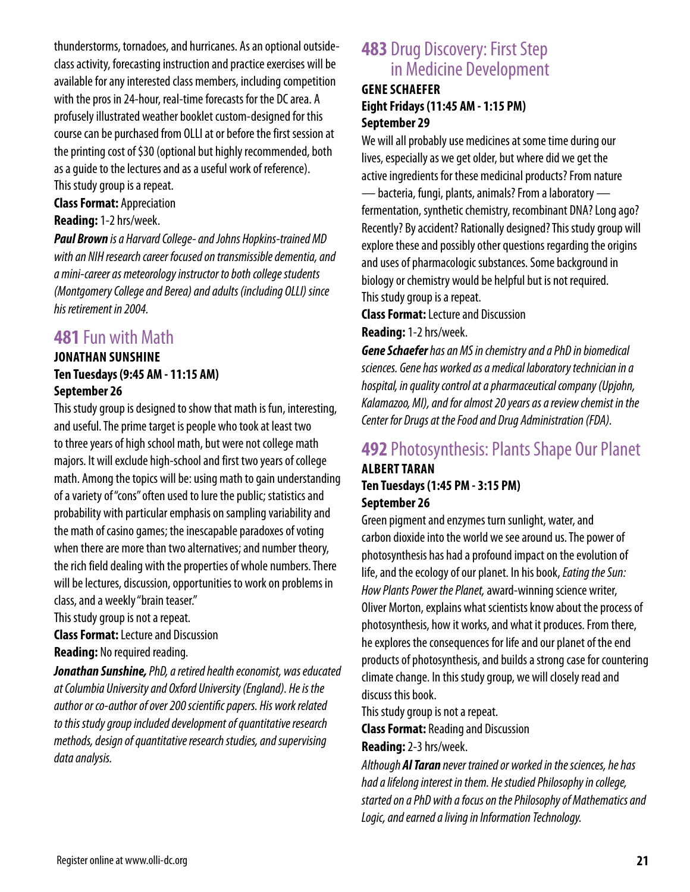thunderstorms, tornadoes, and hurricanes. As an optional outsideclass activity, forecasting instruction and practice exercises will be available for any interested class members, including competition with the pros in 24-hour, real-time forecasts for the DC area. A profusely illustrated weather booklet custom-designed for this course can be purchased from OLLI at or before the first session at the printing cost of \$30 (optional but highly recommended, both as a guide to the lectures and as a useful work of reference). This study group is a repeat.

**Class Format:** Appreciation

#### **Reading:** 1-2 hrs/week.

*Paul Brown is a Harvard College- and Johns Hopkins-trained MD with an NIH research career focused on transmissible dementia, and a mini-career as meteorology instructor to both college students (Montgomery College and Berea) and adults (including OLLI) since his retirement in 2004.*

### **481** Fun with Math

### **JONATHAN SUNSHINE Ten Tuesdays (9:45 AM - 11:15 AM) September 26**

This study group is designed to show that math is fun, interesting, and useful. The prime target is people who took at least two to three years of high school math, but were not college math majors. It will exclude high-school and first two years of college math. Among the topics will be: using math to gain understanding of a variety of "cons" often used to lure the public; statistics and probability with particular emphasis on sampling variability and the math of casino games; the inescapable paradoxes of voting when there are more than two alternatives; and number theory, the rich field dealing with the properties of whole numbers. There will be lectures, discussion, opportunities to work on problems in class, and a weekly "brain teaser."

This study group is not a repeat.

**Class Format:** Lecture and Discussion

**Reading:** No required reading.

*Jonathan Sunshine, PhD, a retired health economist, was educated at Columbia University and Oxford University (England). He is the author or co-author of over 200 scientific papers. His work related to this study group included development of quantitative research methods, design of quantitative research studies, and supervising data analysis.*

### **483** Drug Discovery: First Step in Medicine Development

### **GENE SCHAEFER Eight Fridays (11:45 AM - 1:15 PM) September 29**

We will all probably use medicines at some time during our lives, especially as we get older, but where did we get the active ingredients for these medicinal products? From nature — bacteria, fungi, plants, animals? From a laboratory fermentation, synthetic chemistry, recombinant DNA? Long ago? Recently? By accident? Rationally designed? This study group will explore these and possibly other questions regarding the origins and uses of pharmacologic substances. Some background in biology or chemistry would be helpful but is not required. This study group is a repeat.

**Class Format:** Lecture and Discussion **Reading:** 1-2 hrs/week.

*Gene Schaefer has an MS in chemistry and a PhD in biomedical sciences. Gene has worked as a medical laboratory technician in a hospital, in quality control at a pharmaceutical company (Upjohn, Kalamazoo, MI), and for almost 20 years as a review chemist in the Center for Drugs at the Food and Drug Administration (FDA).*

## **492** Photosynthesis: Plants Shape Our Planet

### **ALBERT TARAN Ten Tuesdays (1:45 PM - 3:15 PM) September 26**

Green pigment and enzymes turn sunlight, water, and carbon dioxide into the world we see around us. The power of photosynthesis has had a profound impact on the evolution of life, and the ecology of our planet. In his book, *Eating the Sun: How Plants Power the Planet,* award-winning science writer, Oliver Morton, explains what scientists know about the process of photosynthesis, how it works, and what it produces. From there, he explores the consequences for life and our planet of the end products of photosynthesis, and builds a strong case for countering climate change. In this study group, we will closely read and discuss this book.

This study group is not a repeat.

**Class Format:** Reading and Discussion

**Reading:** 2-3 hrs/week.

*Although Al Taran never trained or worked in the sciences, he has had a lifelong interest in them. He studied Philosophy in college, started on a PhD with a focus on the Philosophy of Mathematics and Logic, and earned a living in Information Technology.*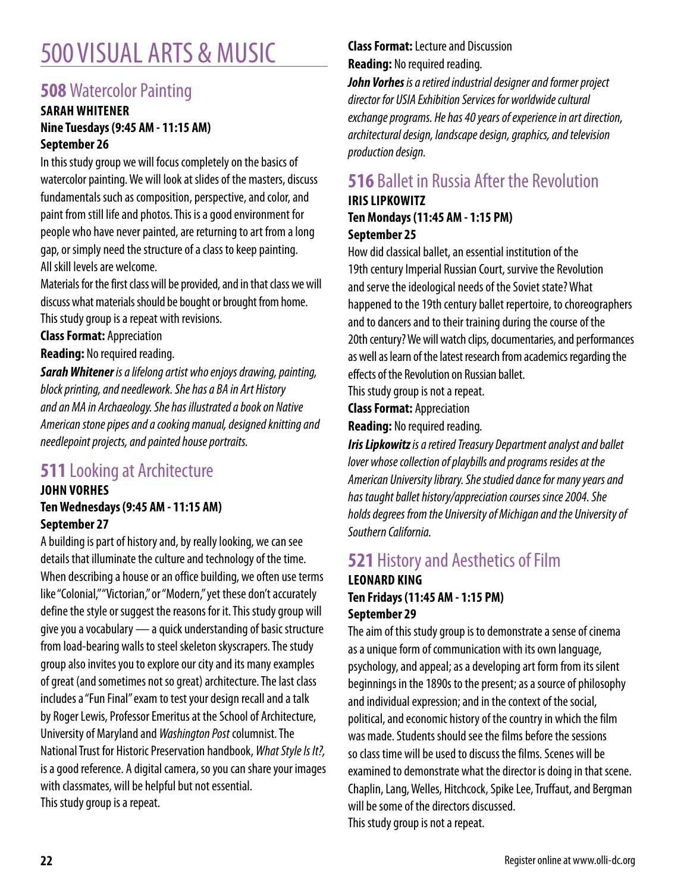# 500 VISUAL ARTS & MUSIC

# **508** Watercolor Painting

### **SARAH WHITENER Nine Tuesdays (9:45 AM - 11:15 AM) September 26**

In this study group we will focus completely on the basics of watercolor painting. We will look at slides of the masters, discuss fundamentals such as composition, perspective, and color, and paint from still life and photos. This is a good environment for people who have never painted, are returning to art from a long gap, or simply need the structure of a class to keep painting. All skill levels are welcome.

Materials for the first class will be provided, and in that class we will discuss what materials should be bought or brought from home. This study group is a repeat with revisions.

**Class Format:** Appreciation

**Reading:** No required reading.

*Sarah Whitener is a lifelong artist who enjoys drawing, painting, block printing, and needlework. She has a BA in Art History and an MA in Archaeology. She has illustrated a book on Native American stone pipes and a cooking manual, designed knitting and needlepoint projects, and painted house portraits.*

# **511** Looking at Architecture

### **JOHN VORHES Ten Wednesdays (9:45 AM - 11:15 AM) September 27**

A building is part of history and, by really looking, we can see details that illuminate the culture and technology of the time. When describing a house or an office building, we often use terms like "Colonial," "Victorian," or "Modern," yet these don't accurately define the style or suggest the reasons for it. This study group will give you a vocabulary — a quick understanding of basic structure from load-bearing walls to steel skeleton skyscrapers. The study group also invites you to explore our city and its many examples of great (and sometimes not so great) architecture. The last class includes a "Fun Final" exam to test your design recall and a talk by Roger Lewis, Professor Emeritus at the School of Architecture, University of Maryland and *Washington Post* columnist. The National Trust for Historic Preservation handbook, *What Style Is It?,*  is a good reference. A digital camera, so you can share your images with classmates, will be helpful but not essential. This study group is a repeat.

### **Class Format:** Lecture and Discussion **Reading:** No required reading.

*John Vorhes is a retired industrial designer and former project director for USIA Exhibition Services for worldwide cultural exchange programs. He has 40 years of experience in art direction, architectural design, landscape design, graphics, and television production design.*

# **516** Ballet in Russia After the Revolution **IRIS LIPKOWITZ**

### **Ten Mondays (11:45 AM - 1:15 PM) September 25**

How did classical ballet, an essential institution of the 19th century Imperial Russian Court, survive the Revolution and serve the ideological needs of the Soviet state? What happened to the 19th century ballet repertoire, to choreographers and to dancers and to their training during the course of the 20th century? We will watch clips, documentaries, and performances as well as learn of the latest research from academics regarding the effects of the Revolution on Russian ballet.

This study group is not a repeat.

**Class Format:** Appreciation

**Reading:** No required reading.

*Iris Lipkowitz is a retired Treasury Department analyst and ballet lover whose collection of playbills and programs resides at the American University library. She studied dance for many years and has taught ballet history/appreciation courses since 2004. She holds degrees from the University of Michigan and the University of Southern California.*

# **521** History and Aesthetics of Film

### **LEONARD KING Ten Fridays (11:45 AM - 1:15 PM) September 29**

The aim of this study group is to demonstrate a sense of cinema as a unique form of communication with its own language, psychology, and appeal; as a developing art form from its silent beginnings in the 1890s to the present; as a source of philosophy and individual expression; and in the context of the social, political, and economic history of the country in which the film was made. Students should see the films before the sessions so class time will be used to discuss the films. Scenes will be examined to demonstrate what the director is doing in that scene. Chaplin, Lang, Welles, Hitchcock, Spike Lee, Truffaut, and Bergman will be some of the directors discussed. This study group is not a repeat.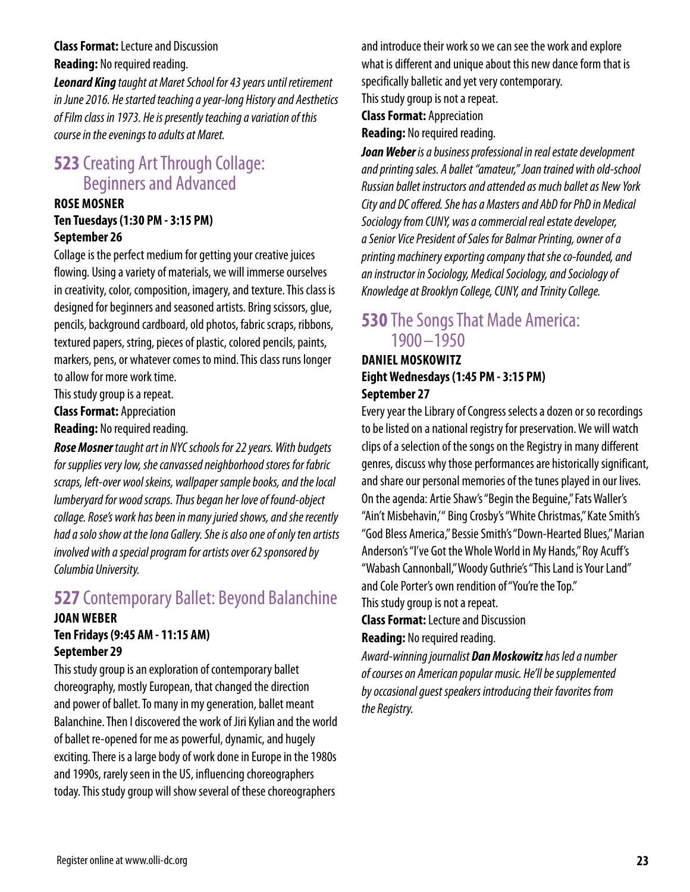### **Class Format:** Lecture and Discussion **Reading:** No required reading.

*Leonard King taught at Maret School for 43 years until retirement in June 2016. He started teaching a year-long History and Aesthetics of Film class in 1973. He is presently teaching a variation of this course in the evenings to adults at Maret.*

## **523** Creating Art Through Collage: Beginners and Advanced

#### **ROSE MOSNER Ten Tuesdays (1:30 PM - 3:15 PM) September 26**

Collage is the perfect medium for getting your creative juices flowing. Using a variety of materials, we will immerse ourselves in creativity, color, composition, imagery, and texture. This class is designed for beginners and seasoned artists. Bring scissors, glue, pencils, background cardboard, old photos, fabric scraps, ribbons, textured papers, string, pieces of plastic, colored pencils, paints, markers, pens, or whatever comes to mind. This class runs longer to allow for more work time.

This study group is a repeat.

**Class Format:** Appreciation

**Reading:** No required reading.

*Rose Mosner taught art in NYC schools for 22 years. With budgets for supplies very low, she canvassed neighborhood stores for fabric scraps, left-over wool skeins, wallpaper sample books, and the local lumberyard for wood scraps. Thus began her love of found-object collage. Rose's work has been in many juried shows, and she recently had a solo show at the Iona Gallery. She is also one of only ten artists involved with a special program for artists over 62 sponsored by Columbia University.*

## **527** Contemporary Ballet: Beyond Balanchine

#### **JOAN WEBER Ten Fridays (9:45 AM - 11:15 AM) September 29**

This study group is an exploration of contemporary ballet choreography, mostly European, that changed the direction and power of ballet. To many in my generation, ballet meant Balanchine. Then I discovered the work of Jiri Kylian and the world of ballet re-opened for me as powerful, dynamic, and hugely exciting. There is a large body of work done in Europe in the 1980s and 1990s, rarely seen in the US, influencing choreographers today. This study group will show several of these choreographers

and introduce their work so we can see the work and explore what is different and unique about this new dance form that is specifically balletic and yet very contemporary. This study group is not a repeat.

**Class Format:** Appreciation

**Reading:** No required reading.

*Joan Weber is a business professional in real estate development and printing sales. A ballet "amateur," Joan trained with old-school Russian ballet instructors and attended as much ballet as New York City and DC offered. She has a Masters and AbD for PhD in Medical Sociology from CUNY, was a commercial real estate developer, a Senior Vice President of Sales for Balmar Printing, owner of a printing machinery exporting company that she co-founded, and an instructor in Sociology, Medical Sociology, and Sociology of Knowledge at Brooklyn College, CUNY, and Trinity College.*

## **530** The Songs That Made America: 1900 –1950

### **DANIEL MOSKOWITZ Eight Wednesdays (1:45 PM - 3:15 PM) September 27**

Every year the Library of Congress selects a dozen or so recordings to be listed on a national registry for preservation. We will watch clips of a selection of the songs on the Registry in many different genres, discuss why those performances are historically significant, and share our personal memories of the tunes played in our lives. On the agenda: Artie Shaw's "Begin the Beguine," Fats Waller's "Ain't Misbehavin," Bing Crosby's "White Christmas," Kate Smith's "God Bless America," Bessie Smith's "Down-Hearted Blues," Marian Anderson's "I've Got the Whole World in My Hands," Roy Acuff's "Wabash Cannonball," Woody Guthrie's "This Land is Your Land" and Cole Porter's own rendition of "You're the Top." This study group is not a repeat.

**Class Format:** Lecture and Discussion **Reading:** No required reading.

*Award-winning journalist Dan Moskowitz has led a number of courses on American popular music. He'll be supplemented by occasional guest speakers introducing their favorites from the Registry.*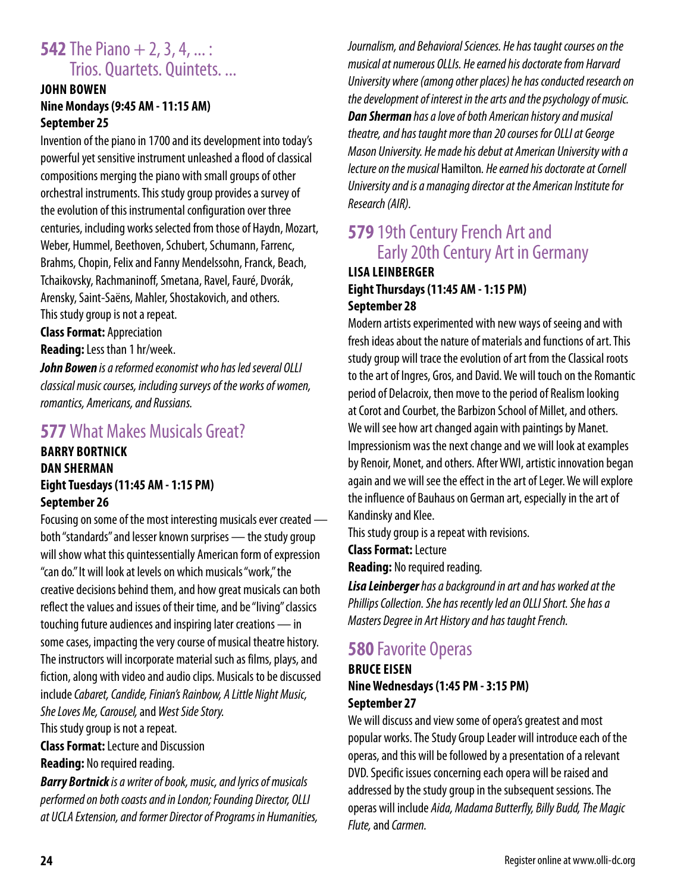## **542** The Piano + 2, 3, 4, ... : Trios. Quartets. Quintets. ...

### **JOHN BOWEN Nine Mondays (9:45 AM - 11:15 AM) September 25**

Invention of the piano in 1700 and its development into today's powerful yet sensitive instrument unleashed a flood of classical compositions merging the piano with small groups of other orchestral instruments. This study group provides a survey of the evolution of this instrumental configuration over three centuries, including works selected from those of Haydn, Mozart, Weber, Hummel, Beethoven, Schubert, Schumann, Farrenc, Brahms, Chopin, Felix and Fanny Mendelssohn, Franck, Beach, Tchaikovsky, Rachmaninoff, Smetana, Ravel, Fauré, Dvorák, Arensky, Saint-Saëns, Mahler, Shostakovich, and others. This study group is not a repeat.

**Class Format:** Appreciation **Reading:** Less than 1 hr/week.

*John Bowen is a reformed economist who has led several OLLI classical music courses, including surveys of the works of women, romantics, Americans, and Russians.*

### **577** What Makes Musicals Great?

### **BARRY BORTNICK DAN SHERMAN Eight Tuesdays (11:45 AM - 1:15 PM) September 26**

Focusing on some of the most interesting musicals ever created both "standards" and lesser known surprises — the study group will show what this quintessentially American form of expression "can do." It will look at levels on which musicals "work," the creative decisions behind them, and how great musicals can both reflect the values and issues of their time, and be "living" classics touching future audiences and inspiring later creations — in some cases, impacting the very course of musical theatre history. The instructors will incorporate material such as films, plays, and fiction, along with video and audio clips. Musicals to be discussed include *Cabaret, Candide, Finian's Rainbow, A Little Night Music, She Loves Me, Carousel,* and *West Side Story.*

This study group is not a repeat.

**Class Format:** Lecture and Discussion **Reading:** No required reading.

*Barry Bortnick is a writer of book, music, and lyrics of musicals performed on both coasts and in London; Founding Director, OLLI at UCLA Extension, and former Director of Programs in Humanities,*  *Journalism, and Behavioral Sciences. He has taught courses on the musical at numerous OLLIs. He earned his doctorate from Harvard University where (among other places) he has conducted research on the development of interest in the arts and the psychology of music. Dan Sherman has a love of both American history and musical theatre, and has taught more than 20 courses for OLLI at George Mason University. He made his debut at American University with a lecture on the musical* Hamilton*. He earned his doctorate at Cornell University and is a managing director at the American Institute for Research (AIR).*

# **579** 19th Century French Art and Early 20th Century Art in Germany

### **LISA LEINBERGER Eight Thursdays (11:45 AM - 1:15 PM) September 28**

Modern artists experimented with new ways of seeing and with fresh ideas about the nature of materials and functions of art. This study group will trace the evolution of art from the Classical roots to the art of Ingres, Gros, and David. We will touch on the Romantic period of Delacroix, then move to the period of Realism looking at Corot and Courbet, the Barbizon School of Millet, and others. We will see how art changed again with paintings by Manet. Impressionism was the next change and we will look at examples by Renoir, Monet, and others. After WWI, artistic innovation began again and we will see the effect in the art of Leger. We will explore the influence of Bauhaus on German art, especially in the art of Kandinsky and Klee.

This study group is a repeat with revisions.

**Class Format:** Lecture

**Reading:** No required reading.

*Lisa Leinberger has a background in art and has worked at the Phillips Collection. She has recently led an OLLI Short. She has a Masters Degree in Art History and has taught French.*

# **580** Favorite Operas

#### **BRUCE EISEN Nine Wednesdays (1:45 PM - 3:15 PM) September 27**

We will discuss and view some of opera's greatest and most popular works. The Study Group Leader will introduce each of the operas, and this will be followed by a presentation of a relevant DVD. Specific issues concerning each opera will be raised and addressed by the study group in the subsequent sessions. The operas will include *Aida, Madama Butterfly, Billy Budd, The Magic Flute,* and *Carmen.*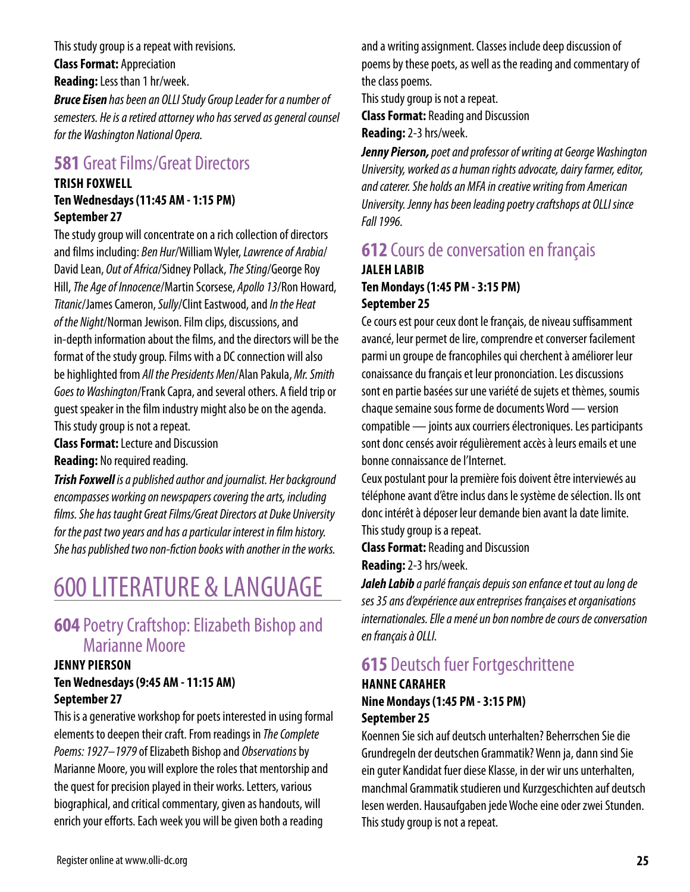This study group is a repeat with revisions. **Class Format:** Appreciation **Reading:** Less than 1 hr/week. *Bruce Eisen has been an OLLI Study Group Leader for a number of* 

*semesters. He is a retired attorney who has served as general counsel for the Washington National Opera.*

## **581 Great Films/Great Directors**

### **TRISH FOXWELL Ten Wednesdays (11:45 AM - 1:15 PM)**

**September 27**

The study group will concentrate on a rich collection of directors and films including: *Ben Hur*/William Wyler, *Lawrence of Arabia*/ David Lean, *Out of Africa*/Sidney Pollack, *The Sting*/George Roy Hill, *The Age of Innocence*/Martin Scorsese, *Apollo 13*/Ron Howard, *Titanic*/James Cameron, *Sully*/Clint Eastwood, and *In the Heat of the Night*/Norman Jewison. Film clips, discussions, and in-depth information about the films, and the directors will be the format of the study group. Films with a DC connection will also be highlighted from *All the Presidents Men*/Alan Pakula, *Mr. Smith Goes to Washington*/Frank Capra, and several others. A field trip or guest speaker in the film industry might also be on the agenda. This study group is not a repeat.

**Class Format:** Lecture and Discussion

**Reading:** No required reading.

*Trish Foxwell is a published author and journalist. Her background encompasses working on newspapers covering the arts, including films. She has taught Great Films/Great Directors at Duke University for the past two years and has a particular interest in film history. She has published two non-fiction books with another in the works.*

# 600 LITERATURE & LANGUAGE

## **604** Poetry Craftshop: Elizabeth Bishop and Marianne Moore

### **JENNY PIERSON Ten Wednesdays (9:45 AM - 11:15 AM) September 27**

This is a generative workshop for poets interested in using formal elements to deepen their craft. From readings in *The Complete Poems: 1927–1979* of Elizabeth Bishop and *Observations* by Marianne Moore, you will explore the roles that mentorship and the quest for precision played in their works. Letters, various biographical, and critical commentary, given as handouts, will enrich your efforts. Each week you will be given both a reading

and a writing assignment. Classes include deep discussion of poems by these poets, as well as the reading and commentary of the class poems.

This study group is not a repeat.

**Class Format:** Reading and Discussion

**Reading:** 2-3 hrs/week.

*Jenny Pierson, poet and professor of writing at George Washington University, worked as a human rights advocate, dairy farmer, editor, and caterer. She holds an MFA in creative writing from American University. Jenny has been leading poetry craftshops at OLLI since Fall 1996.*

### **612** Cours de conversation en français **JALEH LABIB Ten Mondays (1:45 PM - 3:15 PM) September 25**

Ce cours est pour ceux dont le français, de niveau suffisamment avancé, leur permet de lire, comprendre et converser facilement parmi un groupe de francophiles qui cherchent à améliorer leur conaissance du français et leur prononciation. Les discussions sont en partie basées sur une variété de sujets et thèmes, soumis chaque semaine sous forme de documents Word — version compatible — joints aux courriers électroniques. Les participants sont donc censés avoir régulièrement accès à leurs emails et une bonne connaissance de l'Internet.

Ceux postulant pour la première fois doivent être interviewés au téléphone avant d'être inclus dans le système de sélection. Ils ont donc intérêt à déposer leur demande bien avant la date limite. This study group is a repeat.

**Class Format:** Reading and Discussion

**Reading:** 2-3 hrs/week.

*Jaleh Labib a parlé français depuis son enfance et tout au long de ses 35 ans d'expérience aux entreprises françaises et organisations internationales. Elle a mené un bon nombre de cours de conversation en français à OLLI.*

# **615** Deutsch fuer Fortgeschrittene

### **HANNE CARAHER Nine Mondays (1:45 PM - 3:15 PM) September 25**

Koennen Sie sich auf deutsch unterhalten? Beherrschen Sie die Grundregeln der deutschen Grammatik? Wenn ja, dann sind Sie ein guter Kandidat fuer diese Klasse, in der wir uns unterhalten, manchmal Grammatik studieren und Kurzgeschichten auf deutsch lesen werden. Hausaufgaben jede Woche eine oder zwei Stunden. This study group is not a repeat.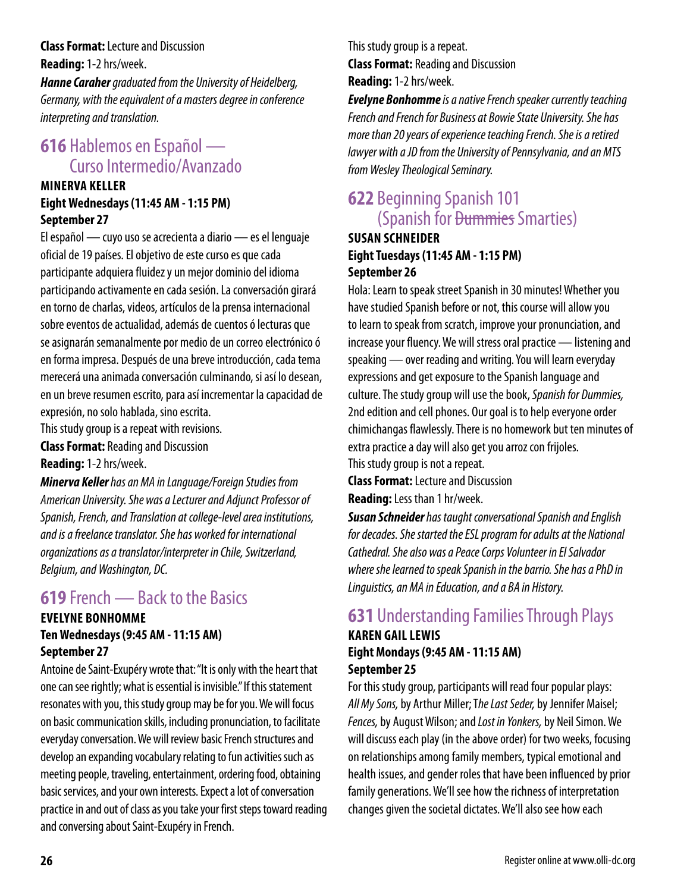**Class Format:** Lecture and Discussion **Reading:** 1-2 hrs/week.

*Hanne Caraher graduated from the University of Heidelberg, Germany, with the equivalent of a masters degree in conference interpreting and translation.*

# **616** Hablemos en Español — Curso Intermedio/Avanzado

### **MINERVA KELLER Eight Wednesdays (11:45 AM - 1:15 PM) September 27**

El español — cuyo uso se acrecienta a diario — es el lenguaje oficial de 19 países. El objetivo de este curso es que cada participante adquiera fluidez y un mejor dominio del idioma participando activamente en cada sesión. La conversación girará en torno de charlas, videos, artículos de la prensa internacional sobre eventos de actualidad, además de cuentos ó lecturas que se asignarán semanalmente por medio de un correo electrónico ó en forma impresa. Después de una breve introducción, cada tema merecerá una animada conversación culminando, si así lo desean, en un breve resumen escrito, para así incrementar la capacidad de expresión, no solo hablada, sino escrita.

This study group is a repeat with revisions.

**Class Format:** Reading and Discussion

**Reading:** 1-2 hrs/week.

*Minerva Keller has an MA in Language/Foreign Studies from American University. She was a Lecturer and Adjunct Professor of Spanish, French, and Translation at college-level area institutions, and is a freelance translator. She has worked for international organizations as a translator/interpreter in Chile, Switzerland, Belgium, and Washington, DC.*

## **619** French — Back to the Basics

#### **EVELYNE BONHOMME Ten Wednesdays (9:45 AM - 11:15 AM) September 27**

Antoine de Saint-Exupéry wrote that: "It is only with the heart that one can see rightly; what is essential is invisible." If this statement resonates with you, this study group may be for you. We will focus on basic communication skills, including pronunciation, to facilitate everyday conversation. We will review basic French structures and develop an expanding vocabulary relating to fun activities such as meeting people, traveling, entertainment, ordering food, obtaining basic services, and your own interests. Expect a lot of conversation practice in and out of class as you take your first steps toward reading and conversing about Saint-Exupéry in French.

This study group is a repeat. **Class Format:** Reading and Discussion **Reading:** 1-2 hrs/week.

*Evelyne Bonhomme is a native French speaker currently teaching French and French for Business at Bowie State University. She has more than 20 years of experience teaching French. She is a retired lawyer with a JD from the University of Pennsylvania, and an MTS from Wesley Theological Seminary.*

# **622** Beginning Spanish 101 (Spanish for Dummies Smarties)

### **SUSAN SCHNEIDER Eight Tuesdays (11:45 AM - 1:15 PM) September 26**

Hola: Learn to speak street Spanish in 30 minutes! Whether you have studied Spanish before or not, this course will allow you to learn to speak from scratch, improve your pronunciation, and increase your fluency. We will stress oral practice — listening and speaking — over reading and writing. You will learn everyday expressions and get exposure to the Spanish language and culture. The study group will use the book, *Spanish for Dummies,* 2nd edition and cell phones. Our goal is to help everyone order chimichangas flawlessly. There is no homework but ten minutes of extra practice a day will also get you arroz con frijoles. This study group is not a repeat.

**Class Format:** Lecture and Discussion **Reading:** Less than 1 hr/week.

*Susan Schneider has taught conversational Spanish and English for decades. She started the ESL program for adults at the National Cathedral. She also was a Peace Corps Volunteer in El Salvador where she learned to speak Spanish in the barrio. She has a PhD in Linguistics, an MA in Education, and a BA in History.*

# **631** Understanding Families Through Plays

### **KAREN GAIL LEWIS Eight Mondays (9:45 AM - 11:15 AM) September 25**

For this study group, participants will read four popular plays: *All My Sons,* by Arthur Miller; T*he Last Seder,* by Jennifer Maisel; *Fences,* by August Wilson; and *Lost in Yonkers,* by Neil Simon. We will discuss each play (in the above order) for two weeks, focusing on relationships among family members, typical emotional and health issues, and gender roles that have been influenced by prior family generations. We'll see how the richness of interpretation changes given the societal dictates. We'll also see how each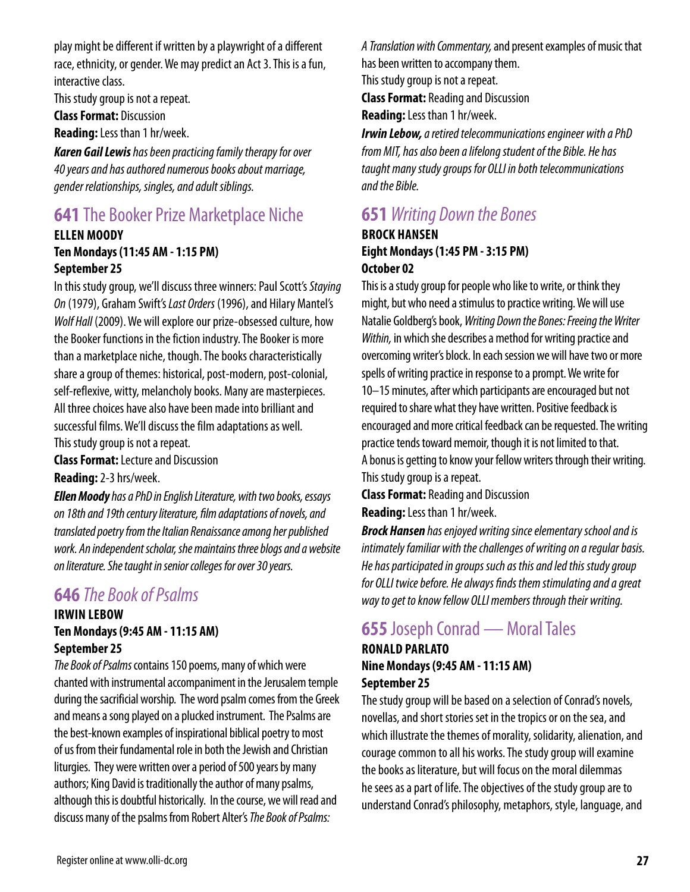play might be different if written by a playwright of a different race, ethnicity, or gender. We may predict an Act 3. This is a fun, interactive class.

This study group is not a repeat.

**Class Format:** Discussion

**Reading:** Less than 1 hr/week.

*Karen Gail Lewis has been practicing family therapy for over 40 years and has authored numerous books about marriage, gender relationships, singles, and adult siblings.*

# **641** The Booker Prize Marketplace Niche

#### **ELLEN MOODY Ten Mondays (11:45 AM - 1:15 PM) September 25**

In this study group, we'll discuss three winners: Paul Scott's *Staying On* (1979), Graham Swift's *Last Orders* (1996), and Hilary Mantel's *Wolf Hall* (2009). We will explore our prize-obsessed culture, how the Booker functions in the fiction industry. The Booker is more than a marketplace niche, though. The books characteristically share a group of themes: historical, post-modern, post-colonial, self-reflexive, witty, melancholy books. Many are masterpieces. All three choices have also have been made into brilliant and successful films. We'll discuss the film adaptations as well. This study group is not a repeat.

**Class Format:** Lecture and Discussion

**Reading:** 2-3 hrs/week.

*Ellen Moody has a PhD in English Literature, with two books, essays on 18th and 19th century literature, film adaptations of novels, and translated poetry from the Italian Renaissance among her published work. An independent scholar, she maintains three blogs and a website on literature. She taught in senior colleges for over 30 years.*

## **646** *The Book of Psalms*

#### **IRWIN LEBOW Ten Mondays (9:45 AM - 11:15 AM) September 25**

*The Book of Psalms* contains 150 poems, many of which were chanted with instrumental accompaniment in the Jerusalem temple during the sacrificial worship. The word psalm comes from the Greek and means a song played on a plucked instrument. The Psalms are the best-known examples of inspirational biblical poetry to most of us from their fundamental role in both the Jewish and Christian liturgies. They were written over a period of 500 years by many authors; King David is traditionally the author of many psalms, although this is doubtful historically. In the course, we will read and discuss many of the psalms from Robert Alter's *The Book of Psalms:* 

*A Translation with Commentary,* and present examples of music that has been written to accompany them. This study group is not a repeat.

**Class Format:** Reading and Discussion

**Reading:** Less than 1 hr/week.

*Irwin Lebow, a retired telecommunications engineer with a PhD from MIT, has also been a lifelong student of the Bible. He has taught many study groups for OLLI in both telecommunications and the Bible.*

## **651** *Writing Down the Bones*

### **BROCK HANSEN Eight Mondays (1:45 PM - 3:15 PM) October 02**

This is a study group for people who like to write, or think they might, but who need a stimulus to practice writing. We will use Natalie Goldberg's book, *Writing Down the Bones: Freeing the Writer Within,* in which she describes a method for writing practice and overcoming writer's block. In each session we will have two or more spells of writing practice in response to a prompt. We write for 10–15 minutes, after which participants are encouraged but not required to share what they have written. Positive feedback is encouraged and more critical feedback can be requested. The writing practice tends toward memoir, though it is not limited to that. A bonus is getting to know your fellow writers through their writing. This study group is a repeat.

**Class Format:** Reading and Discussion **Reading:** Less than 1 hr/week.

*Brock Hansen has enjoyed writing since elementary school and is intimately familiar with the challenges of writing on a regular basis. He has participated in groups such as this and led this study group for OLLI twice before. He always finds them stimulating and a great way to get to know fellow OLLI members through their writing.*

# **655** Joseph Conrad — Moral Tales

### **RONALD PARLATO Nine Mondays (9:45 AM - 11:15 AM) September 25**

The study group will be based on a selection of Conrad's novels, novellas, and short stories set in the tropics or on the sea, and which illustrate the themes of morality, solidarity, alienation, and courage common to all his works. The study group will examine the books as literature, but will focus on the moral dilemmas he sees as a part of life. The objectives of the study group are to understand Conrad's philosophy, metaphors, style, language, and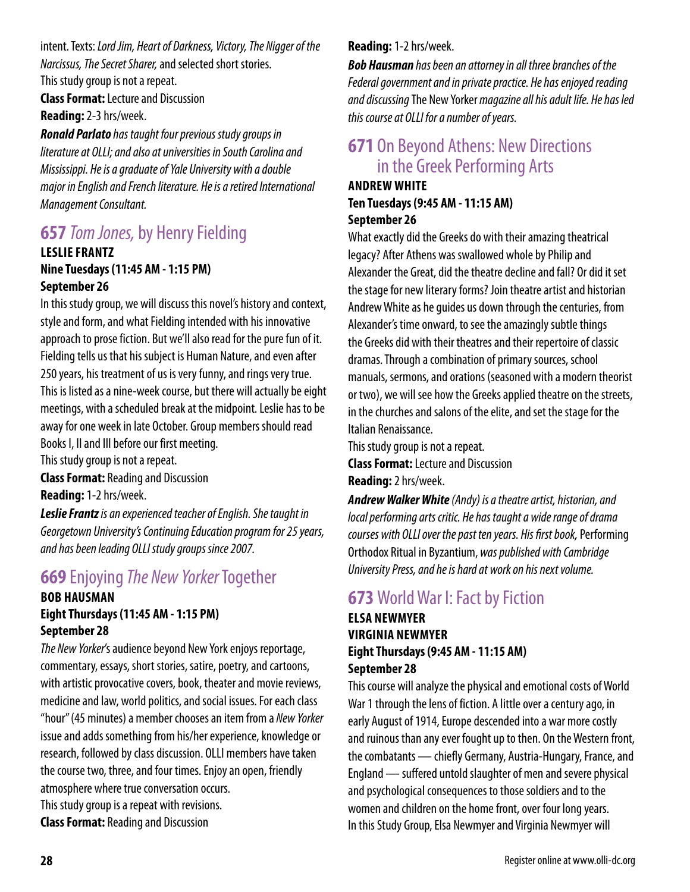intent. Texts: *Lord Jim, Heart of Darkness, Victory, The Nigger of the Narcissus, The Secret Sharer,* and selected short stories. This study group is not a repeat.

**Class Format:** Lecture and Discussion **Reading:** 2-3 hrs/week.

*Ronald Parlato has taught four previous study groups in literature at OLLI; and also at universities in South Carolina and Mississippi. He is a graduate of Yale University with a double major in English and French literature. He is a retired International Management Consultant.*

# **657** *Tom Jones,* by Henry Fielding

#### **LESLIE FRANTZ Nine Tuesdays (11:45 AM - 1:15 PM) September 26**

In this study group, we will discuss this novel's history and context, style and form, and what Fielding intended with his innovative approach to prose fiction. But we'll also read for the pure fun of it. Fielding tells us that his subject is Human Nature, and even after 250 years, his treatment of us is very funny, and rings very true. This is listed as a nine-week course, but there will actually be eight meetings, with a scheduled break at the midpoint. Leslie has to be away for one week in late October. Group members should read Books I, II and III before our first meeting.

This study group is not a repeat.

**Class Format:** Reading and Discussion

**Reading:** 1-2 hrs/week.

*Leslie Frantz is an experienced teacher of English. She taught in Georgetown University's Continuing Education program for 25 years, and has been leading OLLI study groups since 2007.*

### **669** Enjoying *The New Yorker* Together **BOB HAUSMAN**

### **Eight Thursdays (11:45 AM - 1:15 PM) September 28**

*The New Yorker*'s audience beyond New York enjoys reportage, commentary, essays, short stories, satire, poetry, and cartoons, with artistic provocative covers, book, theater and movie reviews, medicine and law, world politics, and social issues. For each class "hour" (45 minutes) a member chooses an item from a *New Yorker*  issue and adds something from his/her experience, knowledge or research, followed by class discussion. OLLI members have taken the course two, three, and four times. Enjoy an open, friendly atmosphere where true conversation occurs. This study group is a repeat with revisions.

**Class Format:** Reading and Discussion

### **Reading:** 1-2 hrs/week.

*Bob Hausman has been an attorney in all three branches of the Federal government and in private practice. He has enjoyed reading and discussing* The New Yorker *magazine all his adult life. He has led this course at OLLI for a number of years.*

### **671** On Beyond Athens: New Directions in the Greek Performing Arts

#### **ANDREW WHITE Ten Tuesdays (9:45 AM - 11:15 AM) September 26**

What exactly did the Greeks do with their amazing theatrical legacy? After Athens was swallowed whole by Philip and Alexander the Great, did the theatre decline and fall? Or did it set the stage for new literary forms? Join theatre artist and historian Andrew White as he guides us down through the centuries, from Alexander's time onward, to see the amazingly subtle things the Greeks did with their theatres and their repertoire of classic dramas. Through a combination of primary sources, school manuals, sermons, and orations (seasoned with a modern theorist or two), we will see how the Greeks applied theatre on the streets, in the churches and salons of the elite, and set the stage for the Italian Renaissance.

This study group is not a repeat.

**Class Format:** Lecture and Discussion **Reading:** 2 hrs/week.

*Andrew Walker White (Andy) is a theatre artist, historian, and local performing arts critic. He has taught a wide range of drama courses with OLLI over the past ten years. His first book,* Performing Orthodox Ritual in Byzantium, *was published with Cambridge University Press, and he is hard at work on his next volume.*

# **673** World War I: Fact by Fiction

### **ELSA NEWMYER VIRGINIA NEWMYER Eight Thursdays (9:45 AM - 11:15 AM) September 28**

This course will analyze the physical and emotional costs of World War 1 through the lens of fiction. A little over a century ago, in early August of 1914, Europe descended into a war more costly and ruinous than any ever fought up to then. On the Western front, the combatants — chiefly Germany, Austria-Hungary, France, and England — suffered untold slaughter of men and severe physical and psychological consequences to those soldiers and to the women and children on the home front, over four long years. In this Study Group, Elsa Newmyer and Virginia Newmyer will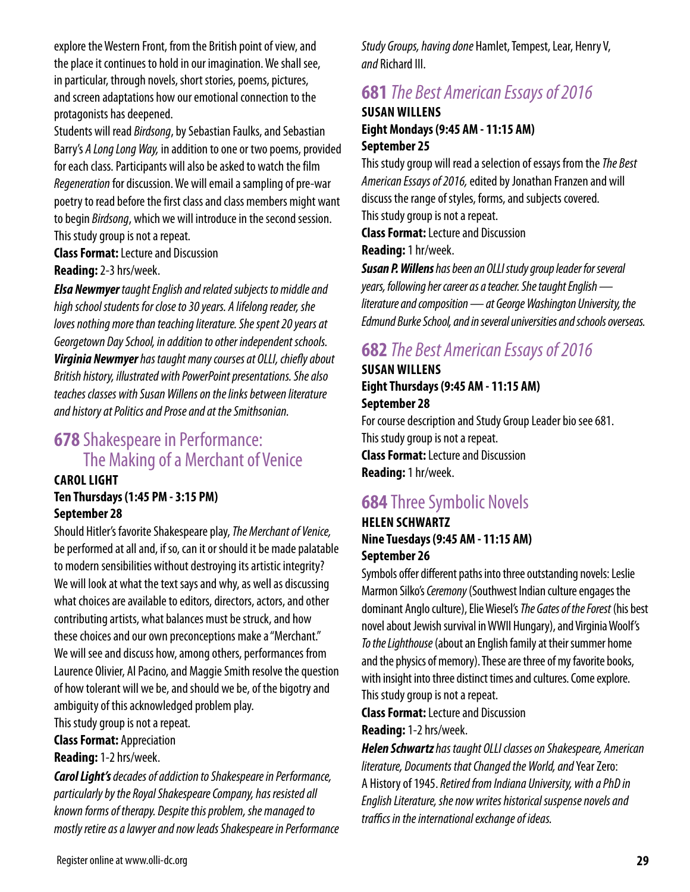explore the Western Front, from the British point of view, and the place it continues to hold in our imagination. We shall see, in particular, through novels, short stories, poems, pictures, and screen adaptations how our emotional connection to the protagonists has deepened.

Students will read *Birdsong*, by Sebastian Faulks, and Sebastian Barry's *A Long Long Way,* in addition to one or two poems, provided for each class. Participants will also be asked to watch the film *Regeneration* for discussion. We will email a sampling of pre-war poetry to read before the first class and class members might want to begin *Birdsong*, which we will introduce in the second session. This study group is not a repeat.

**Class Format:** Lecture and Discussion **Reading:** 2-3 hrs/week.

*Elsa Newmyer taught English and related subjects to middle and* 

*high school students for close to 30 years. A lifelong reader, she loves nothing more than teaching literature. She spent 20 years at Georgetown Day School, in addition to other independent schools. Virginia Newmyer has taught many courses at OLLI, chiefly about British history, illustrated with PowerPoint presentations. She also teaches classes with Susan Willens on the links between literature and history at Politics and Prose and at the Smithsonian.*

### **678** Shakespeare in Performance: The Making of a Merchant of Venice

### **CAROL LIGHT Ten Thursdays (1:45 PM - 3:15 PM) September 28**

Should Hitler's favorite Shakespeare play, *The Merchant of Venice,* be performed at all and, if so, can it or should it be made palatable to modern sensibilities without destroying its artistic integrity? We will look at what the text says and why, as well as discussing what choices are available to editors, directors, actors, and other contributing artists, what balances must be struck, and how these choices and our own preconceptions make a "Merchant." We will see and discuss how, among others, performances from Laurence Olivier, Al Pacino, and Maggie Smith resolve the question of how tolerant will we be, and should we be, of the bigotry and ambiguity of this acknowledged problem play.

This study group is not a repeat.

**Class Format:** Appreciation

### **Reading:** 1-2 hrs/week.

*Carol Light's decades of addiction to Shakespeare in Performance, particularly by the Royal Shakespeare Company, has resisted all known forms of therapy. Despite this problem, she managed to mostly retire as a lawyer and now leads Shakespeare in Performance*  *Study Groups, having done* Hamlet, Tempest, Lear, Henry V, *and* Richard III.

# **681** *The Best American Essays of 2016*

### **SUSAN WILLENS Eight Mondays (9:45 AM - 11:15 AM) September 25**

This study group will read a selection of essays from the *The Best American Essays of 2016,* edited by Jonathan Franzen and will discuss the range of styles, forms, and subjects covered. This study group is not a repeat.

**Class Format:** Lecture and Discussion

**Reading:** 1 hr/week.

*Susan P. Willens has been an OLLI study group leader for several years, following her career as a teacher. She taught English literature and composition — at George Washington University, the Edmund Burke School, and in several universities and schools overseas.*

# **682** *The Best American Essays of 2016*

### **SUSAN WILLENS Eight Thursdays (9:45 AM - 11:15 AM) September 28**

For course description and Study Group Leader bio see 681. This study group is not a repeat. **Class Format:** Lecture and Discussion **Reading:** 1 hr/week.

# **684** Three Symbolic Novels

### **HELEN SCHWARTZ Nine Tuesdays (9:45 AM - 11:15 AM) September 26**

Symbols offer different paths into three outstanding novels: Leslie Marmon Silko's *Ceremony* (Southwest Indian culture engages the dominant Anglo culture), Elie Wiesel's *The Gates of the Forest* (his best novel about Jewish survival in WWII Hungary), and Virginia Woolf's *To the Lighthouse* (about an English family at their summer home and the physics of memory). These are three of my favorite books, with insight into three distinct times and cultures. Come explore. This study group is not a repeat.

**Class Format:** Lecture and Discussion

**Reading:** 1-2 hrs/week.

*Helen Schwartz has taught OLLI classes on Shakespeare, American literature, Documents that Changed the World, and* Year Zero: A History of 1945. *Retired from Indiana University, with a PhD in English Literature, she now writes historical suspense novels and traffics in the international exchange of ideas.*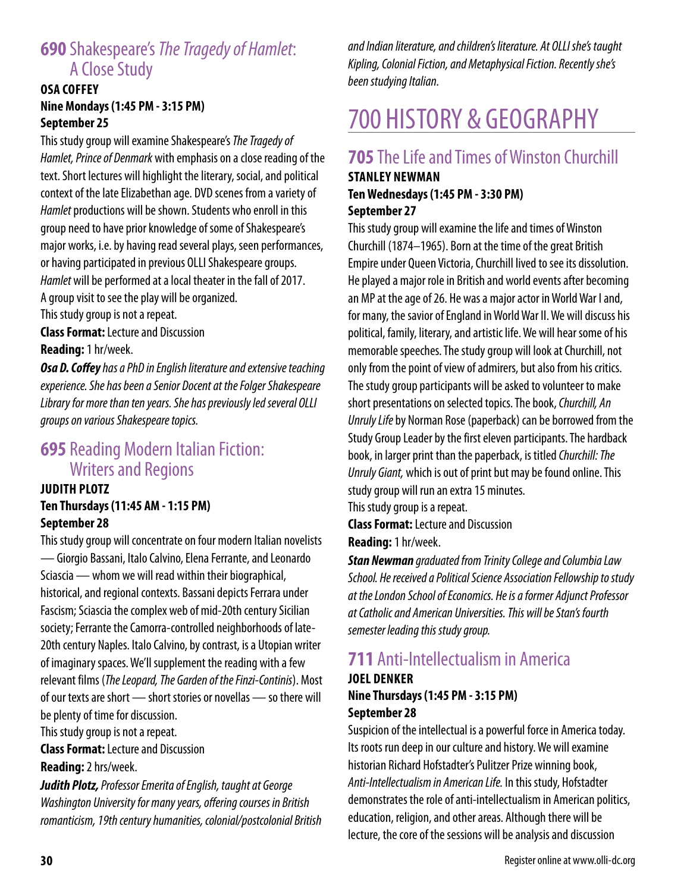# **690** Shakespeare's *The Tragedy of Hamlet*: A Close Study

### **OSA COFFEY Nine Mondays (1:45 PM - 3:15 PM) September 25**

This study group will examine Shakespeare's *The Tragedy of Hamlet, Prince of Denmark* with emphasis on a close reading of the text. Short lectures will highlight the literary, social, and political context of the late Elizabethan age. DVD scenes from a variety of *Hamlet* productions will be shown. Students who enroll in this group need to have prior knowledge of some of Shakespeare's major works, i.e. by having read several plays, seen performances, or having participated in previous OLLI Shakespeare groups. *Hamlet* will be performed at a local theater in the fall of 2017. A group visit to see the play will be organized.

This study group is not a repeat.

**Class Format:** Lecture and Discussion **Reading:** 1 hr/week.

*Osa D. Coffey has a PhD in English literature and extensive teaching experience. She has been a Senior Docent at the Folger Shakespeare Library for more than ten years. She has previously led several OLLI groups on various Shakespeare topics.*

### **695** Reading Modern Italian Fiction: Writers and Regions

### **JUDITH PLOTZ Ten Thursdays (11:45 AM - 1:15 PM) September 28**

This study group will concentrate on four modern Italian novelists — Giorgio Bassani, Italo Calvino, Elena Ferrante, and Leonardo Sciascia — whom we will read within their biographical, historical, and regional contexts. Bassani depicts Ferrara under Fascism; Sciascia the complex web of mid-20th century Sicilian society; Ferrante the Camorra-controlled neighborhoods of late-20th century Naples. Italo Calvino, by contrast, is a Utopian writer of imaginary spaces. We'll supplement the reading with a few relevant films (*The Leopard, The Garden of the Finzi-Continis*). Most of our texts are short — short stories or novellas — so there will be plenty of time for discussion.

This study group is not a repeat.

**Class Format:** Lecture and Discussion **Reading:** 2 hrs/week.

*Judith Plotz, Professor Emerita of English, taught at George Washington University for many years, offering courses in British romanticism, 19th century humanities, colonial/postcolonial British*  *and Indian literature, and children's literature. At OLLI she's taught Kipling, Colonial Fiction, and Metaphysical Fiction. Recently she's been studying Italian.*

# 700 HISTORY & GEOGRAPHY

### **705** The Life and Times of Winston Churchill

### **STANLEY NEWMAN Ten Wednesdays (1:45 PM - 3:30 PM) September 27**

This study group will examine the life and times of Winston Churchill (1874–1965). Born at the time of the great British Empire under Queen Victoria, Churchill lived to see its dissolution. He played a major role in British and world events after becoming an MP at the age of 26. He was a major actor in World War I and, for many, the savior of England in World War II. We will discuss his political, family, literary, and artistic life. We will hear some of his memorable speeches. The study group will look at Churchill, not only from the point of view of admirers, but also from his critics. The study group participants will be asked to volunteer to make short presentations on selected topics. The book, *Churchill, An Unruly Life* by Norman Rose (paperback) can be borrowed from the Study Group Leader by the first eleven participants. The hardback book, in larger print than the paperback, is titled *Churchill: The Unruly Giant,* which is out of print but may be found online. This study group will run an extra 15 minutes.

This study group is a repeat.

**Class Format:** Lecture and Discussion **Reading:** 1 hr/week.

*Stan Newman graduated from Trinity College and Columbia Law School. He received a Political Science Association Fellowship to study at the London School of Economics. He is a former Adjunct Professor at Catholic and American Universities. This will be Stan's fourth semester leading this study group.*

# **711** Anti-Intellectualism in America

### **JOEL DENKER Nine Thursdays (1:45 PM - 3:15 PM) September 28**

Suspicion of the intellectual is a powerful force in America today. Its roots run deep in our culture and history. We will examine historian Richard Hofstadter's Pulitzer Prize winning book, *Anti-Intellectualism in American Life.* In this study, Hofstadter demonstrates the role of anti-intellectualism in American politics, education, religion, and other areas. Although there will be lecture, the core of the sessions will be analysis and discussion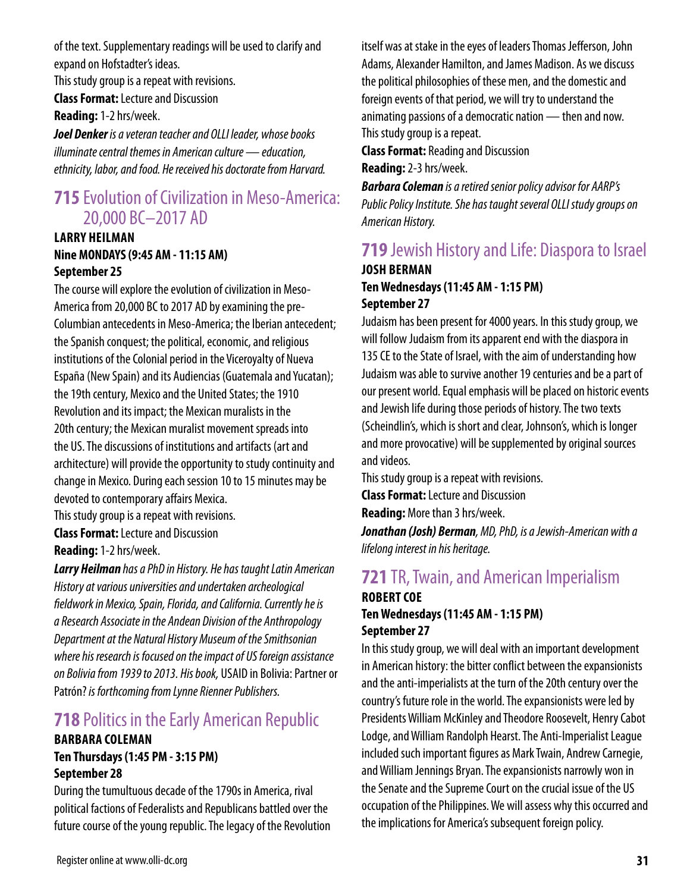of the text. Supplementary readings will be used to clarify and expand on Hofstadter's ideas.

This study group is a repeat with revisions.

**Class Format:** Lecture and Discussion

**Reading:** 1-2 hrs/week.

*Joel Denker is a veteran teacher and OLLI leader, whose books illuminate central themes in American culture — education, ethnicity, labor, and food. He received his doctorate from Harvard.*

### **715** Evolution of Civilization in Meso-America: 20,000 BC–2017 AD

### **LARRY HEILMAN Nine MONDAYS (9:45 AM - 11:15 AM) September 25**

The course will explore the evolution of civilization in Meso-America from 20,000 BC to 2017 AD by examining the pre-Columbian antecedents in Meso-America; the Iberian antecedent; the Spanish conquest; the political, economic, and religious institutions of the Colonial period in the Viceroyalty of Nueva España (New Spain) and its Audiencias (Guatemala and Yucatan); the 19th century, Mexico and the United States; the 1910 Revolution and its impact; the Mexican muralists in the 20th century; the Mexican muralist movement spreads into the US. The discussions of institutions and artifacts (art and architecture) will provide the opportunity to study continuity and change in Mexico. During each session 10 to 15 minutes may be devoted to contemporary affairs Mexica. This study group is a repeat with revisions.

**Class Format:** Lecture and Discussion **Reading:** 1-2 hrs/week.

*Larry Heilman has a PhD in History. He has taught Latin American History at various universities and undertaken archeological fieldwork in Mexico, Spain, Florida, and California. Currently he is a Research Associate in the Andean Division of the Anthropology Department at the Natural History Museum of the Smithsonian where his research is focused on the impact of US foreign assistance on Bolivia from 1939 to 2013. His book,* USAID in Bolivia: Partner or Patrón? *is forthcoming from Lynne Rienner Publishers.*

# **718** Politics in the Early American Republic

### **BARBARA COLEMAN Ten Thursdays (1:45 PM - 3:15 PM) September 28**

During the tumultuous decade of the 1790s in America, rival political factions of Federalists and Republicans battled over the future course of the young republic. The legacy of the Revolution itself was at stake in the eyes of leaders Thomas Jefferson, John Adams, Alexander Hamilton, and James Madison. As we discuss the political philosophies of these men, and the domestic and foreign events of that period, we will try to understand the animating passions of a democratic nation — then and now. This study group is a repeat.

**Class Format:** Reading and Discussion

**Reading:** 2-3 hrs/week.

*Barbara Coleman is a retired senior policy advisor for AARP's Public Policy Institute. She has taught several OLLI study groups on American History.*

### **719** Jewish History and Life: Diaspora to Israel **JOSH BERMAN Ten Wednesdays (11:45 AM - 1:15 PM) September 27**

Judaism has been present for 4000 years. In this study group, we will follow Judaism from its apparent end with the diaspora in 135 CE to the State of Israel, with the aim of understanding how Judaism was able to survive another 19 centuries and be a part of our present world. Equal emphasis will be placed on historic events and Jewish life during those periods of history. The two texts (Scheindlin's, which is short and clear, Johnson's, which is longer and more provocative) will be supplemented by original sources and videos.

This study group is a repeat with revisions.

**Class Format:** Lecture and Discussion

**Reading:** More than 3 hrs/week.

*Jonathan (Josh) Berman, MD, PhD, is a Jewish-American with a lifelong interest in his heritage.*

# **721** TR, Twain, and American Imperialism **ROBERT COE**

### **Ten Wednesdays (11:45 AM - 1:15 PM) September 27**

In this study group, we will deal with an important development in American history: the bitter conflict between the expansionists and the anti-imperialists at the turn of the 20th century over the country's future role in the world. The expansionists were led by Presidents William McKinley and Theodore Roosevelt, Henry Cabot Lodge, and William Randolph Hearst. The Anti-Imperialist League included such important figures as Mark Twain, Andrew Carnegie, and William Jennings Bryan. The expansionists narrowly won in the Senate and the Supreme Court on the crucial issue of the US occupation of the Philippines. We will assess why this occurred and the implications for America's subsequent foreign policy.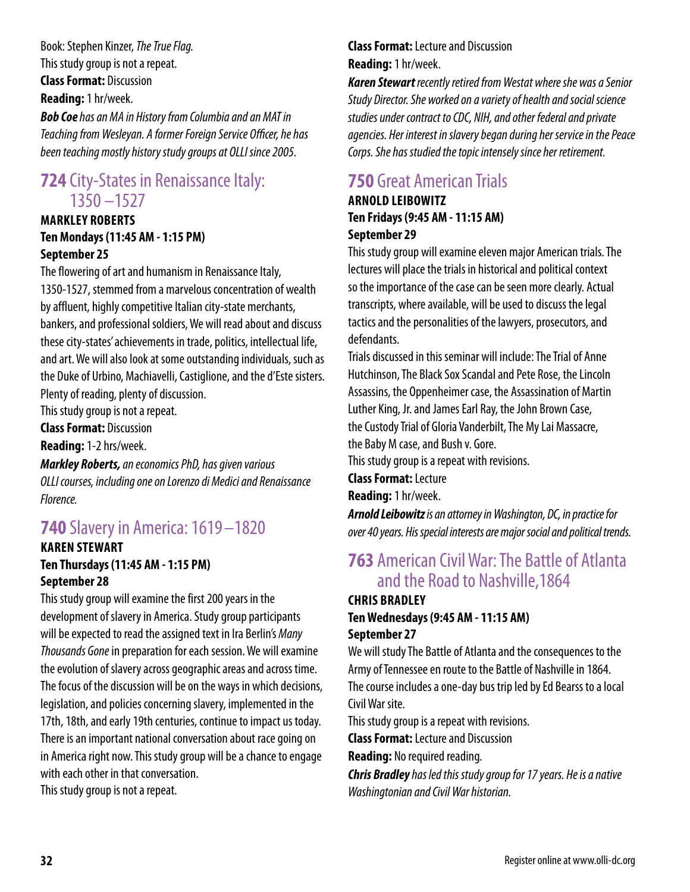Book: Stephen Kinzer, *The True Flag.* This study group is not a repeat. **Class Format:** Discussion **Reading:** 1 hr/week.

*Bob Coe has an MA in History from Columbia and an MAT in Teaching from Wesleyan. A former Foreign Service Officer, he has been teaching mostly history study groups at OLLI since 2005.*

### **724** City-States in Renaissance Italy: 1350 –1527

### **MARKLEY ROBERTS Ten Mondays (11:45 AM - 1:15 PM) September 25**

The flowering of art and humanism in Renaissance Italy, 1350-1527, stemmed from a marvelous concentration of wealth by affluent, highly competitive Italian city-state merchants, bankers, and professional soldiers, We will read about and discuss these city-states' achievements in trade, politics, intellectual life, and art. We will also look at some outstanding individuals, such as the Duke of Urbino, Machiavelli, Castiglione, and the d'Este sisters. Plenty of reading, plenty of discussion.

This study group is not a repeat.

**Class Format:** Discussion

**Reading:** 1-2 hrs/week.

*Markley Roberts, an economics PhD, has given various OLLI courses, including one on Lorenzo di Medici and Renaissance Florence.*

# **740** Slavery in America: 1619 –1820

### **KAREN STEWART Ten Thursdays (11:45 AM - 1:15 PM) September 28**

This study group will examine the first 200 years in the development of slavery in America. Study group participants will be expected to read the assigned text in Ira Berlin's *Many Thousands Gone* in preparation for each session. We will examine the evolution of slavery across geographic areas and across time. The focus of the discussion will be on the ways in which decisions, legislation, and policies concerning slavery, implemented in the 17th, 18th, and early 19th centuries, continue to impact us today. There is an important national conversation about race going on in America right now. This study group will be a chance to engage with each other in that conversation.

This study group is not a repeat.

### **Class Format:** Lecture and Discussion **Reading:** 1 hr/week.

*Karen Stewart recently retired from Westat where she was a Senior Study Director. She worked on a variety of health and social science studies under contract to CDC, NIH, and other federal and private agencies. Her interest in slavery began during her service in the Peace Corps. She has studied the topic intensely since her retirement.*

# **750** Great American Trials

### **ARNOLD LEIBOWITZ Ten Fridays (9:45 AM - 11:15 AM) September 29**

This study group will examine eleven major American trials. The lectures will place the trials in historical and political context so the importance of the case can be seen more clearly. Actual transcripts, where available, will be used to discuss the legal tactics and the personalities of the lawyers, prosecutors, and defendants.

Trials discussed in this seminar will include: The Trial of Anne Hutchinson, The Black Sox Scandal and Pete Rose, the Lincoln Assassins, the Oppenheimer case, the Assassination of Martin Luther King, Jr. and James Earl Ray, the John Brown Case, the Custody Trial of Gloria Vanderbilt, The My Lai Massacre, the Baby M case, and Bush v. Gore.

This study group is a repeat with revisions.

**Class Format:** Lecture

**Reading:** 1 hr/week.

*Arnold Leibowitz is an attorney in Washington, DC, in practice for over 40 years. His special interests are major social and political trends.*

## **763** American Civil War: The Battle of Atlanta and the Road to Nashville,1864

#### **CHRIS BRADLEY Ten Wednesdays (9:45 AM - 11:15 AM) September 27**

We will study The Battle of Atlanta and the consequences to the Army of Tennessee en route to the Battle of Nashville in 1864. The course includes a one-day bus trip led by Ed Bearss to a local

Civil War site.

This study group is a repeat with revisions.

**Class Format:** Lecture and Discussion

**Reading:** No required reading.

*Chris Bradley has led this study group for 17 years. He is a native Washingtonian and Civil War historian.*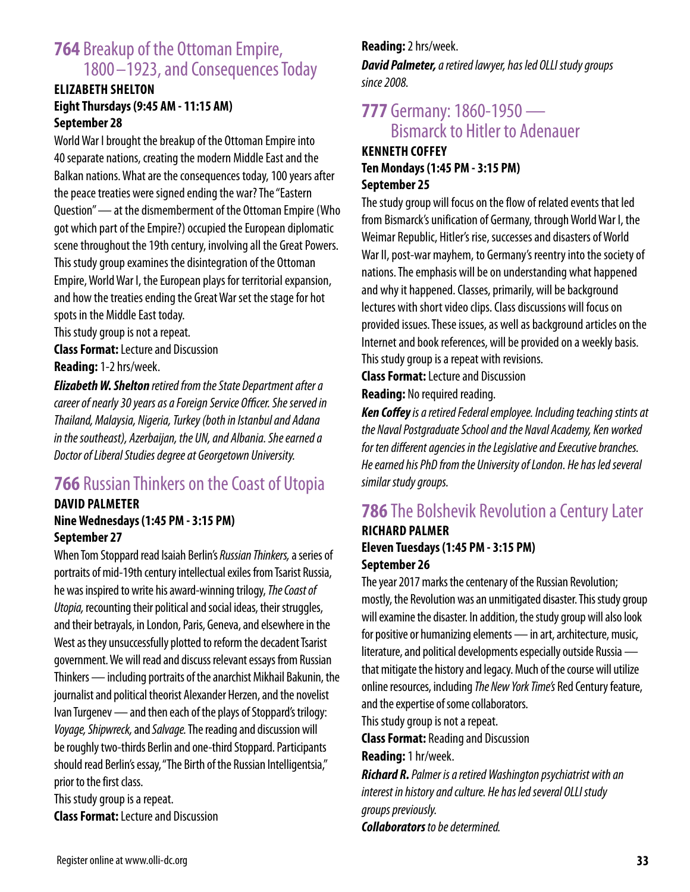## **764** Breakup of the Ottoman Empire, 1800 –1923, and Consequences Today

### **ELIZABETH SHELTON Eight Thursdays (9:45 AM - 11:15 AM) September 28**

World War I brought the breakup of the Ottoman Empire into 40 separate nations, creating the modern Middle East and the Balkan nations. What are the consequences today, 100 years after the peace treaties were signed ending the war? The "Eastern Question" — at the dismemberment of the Ottoman Empire (Who got which part of the Empire?) occupied the European diplomatic scene throughout the 19th century, involving all the Great Powers. This study group examines the disintegration of the Ottoman Empire, World War I, the European plays for territorial expansion, and how the treaties ending the Great War set the stage for hot spots in the Middle East today.

This study group is not a repeat. **Class Format:** Lecture and Discussion **Reading:** 1-2 hrs/week.

*Elizabeth W. Shelton retired from the State Department after a career of nearly 30 years as a Foreign Service Officer. She served in Thailand, Malaysia, Nigeria, Turkey (both in Istanbul and Adana in the southeast), Azerbaijan, the UN, and Albania. She earned a Doctor of Liberal Studies degree at Georgetown University.*

# **766** Russian Thinkers on the Coast of Utopia

### **DAVID PALMETER Nine Wednesdays (1:45 PM - 3:15 PM) September 27**

When Tom Stoppard read Isaiah Berlin's *Russian Thinkers,* a series of portraits of mid-19th century intellectual exiles from Tsarist Russia, he was inspired to write his award-winning trilogy, *The Coast of Utopia,* recounting their political and social ideas, their struggles, and their betrayals, in London, Paris, Geneva, and elsewhere in the West as they unsuccessfully plotted to reform the decadent Tsarist government. We will read and discuss relevant essays from Russian Thinkers — including portraits of the anarchist Mikhail Bakunin, the journalist and political theorist Alexander Herzen, and the novelist Ivan Turgenev — and then each of the plays of Stoppard's trilogy: *Voyage, Shipwreck,* and *Salvage.* The reading and discussion will be roughly two-thirds Berlin and one-third Stoppard. Participants should read Berlin's essay, "The Birth of the Russian Intelligentsia," prior to the first class.

This study group is a repeat. **Class Format:** Lecture and Discussion

### **Reading:** 2 hrs/week. *David Palmeter, a retired lawyer, has led OLLI study groups*

*since 2008.*

# **777** Germany: 1860-1950 — Bismarck to Hitler to Adenauer

### **KENNETH COFFEY Ten Mondays (1:45 PM - 3:15 PM) September 25**

The study group will focus on the flow of related events that led from Bismarck's unification of Germany, through World War I, the Weimar Republic, Hitler's rise, successes and disasters of World War II, post-war mayhem, to Germany's reentry into the society of nations. The emphasis will be on understanding what happened and why it happened. Classes, primarily, will be background lectures with short video clips. Class discussions will focus on provided issues. These issues, as well as background articles on the Internet and book references, will be provided on a weekly basis. This study group is a repeat with revisions.

**Class Format:** Lecture and Discussion **Reading:** No required reading.

*Ken Coffey is a retired Federal employee. Including teaching stints at the Naval Postgraduate School and the Naval Academy, Ken worked for ten different agencies in the Legislative and Executive branches. He earned his PhD from the University of London. He has led several similar study groups.*

### **786** The Bolshevik Revolution a Century Later **RICHARD PALMER Eleven Tuesdays (1:45 PM - 3:15 PM) September 26**

The year 2017 marks the centenary of the Russian Revolution; mostly, the Revolution was an unmitigated disaster. This study group will examine the disaster. In addition, the study group will also look for positive or humanizing elements — in art, architecture, music, literature, and political developments especially outside Russia that mitigate the history and legacy. Much of the course will utilize online resources, including *The New York Time's* Red Century feature, and the expertise of some collaborators.

This study group is not a repeat.

**Class Format:** Reading and Discussion

**Reading:** 1 hr/week.

*Richard R. Palmer is a retired Washington psychiatrist with an interest in history and culture. He has led several OLLI study groups previously. Collaborators to be determined.*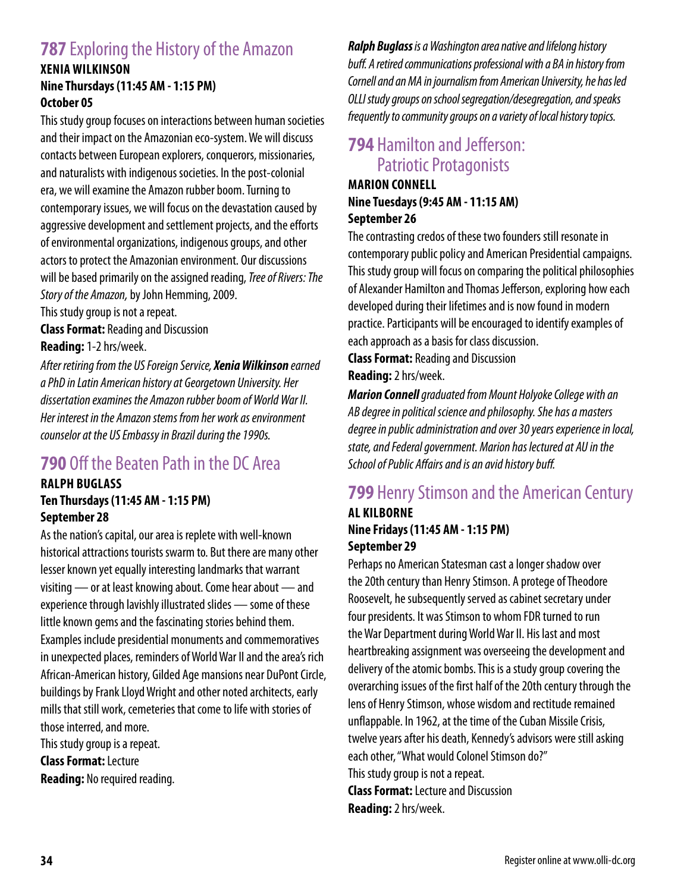## **787** Exploring the History of the Amazon

### **XENIA WILKINSON Nine Thursdays (11:45 AM - 1:15 PM) October 05**

This study group focuses on interactions between human societies and their impact on the Amazonian eco-system. We will discuss contacts between European explorers, conquerors, missionaries, and naturalists with indigenous societies. In the post-colonial era, we will examine the Amazon rubber boom. Turning to contemporary issues, we will focus on the devastation caused by aggressive development and settlement projects, and the efforts of environmental organizations, indigenous groups, and other actors to protect the Amazonian environment. Our discussions will be based primarily on the assigned reading, *Tree of Rivers: The Story of the Amazon,* by John Hemming, 2009.

This study group is not a repeat.

**Class Format:** Reading and Discussion

**Reading:** 1-2 hrs/week.

*After retiring from the US Foreign Service, Xenia Wilkinson earned a PhD in Latin American history at Georgetown University. Her dissertation examines the Amazon rubber boom of World War II. Her interest in the Amazon stems from her work as environment counselor at the US Embassy in Brazil during the 1990s.*

## **790** Off the Beaten Path in the DC Area

### **RALPH BUGLASS Ten Thursdays (11:45 AM - 1:15 PM) September 28**

As the nation's capital, our area is replete with well-known historical attractions tourists swarm to. But there are many other lesser known yet equally interesting landmarks that warrant visiting — or at least knowing about. Come hear about — and experience through lavishly illustrated slides — some of these little known gems and the fascinating stories behind them. Examples include presidential monuments and commemoratives in unexpected places, reminders of World War II and the area's rich African-American history, Gilded Age mansions near DuPont Circle, buildings by Frank Lloyd Wright and other noted architects, early mills that still work, cemeteries that come to life with stories of those interred, and more.

This study group is a repeat.

**Class Format:** Lecture **Reading:** No required reading. *Ralph Buglass is a Washington area native and lifelong history buff. A retired communications professional with a BA in history from Cornell and an MA in journalism from American University, he has led OLLI study groups on school segregation/desegregation, and speaks frequently to community groups on a variety of local history topics.*

## **794** Hamilton and Jefferson: Patriotic Protagonists

### **MARION CONNELL Nine Tuesdays (9:45 AM - 11:15 AM) September 26**

The contrasting credos of these two founders still resonate in contemporary public policy and American Presidential campaigns. This study group will focus on comparing the political philosophies of Alexander Hamilton and Thomas Jefferson, exploring how each developed during their lifetimes and is now found in modern practice. Participants will be encouraged to identify examples of each approach as a basis for class discussion.

**Class Format:** Reading and Discussion **Reading:** 2 hrs/week.

*Marion Connell graduated from Mount Holyoke College with an AB degree in political science and philosophy. She has a masters degree in public administration and over 30 years experience in local, state, and Federal government. Marion has lectured at AU in the School of Public Affairs and is an avid history buff.*

### **799** Henry Stimson and the American Century **AL KILBORNE**

### **Nine Fridays (11:45 AM - 1:15 PM) September 29**

Perhaps no American Statesman cast a longer shadow over the 20th century than Henry Stimson. A protege of Theodore Roosevelt, he subsequently served as cabinet secretary under four presidents. It was Stimson to whom FDR turned to run the War Department during World War II. His last and most heartbreaking assignment was overseeing the development and delivery of the atomic bombs. This is a study group covering the overarching issues of the first half of the 20th century through the lens of Henry Stimson, whose wisdom and rectitude remained unflappable. In 1962, at the time of the Cuban Missile Crisis, twelve years after his death, Kennedy's advisors were still asking each other, "What would Colonel Stimson do?" This study group is not a repeat. **Class Format:** Lecture and Discussion

**Reading:** 2 hrs/week.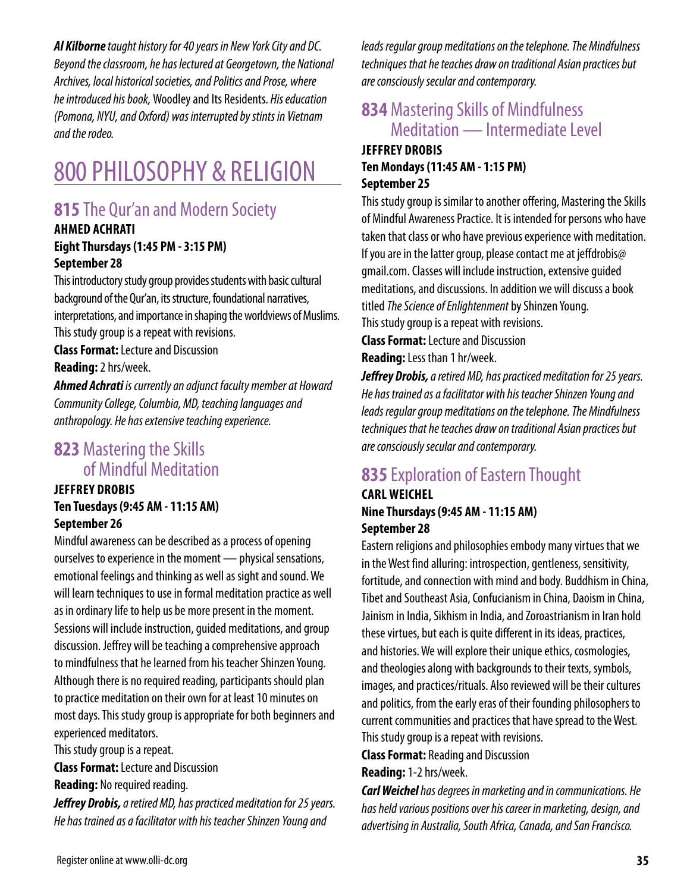*Al Kilborne taught history for 40 years in New York City and DC. Beyond the classroom, he has lectured at Georgetown, the National Archives, local historical societies, and Politics and Prose, where he introduced his book,* Woodley and Its Residents. *His education (Pomona, NYU, and Oxford) was interrupted by stints in Vietnam and the rodeo.*

# 800 PHILOSOPHY & RELIGION

# **815** The Qur'an and Modern Society

### **AHMED ACHRATI Eight Thursdays (1:45 PM - 3:15 PM) September 28**

This introductory study group provides students with basic cultural background of the Qur'an, its structure, foundational narratives, interpretations, and importance in shaping the worldviews of Muslims. This study group is a repeat with revisions.

**Class Format:** Lecture and Discussion

**Reading:** 2 hrs/week.

*Ahmed Achrati is currently an adjunct faculty member at Howard Community College, Columbia, MD, teaching languages and anthropology. He has extensive teaching experience.*

## **823** Mastering the Skills of Mindful Meditation

### **JEFFREY DROBIS Ten Tuesdays (9:45 AM - 11:15 AM) September 26**

Mindful awareness can be described as a process of opening ourselves to experience in the moment — physical sensations, emotional feelings and thinking as well as sight and sound. We will learn techniques to use in formal meditation practice as well as in ordinary life to help us be more present in the moment. Sessions will include instruction, guided meditations, and group discussion. Jeffrey will be teaching a comprehensive approach to mindfulness that he learned from his teacher Shinzen Young. Although there is no required reading, participants should plan to practice meditation on their own for at least 10 minutes on most days. This study group is appropriate for both beginners and experienced meditators.

This study group is a repeat.

**Class Format:** Lecture and Discussion

**Reading:** No required reading.

*Jeffrey Drobis, a retired MD, has practiced meditation for 25 years. He has trained as a facilitator with his teacher Shinzen Young and* 

*leads regular group meditations on the telephone. The Mindfulness techniques that he teaches draw on traditional Asian practices but are consciously secular and contemporary.*

### **834** Mastering Skills of Mindfulness Meditation — Intermediate Level **JEFFREY DROBIS**

## **Ten Mondays (11:45 AM - 1:15 PM) September 25**

This study group is similar to another offering, Mastering the Skills of Mindful Awareness Practice. It is intended for persons who have taken that class or who have previous experience with meditation. If you are in the latter group, please contact me at jeffdrobis@ gmail.com. Classes will include instruction, extensive guided meditations, and discussions. In addition we will discuss a book titled *The Science of Enlightenment* by Shinzen Young. This study group is a repeat with revisions.

**Class Format:** Lecture and Discussion **Reading:** Less than 1 hr/week.

*Jeffrey Drobis, a retired MD, has practiced meditation for 25 years. He has trained as a facilitator with his teacher Shinzen Young and leads regular group meditations on the telephone. The Mindfulness techniques that he teaches draw on traditional Asian practices but are consciously secular and contemporary.*

# **835** Exploration of Eastern Thought

### **CARL WEICHEL Nine Thursdays (9:45 AM - 11:15 AM) September 28**

Eastern religions and philosophies embody many virtues that we in the West find alluring: introspection, gentleness, sensitivity, fortitude, and connection with mind and body. Buddhism in China, Tibet and Southeast Asia, Confucianism in China, Daoism in China, Jainism in India, Sikhism in India, and Zoroastrianism in Iran hold these virtues, but each is quite different in its ideas, practices, and histories. We will explore their unique ethics, cosmologies, and theologies along with backgrounds to their texts, symbols, images, and practices/rituals. Also reviewed will be their cultures and politics, from the early eras of their founding philosophers to current communities and practices that have spread to the West. This study group is a repeat with revisions.

**Class Format:** Reading and Discussion

**Reading:** 1-2 hrs/week.

*Carl Weichel has degrees in marketing and in communications. He has held various positions over his career in marketing, design, and advertising in Australia, South Africa, Canada, and San Francisco.*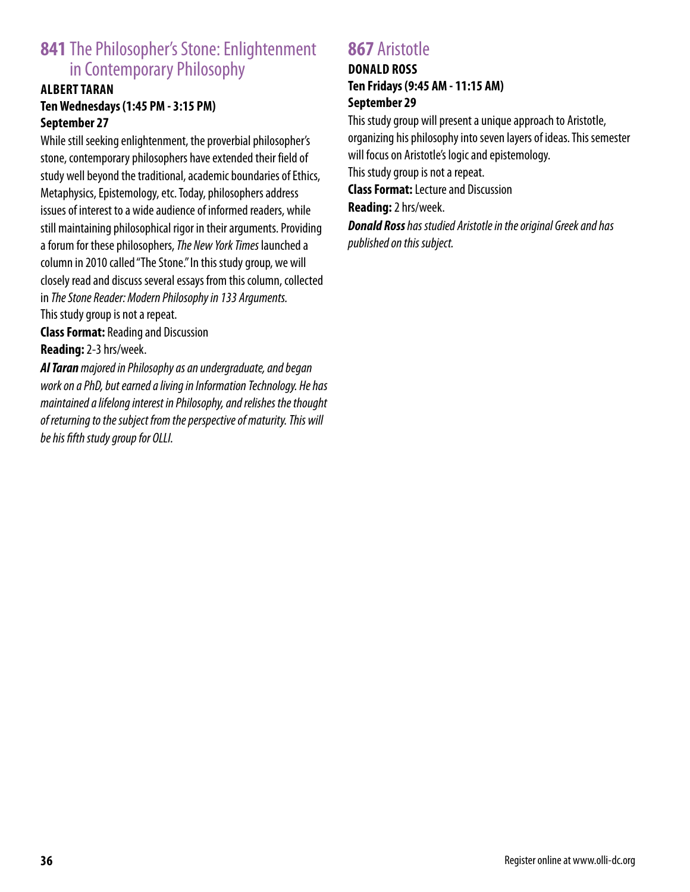# **841** The Philosopher's Stone: Enlightenment in Contemporary Philosophy

### **ALBERT TARAN Ten Wednesdays (1:45 PM - 3:15 PM) September 27**

While still seeking enlightenment, the proverbial philosopher's stone, contemporary philosophers have extended their field of study well beyond the traditional, academic boundaries of Ethics, Metaphysics, Epistemology, etc. Today, philosophers address issues of interest to a wide audience of informed readers, while still maintaining philosophical rigor in their arguments. Providing a forum for these philosophers, *The New York Times* launched a column in 2010 called "The Stone." In this study group, we will closely read and discuss several essays from this column, collected in *The Stone Reader: Modern Philosophy in 133 Arguments.* This study group is not a repeat.

**Class Format:** Reading and Discussion **Reading:** 2-3 hrs/week.

*Al Taran majored in Philosophy as an undergraduate, and began work on a PhD, but earned a living in Information Technology. He has maintained a lifelong interest in Philosophy, and relishes the thought of returning to the subject from the perspective of maturity. This will be his fifth study group for OLLI.*

### **867** Aristotle

### **DONALD ROSS Ten Fridays (9:45 AM - 11:15 AM) September 29**

This study group will present a unique approach to Aristotle, organizing his philosophy into seven layers of ideas. This semester will focus on Aristotle's logic and epistemology. This study group is not a repeat. **Class Format:** Lecture and Discussion

**Reading:** 2 hrs/week.

*Donald Ross has studied Aristotle in the original Greek and has published on this subject.*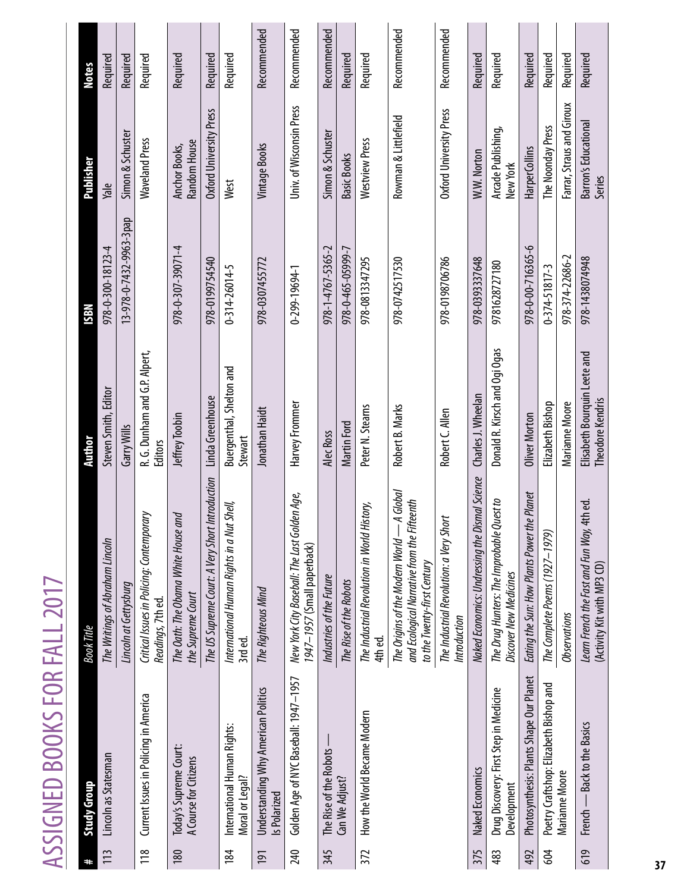| I<br>ij                       |  |
|-------------------------------|--|
| ۰                             |  |
| 727                           |  |
| D                             |  |
|                               |  |
|                               |  |
|                               |  |
|                               |  |
| a                             |  |
| L                             |  |
|                               |  |
| Ĺ                             |  |
| $\overline{\phantom{a}}$<br>۱ |  |
|                               |  |
| ä,                            |  |
|                               |  |
| f                             |  |
|                               |  |
|                               |  |
|                               |  |
|                               |  |
|                               |  |
|                               |  |
|                               |  |
|                               |  |
|                               |  |
| ć                             |  |
| l                             |  |
|                               |  |
| t                             |  |
| t                             |  |
| ۰<br>c                        |  |
|                               |  |

|     | ASSIGNED BOOKS FOR FALL 2017                          |                                                                                                                             |                                                         |                         |                                       |              |
|-----|-------------------------------------------------------|-----------------------------------------------------------------------------------------------------------------------------|---------------------------------------------------------|-------------------------|---------------------------------------|--------------|
| #   | <b>Study Group</b>                                    | <b>Book Title</b>                                                                                                           | Author                                                  | N8SI                    | Publisher                             | <b>Notes</b> |
| 113 | Lincoln as Statesman                                  | The Writings of Abraham Lincoln                                                                                             | Steven Smith, Editor                                    | 978-0-300-18123-4       | Yale                                  | Required     |
|     |                                                       | Lincoln at Gettysburg                                                                                                       | Garry Wills                                             | 13-978-0-7432-9963-3pap | Simon & Schuster                      | Required     |
| 118 | Current Issues in Policing in America                 | Critical Issues in Policing: Contemporary<br>Readings, 7th ed.                                                              | R. G. Dunham and G.P. Alpert,<br>Editors                |                         | <b>Waveland Press</b>                 | Required     |
| 180 | Today's Supreme Court:<br>A Course for Citizens       | The Oath: The Obama White House and<br>the Supreme Court                                                                    | Jeffrey Toobin                                          | 978-0-307-39071-4       | Random House<br>Anchor Books,         | Required     |
|     |                                                       | The US Supreme Court: A Very Short Introduction                                                                             | Linda Greenhouse                                        | 978-0199754540          | Oxford University Press               | Required     |
| 184 | International Human Rights:<br>Moral or Legal?        | International Human Rights in a Nut Shell,<br>3rd ed.                                                                       | Buergenthal, Shelton and<br>Stewart                     | 0-314-26014-5           | West                                  | Required     |
| 191 | Understanding Why American Politics<br>Is Polarized   | The Righteous Mind                                                                                                          | Jonathan Haidt                                          | 978-0307455772          | Vintage Books                         | Recommended  |
| 240 | Golden Age of NYC Baseball: 1947-1957                 | New York City Baseball: The Last Golden Age,<br>1947-1957 (Small paperback)                                                 | Harvey Frommer                                          | 0-299-19694-1           | Univ. of Wisconsin Press              | Recommended  |
| 345 | The Rise of the Robots                                | Industries of the Future                                                                                                    | Alec Ross                                               | 978-1-4767-5365-2       | Simon & Schuster                      | Recommended  |
|     | Can We Adjust?                                        | The Rise of the Robots                                                                                                      | Martin Ford                                             | 978-0-465-05999-7       | <b>Basic Books</b>                    | Required     |
| 372 | How the World Became Modern                           | The Industrial Revolution in World History,<br>4th ed.                                                                      | Peter N. Steams                                         | 978-0813347295          | Westview Press                        | Required     |
|     |                                                       | · A Global<br>and Ecological Narrative from the Fifteenth<br>The Origins of the Modern World<br>to the Twenty-first Century | Robert B. Marks                                         | 978-0742517530          | Rowman & Littlefield                  | Recommended  |
|     |                                                       | The Industrial Revolution: a Very Short<br>Introduction                                                                     | Robert C. Allen                                         | 978-0198706786          | Oxford University Press               | Recommended  |
| 375 | Naked Economics                                       | Naked Economics: Undressing the Dismal Science                                                                              | Charles J. Wheelan                                      | 978-0393337648          | W.W. Norton                           | Required     |
| 483 | Drug Discovery: First Step in Medicine<br>Development | The Drug Hunters: The Improbable Quest to<br><b>Discover New Medicines</b>                                                  | Donald R. Kirsch and Ogi Ogas                           | 9781628727180           | Arcade Publishing,<br>New York        | Required     |
| 492 | Photosynthesis: Plants Shape Our Planet               | Eating the Sun: How Plants Power the Planet                                                                                 | Oliver Morton                                           | 978-0-00-716365-6       | <b>HarperCollins</b>                  | Required     |
| 604 | Poetry Craftshop: Elizabeth Bishop and                | The Complete Poems (1927-1979)                                                                                              | Elizabeth Bishop                                        | $0 - 374 - 51817 - 3$   | The Noonday Press                     | Required     |
|     | Marianne Moore                                        | <b>Observations</b>                                                                                                         | Marianne Moore                                          | 978-374-22686-2         | Farrar, Straus and Giroux             | Required     |
| 619 | - Back to the Basics<br>French –                      | Leam French the Fast and Fun Way, 4th ed.<br>(Activity Kit with MP3 CD)                                                     | Elisabeth Bourquin Leete and<br><b>Theodore Kendris</b> | 978-1438074948          | <b>Barron's Educational</b><br>Series | Required     |
| 37  |                                                       |                                                                                                                             |                                                         |                         |                                       |              |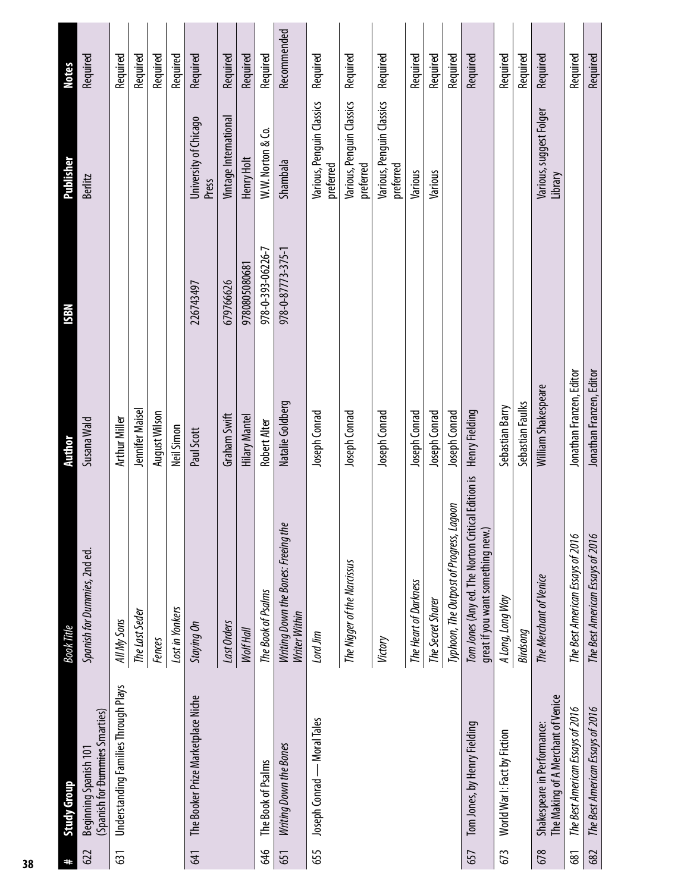| #   | Study Group                                                        | <b>Book Title</b>                                                                      | <b>Author</b>            | <b>N8SI</b>       | <b>Publisher</b>                       | <b>Notes</b> |
|-----|--------------------------------------------------------------------|----------------------------------------------------------------------------------------|--------------------------|-------------------|----------------------------------------|--------------|
| 622 | (Spanish for <del>Dummies</del> Smarties)<br>Beginning Spanish 101 | Spanish for Dummies, 2nd ed.                                                           | Susana Wald              |                   | Berlitz                                | Required     |
| 631 | <b>Understanding Families Through Plays</b>                        | All My Sons                                                                            | Arthur Miller            |                   |                                        | Required     |
|     |                                                                    | The Last Seder                                                                         | Jennifer Maisel          |                   |                                        | Required     |
|     |                                                                    | Fences                                                                                 | <b>August Wilson</b>     |                   |                                        | Required     |
|     |                                                                    | Lost in Yonkers                                                                        | Neil Simon               |                   |                                        | Required     |
| 641 | The Booker Prize Marketplace Niche                                 | Staying On                                                                             | Paul Scott               | 226743497         | University of Chicago<br>Press         | Required     |
|     |                                                                    | Last Orders                                                                            | Graham Swift             | 679766626         | Vintage International                  | Required     |
|     |                                                                    | Wolf Hall                                                                              | Hilary Mantel            | 9780805080681     | Henry Holt                             | Required     |
| 646 | The Book of Psalms                                                 | The Book of Psalms                                                                     | <b>Robert Alter</b>      | 978-0-393-06226-7 | W.W. Norton & Co.                      | Required     |
| 651 | Writing Down the Bones                                             | Writing Down the Bones: Freeing the<br>Writer Within                                   | Natalie Goldberg         | 978-0-87773-375-1 | Shambala                               | Recommended  |
| 655 | Joseph Conrad - Moral Tales                                        | Lord Jim                                                                               | Joseph Conrad            |                   | Various, Penguin Classics<br>preferred | Required     |
|     |                                                                    | The Nigger of the Narcissus                                                            | Joseph Conrad            |                   | Various, Penguin Classics<br>preferred | Required     |
|     |                                                                    | Victory                                                                                | Joseph Conrad            |                   | Various, Penguin Classics<br>preferred | Required     |
|     |                                                                    | The Heart of Darkness                                                                  | Joseph Conrad            |                   | Various                                | Required     |
|     |                                                                    | The Secret Sharer                                                                      | Joseph Conrad            |                   | Various                                | Required     |
|     |                                                                    | Typhoon, The Outpost of Progress, Lagoon                                               | Joseph Conrad            |                   |                                        | Required     |
| 657 | Tom Jones, by Henry Fielding                                       | Tom Jones (Any ed. The Norton Critical Edition is<br>great if you want something new.) | Henry Fielding           |                   |                                        | Required     |
| 673 | World War I: Fact by Fiction                                       | A Long, Long Way                                                                       | Sebastian Barry          |                   |                                        | Required     |
|     |                                                                    | Birdsong                                                                               | Sebastian Faulks         |                   |                                        | Required     |
| 678 | The Making of A Merchant of Venice<br>Shakespeare in Performance:  | The Merchant of Venice                                                                 | William Shakespeare      |                   | Various, suggest Folger<br>Library     | Required     |
| 681 | The Best American Essays of 2016                                   | The Best American Essays of 2016                                                       | Jonathan Franzen, Editor |                   |                                        | Required     |
| 682 | The Best American Essays of 2016                                   | The Best American Essays of 2016                                                       | Jonathan Franzen, Editor |                   |                                        | Required     |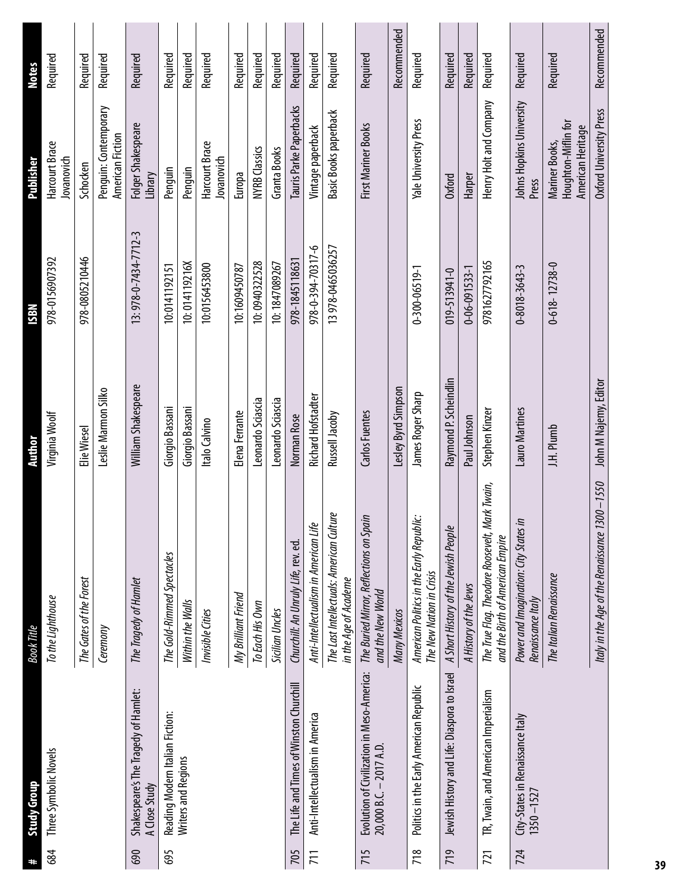| #   | <b>Study Group</b>                                                    | <b>Book Title</b>                                                                  | <b>Author</b>             | <b>ISBN</b>           | <b>Publisher</b>                                           | <b>Notes</b> |
|-----|-----------------------------------------------------------------------|------------------------------------------------------------------------------------|---------------------------|-----------------------|------------------------------------------------------------|--------------|
| 684 | Three Symbolic Novels                                                 | To the Lighthouse                                                                  | Virginia Woolf            | 978-0156907392        | Harcourt Brace<br>Jovanovich                               | Required     |
|     |                                                                       | The Gates of the Forest                                                            | Elie Wiesel               | 978-0805210446        | Schocken                                                   | Required     |
|     |                                                                       | Ceremony                                                                           | Leslie Marmon Silko       |                       | Penguin: Contemporary<br>American Fiction                  | Required     |
| 690 | Shakespeare's The Tragedy of Hamlet:<br>A Close Study                 | The Tragedy of Hamlet                                                              | William Shakespeare       | 13: 978-0-7434-7712-3 | Folger Shakespeare<br>Library                              | Required     |
| 695 | Reading Modern Italian Fiction:                                       | The Gold-Rimmed Spectacles                                                         | Giorgio Bassani           | 10:0141192151         | Penquin                                                    | Required     |
|     | Writers and Regions                                                   | Within the Walls                                                                   | Giorgio Bassani           | 10:014119216X         | Penguin                                                    | Required     |
|     |                                                                       | Invisible Cities                                                                   | Italo Calvino             | 10:0156453800         | Harcourt Brace<br>Jovanovich                               | Required     |
|     |                                                                       | My Brilliant Friend                                                                | Elena Ferrante            | 10:1609450787         | Europa                                                     | Required     |
|     |                                                                       | To Each His Own                                                                    | Leonardo Sciascia         | 10:0940322528         | <b>NYRB Classics</b>                                       | Required     |
|     |                                                                       | <b>Sicilian Uncles</b>                                                             | Leonardo Sciascia         | 10:1847089267         | <b>Granta Books</b>                                        | Required     |
| 705 | The Life and Times of Winston Churchill                               | Churchill: An Unruly Life, rev. ed.                                                | Norman Rose               | 978-1845118631        | Tauris Parke Paperbacks                                    | Required     |
| 71  | Anti-Intellectualism in America                                       | Anti-Intellectualism in American Life                                              | <b>Richard Hofstadter</b> | 978-0-394-70317-6     | Vintage paperback                                          | Required     |
|     |                                                                       | The Last Intellectuals: American Culture<br>in the Age of Academe                  | Russell Jacoby            | 13978-0465036257      | <b>Basic Books paperback</b>                               | Required     |
| 715 | Evolution of Civilization in Meso-America:<br>20,000 B.C. - 2017 A.D. | The Buried Mirror, Reflections on Spain<br>and the New World                       | Carlos Fuentes            |                       | First Mariner Books                                        | Required     |
|     |                                                                       | Many Mexicos                                                                       | Lesley Byrd Simpson       |                       |                                                            | Recommended  |
| 718 | Politics in the Early American Republic                               | American Politics in the Early Republic:<br>The New Nation in Crisis               | James Roger Sharp         | $0 - 300 - 06519 - 1$ | Yale University Press                                      | Required     |
| 719 | Jewish History and Life: Diaspora to Israel                           | A Short History of the Jewish People                                               | Raymond P. Scheindlin     | 019-513941-0          | Oxford                                                     | Required     |
|     |                                                                       | A History of the Jews                                                              | Paul Johnson              | $0 - 06 - 091533 - 1$ | Harper                                                     | Required     |
| 721 | TR, Twain, and American Imperialism                                   | The True Flag. Theodore Roosevelt, Mark Twain,<br>and the Birth of American Empire | Stephen Kinzer            | 9781627792165         | Henry Holt and Company                                     | Required     |
| 724 | City-States in Renaissance Italy<br>1350 – 1527                       | Power and Imagination: City States in<br>Renaissance Italy                         | Lauro Martines            | 0-8018-3643-3         | Johns Hopkins University<br>Press                          | Required     |
|     |                                                                       | The Italian Renaissance                                                            | J.H. Plumb                | $0-618 - 12738 - 0$   | Houghton-Miflin for<br>American Heritage<br>Mariner Books, | Required     |
|     |                                                                       | Italy in the Age of the Renaissance 1300 -1550                                     | John M Najemy, Editor     |                       | Oxford University Press                                    | Recommended  |